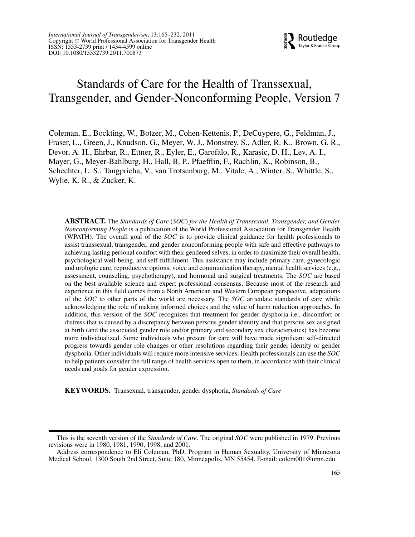

# Standards of Care for the Health of Transsexual, Transgender, and Gender-Nonconforming People, Version 7

Coleman, E., Bockting, W., Botzer, M., Cohen-Kettenis, P., DeCuypere, G., Feldman, J., Fraser, L., Green, J., Knudson, G., Meyer, W. J., Monstrey, S., Adler, R. K., Brown, G. R., Devor, A. H., Ehrbar, R., Ettner, R., Eyler, E., Garofalo, R., Karasic, D. H., Lev, A. I., Mayer, G., Meyer-Bahlburg, H., Hall, B. P., Pfaefflin, F., Rachlin, K., Robinson, B., Schechter, L. S., Tangpricha, V., van Trotsenburg, M., Vitale, A., Winter, S., Whittle, S., Wylie, K. R., & Zucker, K.

**ABSTRACT.** The *Standards of Care* (*SOC*) *for the Health of Transsexual, Transgender, and Gender Nonconforming People* is a publication of the World Professional Association for Transgender Health (WPATH). The overall goal of the *SOC* is to provide clinical guidance for health professionals to assist transsexual, transgender, and gender nonconforming people with safe and effective pathways to achieving lasting personal comfort with their gendered selves, in order to maximize their overall health, psychological well-being, and self-fulfillment. This assistance may include primary care, gynecologic and urologic care, reproductive options, voice and communication therapy, mental health services (e.g., assessment, counseling, psychotherapy), and hormonal and surgical treatments. The *SOC* are based on the best available science and expert professional consensus. Because most of the research and experience in this field comes from a North American and Western European perspective, adaptations of the *SOC* to other parts of the world are necessary. The *SOC* articulate standards of care while acknowledging the role of making informed choices and the value of harm reduction approaches. In addition, this version of the *SOC* recognizes that treatment for gender dysphoria i.e., discomfort or distress that is caused by a discrepancy between persons gender identity and that persons sex assigned at birth (and the associated gender role and/or primary and secondary sex characteristics) has become more individualized. Some individuals who present for care will have made significant self-directed progress towards gender role changes or other resolutions regarding their gender identity or gender dysphoria. Other individuals will require more intensive services. Health professionals can use the *SOC* to help patients consider the full range of health services open to them, in accordance with their clinical needs and goals for gender expression.

**KEYWORDS.** Transexual, transgender, gender dysphoria, *Standards of Care*

This is the seventh version of the *Standards of Care*. The original *SOC* were published in 1979. Previous revisions were in 1980, 1981, 1990, 1998, and 2001.

Address correspondence to Eli Coleman, PhD, Program in Human Sexuality, University of Minnesota Medical School, 1300 South 2nd Street, Suite 180, Minneapolis, MN 55454. E-mail: colem001@umn.edu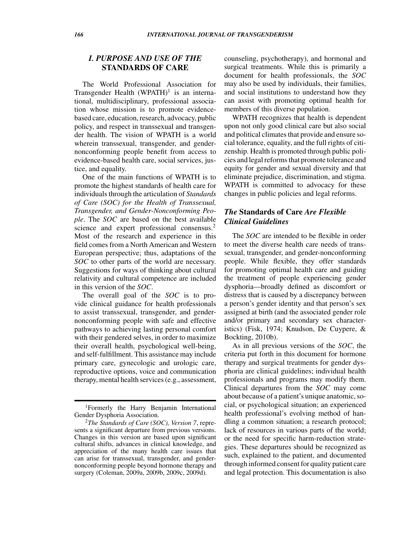### *I. PURPOSE AND USE OF THE* **STANDARDS OF CARE**

The World Professional Association for Transgender Health  $(WPATH)^1$  is an international, multidisciplinary, professional association whose mission is to promote evidencebased care, education, research, advocacy, public policy, and respect in transsexual and transgender health. The vision of WPATH is a world wherein transsexual, transgender, and gendernonconforming people benefit from access to evidence-based health care, social services, justice, and equality.

One of the main functions of WPATH is to promote the highest standards of health care for individuals through the articulation of *Standards of Care (SOC) for the Health of Transsexual, Transgender, and Gender-Nonconforming People*. The *SOC* are based on the best available science and expert professional consensus.<sup>2</sup> Most of the research and experience in this field comes from a North American and Western European perspective; thus, adaptations of the *SOC* to other parts of the world are necessary. Suggestions for ways of thinking about cultural relativity and cultural competence are included in this version of the *SOC*.

The overall goal of the *SOC* is to provide clinical guidance for health professionals to assist transsexual, transgender, and gendernonconforming people with safe and effective pathways to achieving lasting personal comfort with their gendered selves, in order to maximize their overall health, psychological well-being, and self-fulfillment. This assistance may include primary care, gynecologic and urologic care, reproductive options, voice and communication therapy, mental health services (e.g., assessment, counseling, psychotherapy), and hormonal and surgical treatments. While this is primarily a document for health professionals, the *SOC* may also be used by individuals, their families, and social institutions to understand how they can assist with promoting optimal health for members of this diverse population.

WPATH recognizes that health is dependent upon not only good clinical care but also social and political climates that provide and ensure social tolerance, equality, and the full rights of citizenship. Health is promoted through public policies and legal reforms that promote tolerance and equity for gender and sexual diversity and that eliminate prejudice, discrimination, and stigma. WPATH is committed to advocacy for these changes in public policies and legal reforms.

# *The* **Standards of Care** *Are Flexible Clinical Guidelines*

The *SOC* are intended to be flexible in order to meet the diverse health care needs of transsexual, transgender, and gender-nonconforming people. While flexible, they offer standards for promoting optimal health care and guiding the treatment of people experiencing gender dysphoria—broadly defined as discomfort or distress that is caused by a discrepancy between a person's gender identity and that person's sex assigned at birth (and the associated gender role and/or primary and secondary sex characteristics) (Fisk, 1974; Knudson, De Cuypere, & Bockting, 2010b).

As in all previous versions of the *SOC*, the criteria put forth in this document for hormone therapy and surgical treatments for gender dysphoria are clinical guidelines; individual health professionals and programs may modify them. Clinical departures from the *SOC* may come about because of a patient's unique anatomic, social, or psychological situation; an experienced health professional's evolving method of handling a common situation; a research protocol; lack of resources in various parts of the world; or the need for specific harm-reduction strategies. These departures should be recognized as such, explained to the patient, and documented through informed consent for quality patient care and legal protection. This documentation is also

<sup>1</sup>Formerly the Harry Benjamin International Gender Dysphoria Association.

<sup>2</sup>*The Standards of Care (SOC), Version 7*, represents a significant departure from previous versions. Changes in this version are based upon significant cultural shifts, advances in clinical knowledge, and appreciation of the many health care issues that can arise for transsexual, transgender, and gendernonconforming people beyond hormone therapy and surgery (Coleman, 2009a, 2009b, 2009c, 2009d).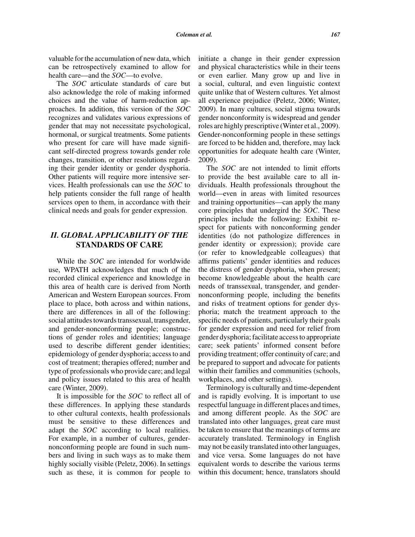valuable for the accumulation of new data, which can be retrospectively examined to allow for health care—and the *SOC*—to evolve.

The *SOC* articulate standards of care but also acknowledge the role of making informed choices and the value of harm-reduction approaches. In addition, this version of the *SOC* recognizes and validates various expressions of gender that may not necessitate psychological, hormonal, or surgical treatments. Some patients who present for care will have made significant self-directed progress towards gender role changes, transition, or other resolutions regarding their gender identity or gender dysphoria. Other patients will require more intensive services. Health professionals can use the *SOC* to help patients consider the full range of health services open to them, in accordance with their clinical needs and goals for gender expression.

# *II. GLOBAL APPLICABILITY OF THE* **STANDARDS OF CARE**

While the *SOC* are intended for worldwide use, WPATH acknowledges that much of the recorded clinical experience and knowledge in this area of health care is derived from North American and Western European sources. From place to place, both across and within nations, there are differences in all of the following: social attitudes towards transsexual, transgender, and gender-nonconforming people; constructions of gender roles and identities; language used to describe different gender identities; epidemiology of gender dysphoria; access to and cost of treatment; therapies offered; number and type of professionals who provide care; and legal and policy issues related to this area of health care (Winter, 2009).

It is impossible for the *SOC* to reflect all of these differences. In applying these standards to other cultural contexts, health professionals must be sensitive to these differences and adapt the *SOC* according to local realities. For example, in a number of cultures, gendernonconforming people are found in such numbers and living in such ways as to make them highly socially visible (Peletz, 2006). In settings such as these, it is common for people to

initiate a change in their gender expression and physical characteristics while in their teens or even earlier. Many grow up and live in a social, cultural, and even linguistic context quite unlike that of Western cultures. Yet almost all experience prejudice (Peletz, 2006; Winter, 2009). In many cultures, social stigma towards gender nonconformity is widespread and gender roles are highly prescriptive (Winter et al., 2009). Gender-nonconforming people in these settings are forced to be hidden and, therefore, may lack opportunities for adequate health care (Winter, 2009).

The *SOC* are not intended to limit efforts to provide the best available care to all individuals. Health professionals throughout the world—even in areas with limited resources and training opportunities—can apply the many core principles that undergird the *SOC*. These principles include the following: Exhibit respect for patients with nonconforming gender identities (do not pathologize differences in gender identity or expression); provide care (or refer to knowledgeable colleagues) that affirms patients' gender identities and reduces the distress of gender dysphoria, when present; become knowledgeable about the health care needs of transsexual, transgender, and gendernonconforming people, including the benefits and risks of treatment options for gender dysphoria; match the treatment approach to the specific needs of patients, particularly their goals for gender expression and need for relief from gender dysphoria; facilitate access to appropriate care; seek patients' informed consent before providing treatment; offer continuity of care; and be prepared to support and advocate for patients within their families and communities (schools, workplaces, and other settings).

Terminology is culturally and time-dependent and is rapidly evolving. It is important to use respectful language in different places and times, and among different people. As the *SOC* are translated into other languages, great care must be taken to ensure that the meanings of terms are accurately translated. Terminology in English may not be easily translated into other languages, and vice versa. Some languages do not have equivalent words to describe the various terms within this document; hence, translators should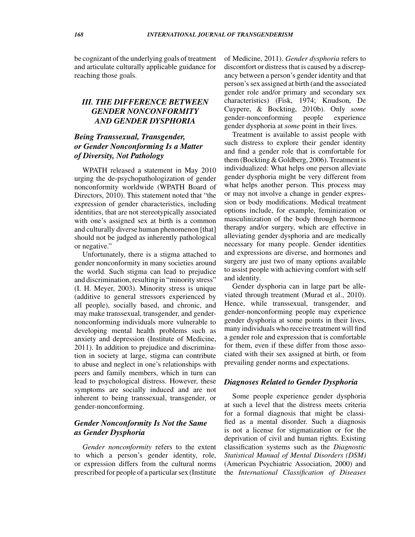be cognizant of the underlying goals of treatment and articulate culturally applicable guidance for reaching those goals.

# *III. THE DIFFERENCE BETWEEN GENDER NONCONFORMITY AND GENDER DYSPHORIA*

# *Being Transsexual, Transgender, or Gender Nonconforming Is a Matter of Diversity, Not Pathology*

WPATH released a statement in May 2010 urging the de-psychopathologization of gender nonconformity worldwide (WPATH Board of Directors, 2010). This statement noted that "the expression of gender characteristics, including identities, that are not stereotypically associated with one's assigned sex at birth is a common and culturally diverse human phenomenon [that] should not be judged as inherently pathological or negative."

Unfortunately, there is a stigma attached to gender nonconformity in many societies around the world. Such stigma can lead to prejudice and discrimination, resulting in "minority stress" (I. H. Meyer, 2003). Minority stress is unique (additive to general stressors experienced by all people), socially based, and chronic, and may make transsexual, transgender, and gendernonconforming individuals more vulnerable to developing mental health problems such as anxiety and depression (Institute of Medicine, 2011). In addition to prejudice and discrimination in society at large, stigma can contribute to abuse and neglect in one's relationships with peers and family members, which in turn can lead to psychological distress. However, these symptoms are socially induced and are not inherent to being transsexual, transgender, or gender-nonconforming.

# *Gender Nonconformity Is Not the Same as Gender Dysphoria*

*Gender nonconformity* refers to the extent to which a person's gender identity, role, or expression differs from the cultural norms prescribed for people of a particular sex (Institute of Medicine, 2011). *Gender dysphoria* refers to discomfort or distress that is caused by a discrepancy between a person's gender identity and that person's sex assigned at birth (and the associated gender role and/or primary and secondary sex characteristics) (Fisk, 1974; Knudson, De Cuypere, & Bockting, 2010b). Only *some* gender-nonconforming people experience gender dysphoria at *some* point in their lives.

Treatment is available to assist people with such distress to explore their gender identity and find a gender role that is comfortable for them (Bockting & Goldberg, 2006). Treatment is individualized: What helps one person alleviate gender dysphoria might be very different from what helps another person. This process may or may not involve a change in gender expression or body modifications. Medical treatment options include, for example, feminization or masculinization of the body through hormone therapy and/or surgery, which are effective in alleviating gender dysphoria and are medically necessary for many people. Gender identities and expressions are diverse, and hormones and surgery are just two of many options available to assist people with achieving comfort with self and identity.

Gender dysphoria can in large part be alleviated through treatment (Murad et al., 2010). Hence, while transsexual, transgender, and gender-nonconforming people may experience gender dysphoria at some points in their lives, many individuals who receive treatment will find a gender role and expression that is comfortable for them, even if these differ from those associated with their sex assigned at birth, or from prevailing gender norms and expectations.

#### *Diagnoses Related to Gender Dysphoria*

Some people experience gender dysphoria at such a level that the distress meets criteria for a formal diagnosis that might be classified as a mental disorder. Such a diagnosis is not a license for stigmatization or for the deprivation of civil and human rights. Existing classification systems such as the *Diagnostic Statistical Manual of Mental Disorders (DSM)* (American Psychiatric Association, 2000) and the *International Classification of Diseases*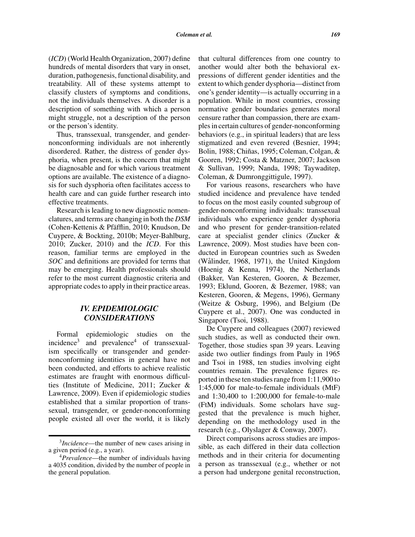(*ICD*) (World Health Organization, 2007) define hundreds of mental disorders that vary in onset, duration, pathogenesis, functional disability, and treatability. All of these systems attempt to classify clusters of symptoms and conditions, not the individuals themselves. A disorder is a description of something with which a person might struggle, not a description of the person or the person's identity.

Thus, transsexual, transgender, and gendernonconforming individuals are not inherently disordered. Rather, the distress of gender dysphoria, when present, is the concern that might be diagnosable and for which various treatment options are available. The existence of a diagnosis for such dysphoria often facilitates access to health care and can guide further research into effective treatments.

Research is leading to new diagnostic nomenclatures, and terms are changing in both the *DSM* (Cohen-Kettenis & Pfafflin, 2010; Knudson, De ¨ Cuypere, & Bockting, 2010b; Meyer-Bahlburg, 2010; Zucker, 2010) and the *ICD*. For this reason, familiar terms are employed in the *SOC* and definitions are provided for terms that may be emerging. Health professionals should refer to the most current diagnostic criteria and appropriate codes to apply in their practice areas.

### *IV. EPIDEMIOLOGIC CONSIDERATIONS*

Formal epidemiologic studies on the incidence<sup>3</sup> and prevalence<sup>4</sup> of transsexualism specifically or transgender and gendernonconforming identities in general have not been conducted, and efforts to achieve realistic estimates are fraught with enormous difficulties (Institute of Medicine, 2011; Zucker & Lawrence, 2009). Even if epidemiologic studies established that a similar proportion of transsexual, transgender, or gender-nonconforming people existed all over the world, it is likely

that cultural differences from one country to another would alter both the behavioral expressions of different gender identities and the extent to which gender dysphoria—distinct from one's gender identity—is actually occurring in a population. While in most countries, crossing normative gender boundaries generates moral censure rather than compassion, there are examples in certain cultures of gender-nonconforming behaviors (e.g., in spiritual leaders) that are less stigmatized and even revered (Besnier, 1994; Bolin, 1988; Chiñas, 1995; Coleman, Colgan, & Gooren, 1992; Costa & Matzner, 2007; Jackson & Sullivan, 1999; Nanda, 1998; Taywaditep, Coleman, & Dumronggittigule, 1997).

For various reasons, researchers who have studied incidence and prevalence have tended to focus on the most easily counted subgroup of gender-nonconforming individuals: transsexual individuals who experience gender dysphoria and who present for gender-transition-related care at specialist gender clinics (Zucker & Lawrence, 2009). Most studies have been conducted in European countries such as Sweden (Wålinder, 1968, 1971), the United Kingdom (Hoenig & Kenna, 1974), the Netherlands (Bakker, Van Kesteren, Gooren, & Bezemer, 1993; Eklund, Gooren, & Bezemer, 1988; van Kesteren, Gooren, & Megens, 1996), Germany (Weitze & Osburg, 1996), and Belgium (De Cuypere et al., 2007). One was conducted in Singapore (Tsoi, 1988).

De Cuypere and colleagues (2007) reviewed such studies, as well as conducted their own. Together, those studies span 39 years. Leaving aside two outlier findings from Pauly in 1965 and Tsoi in 1988, ten studies involving eight countries remain. The prevalence figures reported in these ten studies range from 1:11,900 to 1:45,000 for male-to-female individuals (MtF) and 1:30,400 to 1:200,000 for female-to-male (FtM) individuals. Some scholars have suggested that the prevalence is much higher, depending on the methodology used in the research (e.g., Olyslager & Conway, 2007).

Direct comparisons across studies are impossible, as each differed in their data collection methods and in their criteria for documenting a person as transsexual (e.g., whether or not a person had undergone genital reconstruction,

<sup>3</sup>*Incidence*—the number of new cases arising in a given period (e.g., a year).

<sup>4</sup>*Prevalence*—the number of individuals having a 4035 condition, divided by the number of people in the general population.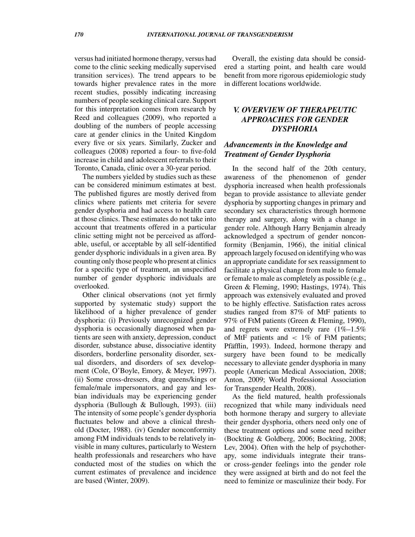versus had initiated hormone therapy, versus had come to the clinic seeking medically supervised transition services). The trend appears to be towards higher prevalence rates in the more recent studies, possibly indicating increasing numbers of people seeking clinical care. Support for this interpretation comes from research by Reed and colleagues (2009), who reported a doubling of the numbers of people accessing care at gender clinics in the United Kingdom every five or six years. Similarly, Zucker and colleagues (2008) reported a four- to five-fold increase in child and adolescent referrals to their Toronto, Canada, clinic over a 30-year period.

The numbers yielded by studies such as these can be considered minimum estimates at best. The published figures are mostly derived from clinics where patients met criteria for severe gender dysphoria and had access to health care at those clinics. These estimates do not take into account that treatments offered in a particular clinic setting might not be perceived as affordable, useful, or acceptable by all self-identified gender dysphoric individuals in a given area. By counting only those people who present at clinics for a specific type of treatment, an unspecified number of gender dysphoric individuals are overlooked.

Other clinical observations (not yet firmly supported by systematic study) support the likelihood of a higher prevalence of gender dysphoria: (i) Previously unrecognized gender dysphoria is occasionally diagnosed when patients are seen with anxiety, depression, conduct disorder, substance abuse, dissociative identity disorders, borderline personality disorder, sexual disorders, and disorders of sex development (Cole, O'Boyle, Emory, & Meyer, 1997). (ii) Some cross-dressers, drag queens/kings or female/male impersonators, and gay and lesbian individuals may be experiencing gender dysphoria (Bullough & Bullough, 1993). (iii) The intensity of some people's gender dysphoria fluctuates below and above a clinical threshold (Docter, 1988). (iv) Gender nonconformity among FtM individuals tends to be relatively invisible in many cultures, particularly to Western health professionals and researchers who have conducted most of the studies on which the current estimates of prevalence and incidence are based (Winter, 2009).

Overall, the existing data should be considered a starting point, and health care would benefit from more rigorous epidemiologic study in different locations worldwide.

# *V. OVERVIEW OF THERAPEUTIC APPROACHES FOR GENDER DYSPHORIA*

### *Advancements in the Knowledge and Treatment of Gender Dysphoria*

In the second half of the 20th century, awareness of the phenomenon of gender dysphoria increased when health professionals began to provide assistance to alleviate gender dysphoria by supporting changes in primary and secondary sex characteristics through hormone therapy and surgery, along with a change in gender role. Although Harry Benjamin already acknowledged a spectrum of gender nonconformity (Benjamin, 1966), the initial clinical approach largely focused on identifying who was an appropriate candidate for sex reassignment to facilitate a physical change from male to female or female to male as completely as possible (e.g., Green & Fleming, 1990; Hastings, 1974). This approach was extensively evaluated and proved to be highly effective. Satisfaction rates across studies ranged from 87% of MtF patients to 97% of FtM patients (Green & Fleming, 1990), and regrets were extremely rare (1%–1.5% of MtF patients and  $\langle 1\% \rangle$  of FtM patients; Pfäfflin, 1993). Indeed, hormone therapy and surgery have been found to be medically necessary to alleviate gender dysphoria in many people (American Medical Association, 2008; Anton, 2009; World Professional Association for Transgender Health, 2008).

As the field matured, health professionals recognized that while many individuals need both hormone therapy and surgery to alleviate their gender dysphoria, others need only one of these treatment options and some need neither (Bockting & Goldberg, 2006; Bockting, 2008; Lev, 2004). Often with the help of psychotherapy, some individuals integrate their transor cross-gender feelings into the gender role they were assigned at birth and do not feel the need to feminize or masculinize their body. For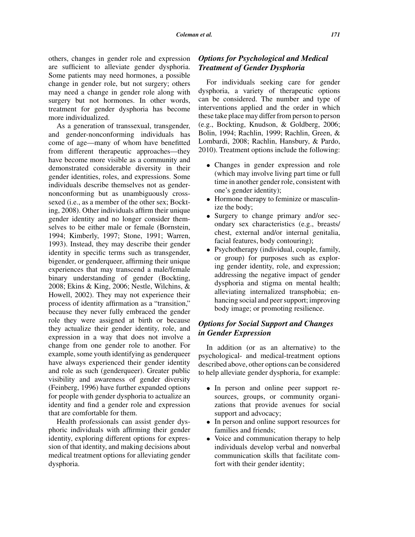others, changes in gender role and expression are sufficient to alleviate gender dysphoria. Some patients may need hormones, a possible change in gender role, but not surgery; others may need a change in gender role along with surgery but not hormones. In other words, treatment for gender dysphoria has become more individualized.

As a generation of transsexual, transgender, and gender-nonconforming individuals has come of age—many of whom have benefitted from different therapeutic approaches—they have become more visible as a community and demonstrated considerable diversity in their gender identities, roles, and expressions. Some individuals describe themselves not as gendernonconforming but as unambiguously crosssexed (i.e., as a member of the other sex; Bockting, 2008). Other individuals affirm their unique gender identity and no longer consider themselves to be either male or female (Bornstein, 1994; Kimberly, 1997; Stone, 1991; Warren, 1993). Instead, they may describe their gender identity in specific terms such as transgender, bigender, or genderqueer, affirming their unique experiences that may transcend a male/female binary understanding of gender (Bockting, 2008; Ekins & King, 2006; Nestle, Wilchins, & Howell, 2002). They may not experience their process of identity affirmation as a "transition," because they never fully embraced the gender role they were assigned at birth or because they actualize their gender identity, role, and expression in a way that does not involve a change from one gender role to another. For example, some youth identifying as genderqueer have always experienced their gender identity and role as such (genderqueer). Greater public visibility and awareness of gender diversity (Feinberg, 1996) have further expanded options for people with gender dysphoria to actualize an identity and find a gender role and expression that are comfortable for them.

Health professionals can assist gender dysphoric individuals with affirming their gender identity, exploring different options for expression of that identity, and making decisions about medical treatment options for alleviating gender dysphoria.

# *Options for Psychological and Medical Treatment of Gender Dysphoria*

For individuals seeking care for gender dysphoria, a variety of therapeutic options can be considered. The number and type of interventions applied and the order in which these take place may differ from person to person (e.g., Bockting, Knudson, & Goldberg, 2006; Bolin, 1994; Rachlin, 1999; Rachlin, Green, & Lombardi, 2008; Rachlin, Hansbury, & Pardo, 2010). Treatment options include the following:

- Changes in gender expression and role (which may involve living part time or full time in another gender role, consistent with one's gender identity);
- Hormone therapy to feminize or masculinize the body;
- Surgery to change primary and/or secondary sex characteristics (e.g., breasts/ chest, external and/or internal genitalia, facial features, body contouring);
- Psychotherapy (individual, couple, family, or group) for purposes such as exploring gender identity, role, and expression; addressing the negative impact of gender dysphoria and stigma on mental health; alleviating internalized transphobia; enhancing social and peer support; improving body image; or promoting resilience.

### *Options for Social Support and Changes in Gender Expression*

In addition (or as an alternative) to the psychological- and medical-treatment options described above, other options can be considered to help alleviate gender dysphoria, for example:

- In person and online peer support resources, groups, or community organizations that provide avenues for social support and advocacy;
- In person and online support resources for families and friends;
- Voice and communication therapy to help individuals develop verbal and nonverbal communication skills that facilitate comfort with their gender identity;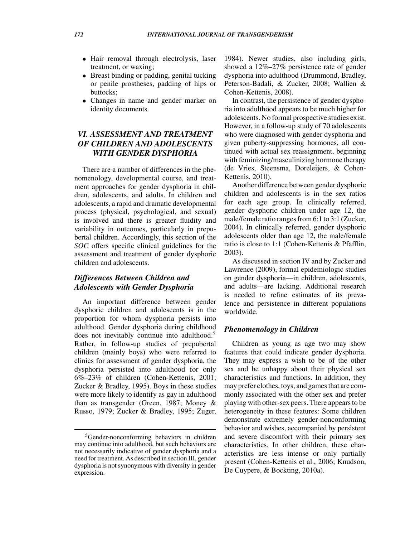- Hair removal through electrolysis, laser treatment, or waxing;
- Breast binding or padding, genital tucking or penile prostheses, padding of hips or buttocks;
- Changes in name and gender marker on identity documents.

# *VI. ASSESSMENT AND TREATMENT OF CHILDREN AND ADOLESCENTS WITH GENDER DYSPHORIA*

There are a number of differences in the phenomenology, developmental course, and treatment approaches for gender dysphoria in children, adolescents, and adults. In children and adolescents, a rapid and dramatic developmental process (physical, psychological, and sexual) is involved and there is greater fluidity and variability in outcomes, particularly in prepubertal children. Accordingly, this section of the *SOC* offers specific clinical guidelines for the assessment and treatment of gender dysphoric children and adolescents.

### *Differences Between Children and Adolescents with Gender Dysphoria*

An important difference between gender dysphoric children and adolescents is in the proportion for whom dysphoria persists into adulthood. Gender dysphoria during childhood does not inevitably continue into adulthood.<sup>5</sup> Rather, in follow-up studies of prepubertal children (mainly boys) who were referred to clinics for assessment of gender dysphoria, the dysphoria persisted into adulthood for only 6%–23% of children (Cohen-Kettenis, 2001; Zucker & Bradley, 1995). Boys in these studies were more likely to identify as gay in adulthood than as transgender (Green, 1987; Money & Russo, 1979; Zucker & Bradley, 1995; Zuger, 1984). Newer studies, also including girls, showed a 12%–27% persistence rate of gender dysphoria into adulthood (Drummond, Bradley, Peterson-Badali, & Zucker, 2008; Wallien & Cohen-Kettenis, 2008).

In contrast, the persistence of gender dysphoria into adulthood appears to be much higher for adolescents. No formal prospective studies exist. However, in a follow-up study of 70 adolescents who were diagnosed with gender dysphoria and given puberty-suppressing hormones, all continued with actual sex reassignment, beginning with feminizing/masculinizing hormone therapy (de Vries, Steensma, Doreleijers, & Cohen-Kettenis, 2010).

Another difference between gender dysphoric children and adolescents is in the sex ratios for each age group. In clinically referred, gender dysphoric children under age 12, the male/female ratio ranges from 6:1 to 3:1 (Zucker, 2004). In clinically referred, gender dysphoric adolescents older than age 12, the male/female ratio is close to 1:1 (Cohen-Kettenis & Pfäfflin, 2003).

As discussed in section IV and by Zucker and Lawrence (2009), formal epidemiologic studies on gender dysphoria—in children, adolescents, and adults—are lacking. Additional research is needed to refine estimates of its prevalence and persistence in different populations worldwide.

#### *Phenomenology in Children*

Children as young as age two may show features that could indicate gender dysphoria. They may express a wish to be of the other sex and be unhappy about their physical sex characteristics and functions. In addition, they may prefer clothes, toys, and games that are commonly associated with the other sex and prefer playing with other-sex peers. There appears to be heterogeneity in these features: Some children demonstrate extremely gender-nonconforming behavior and wishes, accompanied by persistent and severe discomfort with their primary sex characteristics. In other children, these characteristics are less intense or only partially present (Cohen-Kettenis et al., 2006; Knudson, De Cuypere, & Bockting, 2010a).

<sup>5</sup>Gender-nonconforming behaviors in children may continue into adulthood, but such behaviors are not necessarily indicative of gender dysphoria and a need for treatment. As described in section III, gender dysphoria is not synonymous with diversity in gender expression.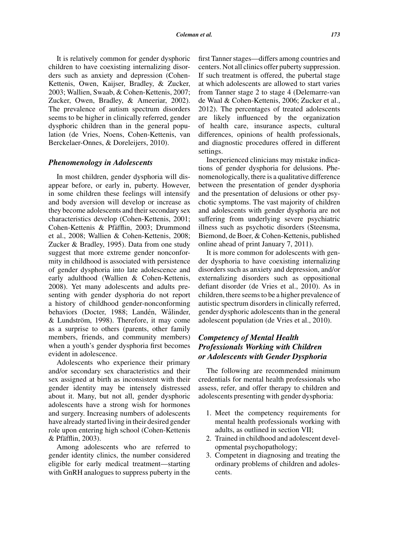It is relatively common for gender dysphoric children to have coexisting internalizing disorders such as anxiety and depression (Cohen-Kettenis, Owen, Kaijser, Bradley, & Zucker, 2003; Wallien, Swaab, & Cohen-Kettenis, 2007; Zucker, Owen, Bradley, & Ameeriar, 2002). The prevalence of autism spectrum disorders seems to be higher in clinically referred, gender dysphoric children than in the general population (de Vries, Noens, Cohen-Kettenis, van Berckelaer-Onnes, & Doreleijers, 2010).

#### *Phenomenology in Adolescents*

In most children, gender dysphoria will disappear before, or early in, puberty. However, in some children these feelings will intensify and body aversion will develop or increase as they become adolescents and their secondary sex characteristics develop (Cohen-Kettenis, 2001; Cohen-Kettenis & Pfäfflin, 2003; Drummond et al., 2008; Wallien & Cohen-Kettenis, 2008; Zucker & Bradley, 1995). Data from one study suggest that more extreme gender nonconformity in childhood is associated with persistence of gender dysphoria into late adolescence and early adulthood (Wallien & Cohen-Kettenis, 2008). Yet many adolescents and adults presenting with gender dysphoria do not report a history of childhood gender-nonconforming behaviors (Docter, 1988; Landén, Wålinder, & Lundström, 1998). Therefore, it may come as a surprise to others (parents, other family members, friends, and community members) when a youth's gender dysphoria first becomes evident in adolescence.

Adolescents who experience their primary and/or secondary sex characteristics and their sex assigned at birth as inconsistent with their gender identity may be intensely distressed about it. Many, but not all, gender dysphoric adolescents have a strong wish for hormones and surgery. Increasing numbers of adolescents have already started living in their desired gender role upon entering high school (Cohen-Kettenis & Pfafflin, 2003). ¨

Among adolescents who are referred to gender identity clinics, the number considered eligible for early medical treatment—starting with GnRH analogues to suppress puberty in the

first Tanner stages—differs among countries and centers. Not all clinics offer puberty suppression. If such treatment is offered, the pubertal stage at which adolescents are allowed to start varies from Tanner stage 2 to stage 4 (Delemarre-van de Waal & Cohen-Kettenis, 2006; Zucker et al., 2012). The percentages of treated adolescents are likely influenced by the organization of health care, insurance aspects, cultural differences, opinions of health professionals, and diagnostic procedures offered in different settings.

Inexperienced clinicians may mistake indications of gender dysphoria for delusions. Phenomenologically, there is a qualitative difference between the presentation of gender dysphoria and the presentation of delusions or other psychotic symptoms. The vast majority of children and adolescents with gender dysphoria are not suffering from underlying severe psychiatric illness such as psychotic disorders (Steensma, Biemond, de Boer, & Cohen-Kettenis, published online ahead of print January 7, 2011).

It is more common for adolescents with gender dysphoria to have coexisting internalizing disorders such as anxiety and depression, and/or externalizing disorders such as oppositional defiant disorder (de Vries et al., 2010). As in children, there seems to be a higher prevalence of autistic spectrum disorders in clinically referred, gender dysphoric adolescents than in the general adolescent population (de Vries et al., 2010).

# *Competency of Mental Health Professionals Working with Children or Adolescents with Gender Dysphoria*

The following are recommended minimum credentials for mental health professionals who assess, refer, and offer therapy to children and adolescents presenting with gender dysphoria:

- 1. Meet the competency requirements for mental health professionals working with adults, as outlined in section VII;
- 2. Trained in childhood and adolescent developmental psychopathology;
- 3. Competent in diagnosing and treating the ordinary problems of children and adolescents.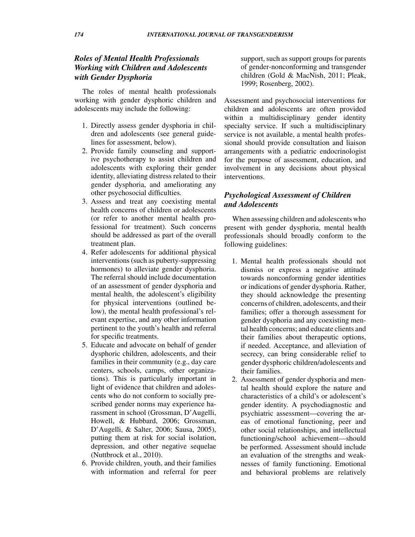### *Roles of Mental Health Professionals Working with Children and Adolescents with Gender Dysphoria*

The roles of mental health professionals working with gender dysphoric children and adolescents may include the following:

- 1. Directly assess gender dysphoria in children and adolescents (see general guidelines for assessment, below).
- 2. Provide family counseling and supportive psychotherapy to assist children and adolescents with exploring their gender identity, alleviating distress related to their gender dysphoria, and ameliorating any other psychosocial difficulties.
- 3. Assess and treat any coexisting mental health concerns of children or adolescents (or refer to another mental health professional for treatment). Such concerns should be addressed as part of the overall treatment plan.
- 4. Refer adolescents for additional physical interventions (such as puberty-suppressing hormones) to alleviate gender dysphoria. The referral should include documentation of an assessment of gender dysphoria and mental health, the adolescent's eligibility for physical interventions (outlined below), the mental health professional's relevant expertise, and any other information pertinent to the youth's health and referral for specific treatments.
- 5. Educate and advocate on behalf of gender dysphoric children, adolescents, and their families in their community (e.g., day care centers, schools, camps, other organizations). This is particularly important in light of evidence that children and adolescents who do not conform to socially prescribed gender norms may experience harassment in school (Grossman, D'Augelli, Howell, & Hubbard, 2006; Grossman, D'Augelli, & Salter, 2006; Sausa, 2005), putting them at risk for social isolation, depression, and other negative sequelae (Nuttbrock et al., 2010).
- 6. Provide children, youth, and their families with information and referral for peer

support, such as support groups for parents of gender-nonconforming and transgender children (Gold & MacNish, 2011; Pleak, 1999; Rosenberg, 2002).

Assessment and psychosocial interventions for children and adolescents are often provided within a multidisciplinary gender identity specialty service. If such a multidisciplinary service is not available, a mental health professional should provide consultation and liaison arrangements with a pediatric endocrinologist for the purpose of assessment, education, and involvement in any decisions about physical interventions.

# *Psychological Assessment of Children and Adolescents*

When assessing children and adolescents who present with gender dysphoria, mental health professionals should broadly conform to the following guidelines:

- 1. Mental health professionals should not dismiss or express a negative attitude towards nonconforming gender identities or indications of gender dysphoria. Rather, they should acknowledge the presenting concerns of children, adolescents, and their families; offer a thorough assessment for gender dysphoria and any coexisting mental health concerns; and educate clients and their families about therapeutic options, if needed. Acceptance, and alleviation of secrecy, can bring considerable relief to gender dysphoric children/adolescents and their families.
- 2. Assessment of gender dysphoria and mental health should explore the nature and characteristics of a child's or adolescent's gender identity. A psychodiagnostic and psychiatric assessment—covering the areas of emotional functioning, peer and other social relationships, and intellectual functioning/school achievement—should be performed. Assessment should include an evaluation of the strengths and weaknesses of family functioning. Emotional and behavioral problems are relatively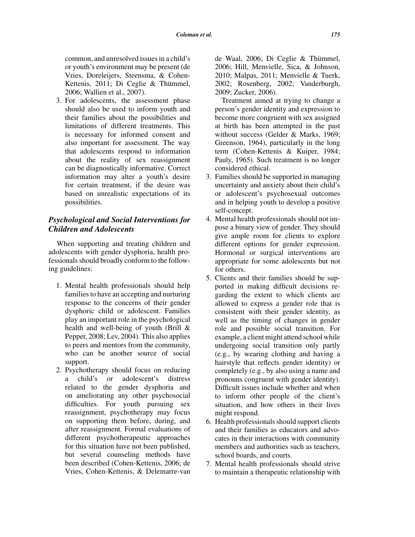common, and unresolved issues in a child's or youth's environment may be present (de Vries, Doreleijers, Steensma, & Cohen-Kettenis, 2011; Di Ceglie & Thümmel, 2006; Wallien et al., 2007).

3. For adolescents, the assessment phase should also be used to inform youth and their families about the possibilities and limitations of different treatments. This is necessary for informed consent and also important for assessment. The way that adolescents respond to information about the reality of sex reassignment can be diagnostically informative. Correct information may alter a youth's desire for certain treatment, if the desire was based on unrealistic expectations of its possibilities.

# *Psychological and Social Interventions for Children and Adolescents*

When supporting and treating children and adolescents with gender dysphoria, health professionals should broadly conform to the following guidelines:

- 1. Mental health professionals should help families to have an accepting and nurturing response to the concerns of their gender dysphoric child or adolescent. Families play an important role in the psychological health and well-being of youth (Brill & Pepper, 2008; Lev, 2004). This also applies to peers and mentors from the community, who can be another source of social support.
- 2. Psychotherapy should focus on reducing a child's or adolescent's distress related to the gender dysphoria and on ameliorating any other psychosocial difficulties. For youth pursuing sex reassignment, psychotherapy may focus on supporting them before, during, and after reassignment. Formal evaluations of different psychotherapeutic approaches for this situation have not been published, but several counseling methods have been described (Cohen-Kettenis, 2006; de Vries, Cohen-Kettenis, & Delemarre-van

de Waal, 2006; Di Ceglie & Thümmel, 2006; Hill, Menvielle, Sica, & Johnson, 2010; Malpas, 2011; Menvielle & Tuerk, 2002; Rosenberg, 2002; Vanderburgh, 2009; Zucker, 2006).

Treatment aimed at trying to change a person's gender identity and expression to become more congruent with sex assigned at birth has been attempted in the past without success (Gelder & Marks, 1969; Greenson, 1964), particularly in the long term (Cohen-Kettenis & Kuiper, 1984; Pauly, 1965). Such treatment is no longer considered ethical.

- 3. Families should be supported in managing uncertainty and anxiety about their child's or adolescent's psychosexual outcomes and in helping youth to develop a positive self-concept.
- 4. Mental health professionals should not impose a binary view of gender. They should give ample room for clients to explore different options for gender expression. Hormonal or surgical interventions are appropriate for some adolescents but not for others.
- 5. Clients and their families should be supported in making difficult decisions regarding the extent to which clients are allowed to express a gender role that is consistent with their gender identity, as well as the timing of changes in gender role and possible social transition. For example, a client might attend school while undergoing social transition only partly (e.g., by wearing clothing and having a hairstyle that reflects gender identity) or completely (e.g., by also using a name and pronouns congruent with gender identity). Difficult issues include whether and when to inform other people of the client's situation, and how others in their lives might respond.
- 6. Health professionals should support clients and their families as educators and advocates in their interactions with community members and authorities such as teachers, school boards, and courts.
- 7. Mental health professionals should strive to maintain a therapeutic relationship with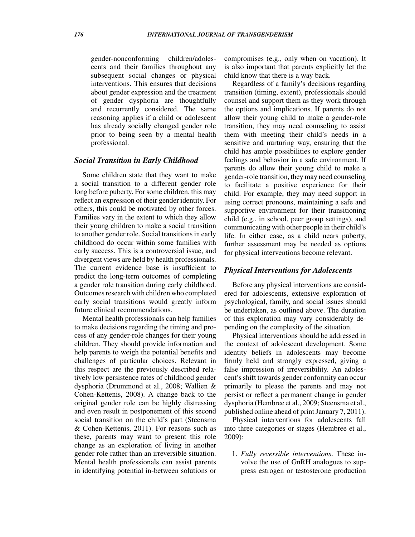gender-nonconforming children/adolescents and their families throughout any subsequent social changes or physical interventions. This ensures that decisions about gender expression and the treatment of gender dysphoria are thoughtfully and recurrently considered. The same reasoning applies if a child or adolescent has already socially changed gender role prior to being seen by a mental health professional.

#### *Social Transition in Early Childhood*

Some children state that they want to make a social transition to a different gender role long before puberty. For some children, this may reflect an expression of their gender identity. For others, this could be motivated by other forces. Families vary in the extent to which they allow their young children to make a social transition to another gender role. Social transitions in early childhood do occur within some families with early success. This is a controversial issue, and divergent views are held by health professionals. The current evidence base is insufficient to predict the long-term outcomes of completing a gender role transition during early childhood. Outcomes research with children who completed early social transitions would greatly inform future clinical recommendations.

Mental health professionals can help families to make decisions regarding the timing and process of any gender-role changes for their young children. They should provide information and help parents to weigh the potential benefits and challenges of particular choices. Relevant in this respect are the previously described relatively low persistence rates of childhood gender dysphoria (Drummond et al., 2008; Wallien & Cohen-Kettenis, 2008). A change back to the original gender role can be highly distressing and even result in postponement of this second social transition on the child's part (Steensma & Cohen-Kettenis, 2011). For reasons such as these, parents may want to present this role change as an exploration of living in another gender role rather than an irreversible situation. Mental health professionals can assist parents in identifying potential in-between solutions or compromises (e.g., only when on vacation). It is also important that parents explicitly let the child know that there is a way back.

Regardless of a family's decisions regarding transition (timing, extent), professionals should counsel and support them as they work through the options and implications. If parents do not allow their young child to make a gender-role transition, they may need counseling to assist them with meeting their child's needs in a sensitive and nurturing way, ensuring that the child has ample possibilities to explore gender feelings and behavior in a safe environment. If parents do allow their young child to make a gender-role transition, they may need counseling to facilitate a positive experience for their child. For example, they may need support in using correct pronouns, maintaining a safe and supportive environment for their transitioning child (e.g., in school, peer group settings), and communicating with other people in their child's life. In either case, as a child nears puberty, further assessment may be needed as options for physical interventions become relevant.

#### *Physical Interventions for Adolescents*

Before any physical interventions are considered for adolescents, extensive exploration of psychological, family, and social issues should be undertaken, as outlined above. The duration of this exploration may vary considerably depending on the complexity of the situation.

Physical interventions should be addressed in the context of adolescent development. Some identity beliefs in adolescents may become firmly held and strongly expressed, giving a false impression of irreversibility. An adolescent's shift towards gender conformity can occur primarily to please the parents and may not persist or reflect a permanent change in gender dysphoria (Hembree et al., 2009; Steensma et al., published online ahead of print January 7, 2011).

Physical interventions for adolescents fall into three categories or stages (Hembree et al., 2009):

1. *Fully reversible interventions*. These involve the use of GnRH analogues to suppress estrogen or testosterone production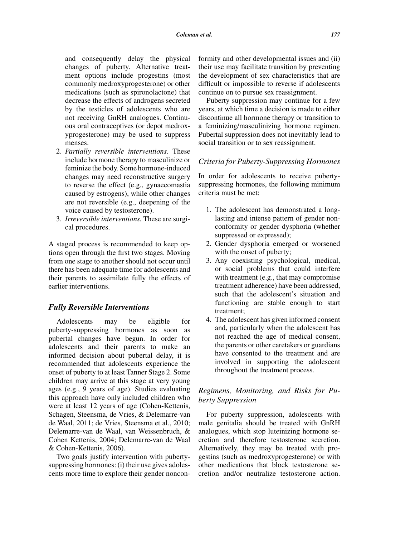and consequently delay the physical changes of puberty. Alternative treatment options include progestins (most commonly medroxyprogesterone) or other medications (such as spironolactone) that decrease the effects of androgens secreted by the testicles of adolescents who are not receiving GnRH analogues. Continuous oral contraceptives (or depot medroxyprogesterone) may be used to suppress menses.

- 2. *Partially reversible interventions*. These include hormone therapy to masculinize or feminize the body. Some hormone-induced changes may need reconstructive surgery to reverse the effect (e.g., gynaecomastia caused by estrogens), while other changes are not reversible (e.g., deepening of the voice caused by testosterone).
- 3. *Irreversible interventions.* These are surgical procedures.

A staged process is recommended to keep options open through the first two stages. Moving from one stage to another should not occur until there has been adequate time for adolescents and their parents to assimilate fully the effects of earlier interventions.

#### *Fully Reversible Interventions*

Adolescents may be eligible for puberty-suppressing hormones as soon as pubertal changes have begun. In order for adolescents and their parents to make an informed decision about pubertal delay, it is recommended that adolescents experience the onset of puberty to at least Tanner Stage 2. Some children may arrive at this stage at very young ages (e.g., 9 years of age). Studies evaluating this approach have only included children who were at least 12 years of age (Cohen-Kettenis, Schagen, Steensma, de Vries, & Delemarre-van de Waal, 2011; de Vries, Steensma et al., 2010; Delemarre-van de Waal, van Weissenbruch, & Cohen Kettenis, 2004; Delemarre-van de Waal & Cohen-Kettenis, 2006).

Two goals justify intervention with pubertysuppressing hormones: (i) their use gives adolescents more time to explore their gender nonconformity and other developmental issues and (ii) their use may facilitate transition by preventing the development of sex characteristics that are difficult or impossible to reverse if adolescents continue on to pursue sex reassignment.

Puberty suppression may continue for a few years, at which time a decision is made to either discontinue all hormone therapy or transition to a feminizing/masculinizing hormone regimen. Pubertal suppression does not inevitably lead to social transition or to sex reassignment.

### *Criteria for Puberty-Suppressing Hormones*

In order for adolescents to receive pubertysuppressing hormones, the following minimum criteria must be met:

- 1. The adolescent has demonstrated a longlasting and intense pattern of gender nonconformity or gender dysphoria (whether suppressed or expressed);
- 2. Gender dysphoria emerged or worsened with the onset of puberty;
- 3. Any coexisting psychological, medical, or social problems that could interfere with treatment (e.g., that may compromise treatment adherence) have been addressed, such that the adolescent's situation and functioning are stable enough to start treatment;
- 4. The adolescent has given informed consent and, particularly when the adolescent has not reached the age of medical consent, the parents or other caretakers or guardians have consented to the treatment and are involved in supporting the adolescent throughout the treatment process.

### *Regimens, Monitoring, and Risks for Puberty Suppression*

For puberty suppression, adolescents with male genitalia should be treated with GnRH analogues, which stop luteinizing hormone secretion and therefore testosterone secretion. Alternatively, they may be treated with progestins (such as medroxyprogesterone) or with other medications that block testosterone secretion and/or neutralize testosterone action.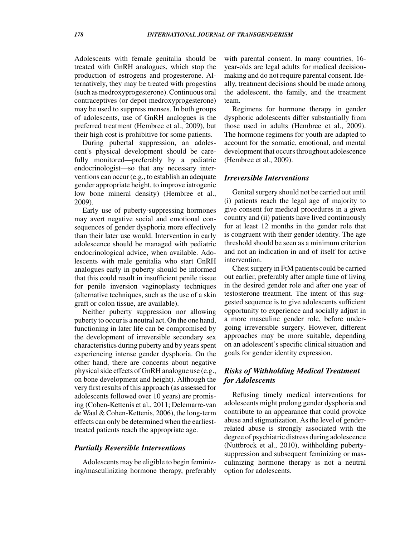Adolescents with female genitalia should be treated with GnRH analogues, which stop the production of estrogens and progesterone. Alternatively, they may be treated with progestins (such as medroxyprogesterone). Continuous oral contraceptives (or depot medroxyprogesterone) may be used to suppress menses. In both groups of adolescents, use of GnRH analogues is the preferred treatment (Hembree et al., 2009), but their high cost is prohibitive for some patients.

During pubertal suppression, an adolescent's physical development should be carefully monitored—preferably by a pediatric endocrinologist—so that any necessary interventions can occur (e.g., to establish an adequate gender appropriate height, to improve iatrogenic low bone mineral density) (Hembree et al., 2009).

Early use of puberty-suppressing hormones may avert negative social and emotional consequences of gender dysphoria more effectively than their later use would. Intervention in early adolescence should be managed with pediatric endocrinological advice, when available. Adolescents with male genitalia who start GnRH analogues early in puberty should be informed that this could result in insufficient penile tissue for penile inversion vaginoplasty techniques (alternative techniques, such as the use of a skin graft or colon tissue, are available).

Neither puberty suppression nor allowing puberty to occur is a neutral act. On the one hand, functioning in later life can be compromised by the development of irreversible secondary sex characteristics during puberty and by years spent experiencing intense gender dysphoria. On the other hand, there are concerns about negative physical side effects of GnRH analogue use (e.g., on bone development and height). Although the very first results of this approach (as assessed for adolescents followed over 10 years) are promising (Cohen-Kettenis et al., 2011; Delemarre-van de Waal & Cohen-Kettenis, 2006), the long-term effects can only be determined when the earliesttreated patients reach the appropriate age.

#### *Partially Reversible Interventions*

Adolescents may be eligible to begin feminizing/masculinizing hormone therapy, preferably with parental consent. In many countries, 16year-olds are legal adults for medical decisionmaking and do not require parental consent. Ideally, treatment decisions should be made among the adolescent, the family, and the treatment team.

Regimens for hormone therapy in gender dysphoric adolescents differ substantially from those used in adults (Hembree et al., 2009). The hormone regimens for youth are adapted to account for the somatic, emotional, and mental development that occurs throughout adolescence (Hembree et al., 2009).

#### *Irreversible Interventions*

Genital surgery should not be carried out until (i) patients reach the legal age of majority to give consent for medical procedures in a given country and (ii) patients have lived continuously for at least 12 months in the gender role that is congruent with their gender identity. The age threshold should be seen as a minimum criterion and not an indication in and of itself for active intervention.

Chest surgery in FtM patients could be carried out earlier, preferably after ample time of living in the desired gender role and after one year of testosterone treatment. The intent of this suggested sequence is to give adolescents sufficient opportunity to experience and socially adjust in a more masculine gender role, before undergoing irreversible surgery. However, different approaches may be more suitable, depending on an adolescent's specific clinical situation and goals for gender identity expression.

### *Risks of Withholding Medical Treatment for Adolescents*

Refusing timely medical interventions for adolescents might prolong gender dysphoria and contribute to an appearance that could provoke abuse and stigmatization. As the level of genderrelated abuse is strongly associated with the degree of psychiatric distress during adolescence (Nuttbrock et al., 2010), withholding pubertysuppression and subsequent feminizing or masculinizing hormone therapy is not a neutral option for adolescents.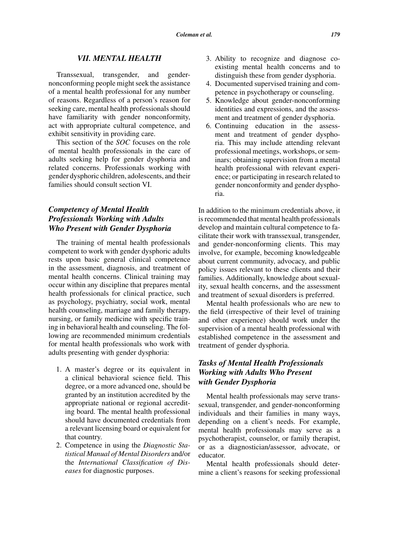#### *VII. MENTAL HEALTH*

Transsexual, transgender, and gendernonconforming people might seek the assistance of a mental health professional for any number of reasons. Regardless of a person's reason for seeking care, mental health professionals should have familiarity with gender nonconformity, act with appropriate cultural competence, and exhibit sensitivity in providing care.

This section of the *SOC* focuses on the role of mental health professionals in the care of adults seeking help for gender dysphoria and related concerns. Professionals working with gender dysphoric children, adolescents, and their families should consult section VI.

# *Competency of Mental Health Professionals Working with Adults Who Present with Gender Dysphoria*

The training of mental health professionals competent to work with gender dysphoric adults rests upon basic general clinical competence in the assessment, diagnosis, and treatment of mental health concerns. Clinical training may occur within any discipline that prepares mental health professionals for clinical practice, such as psychology, psychiatry, social work, mental health counseling, marriage and family therapy, nursing, or family medicine with specific training in behavioral health and counseling. The following are recommended minimum credentials for mental health professionals who work with adults presenting with gender dysphoria:

- 1. A master's degree or its equivalent in a clinical behavioral science field. This degree, or a more advanced one, should be granted by an institution accredited by the appropriate national or regional accrediting board. The mental health professional should have documented credentials from a relevant licensing board or equivalent for that country.
- 2. Competence in using the *Diagnostic Statistical Manual of Mental Disorders* and/or the *International Classification of Diseases* for diagnostic purposes.
- 3. Ability to recognize and diagnose coexisting mental health concerns and to distinguish these from gender dysphoria.
- 4. Documented supervised training and competence in psychotherapy or counseling.
- 5. Knowledge about gender-nonconforming identities and expressions, and the assessment and treatment of gender dysphoria.
- 6. Continuing education in the assessment and treatment of gender dysphoria. This may include attending relevant professional meetings, workshops, or seminars; obtaining supervision from a mental health professional with relevant experience; or participating in research related to gender nonconformity and gender dysphoria.

In addition to the minimum credentials above, it is recommended that mental health professionals develop and maintain cultural competence to facilitate their work with transsexual, transgender, and gender-nonconforming clients. This may involve, for example, becoming knowledgeable about current community, advocacy, and public policy issues relevant to these clients and their families. Additionally, knowledge about sexuality, sexual health concerns, and the assessment and treatment of sexual disorders is preferred.

Mental health professionals who are new to the field (irrespective of their level of training and other experience) should work under the supervision of a mental health professional with established competence in the assessment and treatment of gender dysphoria.

# *Tasks of Mental Health Professionals Working with Adults Who Present with Gender Dysphoria*

Mental health professionals may serve transsexual, transgender, and gender-nonconforming individuals and their families in many ways, depending on a client's needs. For example, mental health professionals may serve as a psychotherapist, counselor, or family therapist, or as a diagnostician/assessor, advocate, or educator.

Mental health professionals should determine a client's reasons for seeking professional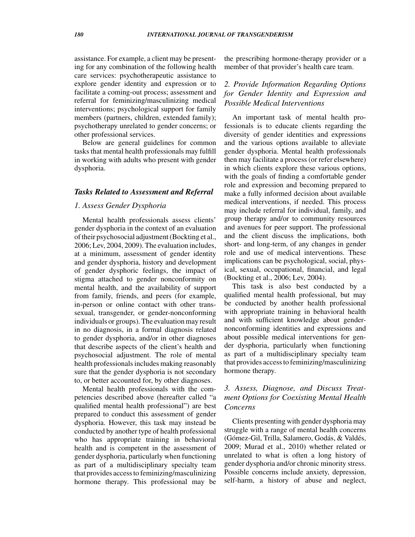assistance. For example, a client may be presenting for any combination of the following health care services: psychotherapeutic assistance to explore gender identity and expression or to facilitate a coming-out process; assessment and referral for feminizing/masculinizing medical interventions; psychological support for family members (partners, children, extended family); psychotherapy unrelated to gender concerns; or other professional services.

Below are general guidelines for common tasks that mental health professionals may fulfill in working with adults who present with gender dysphoria.

#### *Tasks Related to Assessment and Referral*

#### *1. Assess Gender Dysphoria*

Mental health professionals assess clients' gender dysphoria in the context of an evaluation of their psychosocial adjustment (Bockting et al., 2006; Lev, 2004, 2009). The evaluation includes, at a minimum, assessment of gender identity and gender dysphoria, history and development of gender dysphoric feelings, the impact of stigma attached to gender nonconformity on mental health, and the availability of support from family, friends, and peers (for example, in-person or online contact with other transsexual, transgender, or gender-nonconforming individuals or groups). The evaluation may result in no diagnosis, in a formal diagnosis related to gender dysphoria, and/or in other diagnoses that describe aspects of the client's health and psychosocial adjustment. The role of mental health professionals includes making reasonably sure that the gender dysphoria is not secondary to, or better accounted for, by other diagnoses.

Mental health professionals with the competencies described above (hereafter called "a qualified mental health professional") are best prepared to conduct this assessment of gender dysphoria. However, this task may instead be conducted by another type of health professional who has appropriate training in behavioral health and is competent in the assessment of gender dysphoria, particularly when functioning as part of a multidisciplinary specialty team that provides access to feminizing/masculinizing hormone therapy. This professional may be the prescribing hormone-therapy provider or a member of that provider's health care team.

### *2. Provide Information Regarding Options for Gender Identity and Expression and Possible Medical Interventions*

An important task of mental health professionals is to educate clients regarding the diversity of gender identities and expressions and the various options available to alleviate gender dysphoria. Mental health professionals then may facilitate a process (or refer elsewhere) in which clients explore these various options, with the goals of finding a comfortable gender role and expression and becoming prepared to make a fully informed decision about available medical interventions, if needed. This process may include referral for individual, family, and group therapy and/or to community resources and avenues for peer support. The professional and the client discuss the implications, both short- and long-term, of any changes in gender role and use of medical interventions. These implications can be psychological, social, physical, sexual, occupational, financial, and legal (Bockting et al., 2006; Lev, 2004).

This task is also best conducted by a qualified mental health professional, but may be conducted by another health professional with appropriate training in behavioral health and with sufficient knowledge about gendernonconforming identities and expressions and about possible medical interventions for gender dysphoria, particularly when functioning as part of a multidisciplinary specialty team that provides access to feminizing/masculinizing hormone therapy.

# *3. Assess, Diagnose, and Discuss Treatment Options for Coexisting Mental Health Concerns*

Clients presenting with gender dysphoria may struggle with a range of mental health concerns (Gómez-Gil, Trilla, Salamero, Godás, & Valdés, 2009; Murad et al., 2010) whether related or unrelated to what is often a long history of gender dysphoria and/or chronic minority stress. Possible concerns include anxiety, depression, self-harm, a history of abuse and neglect,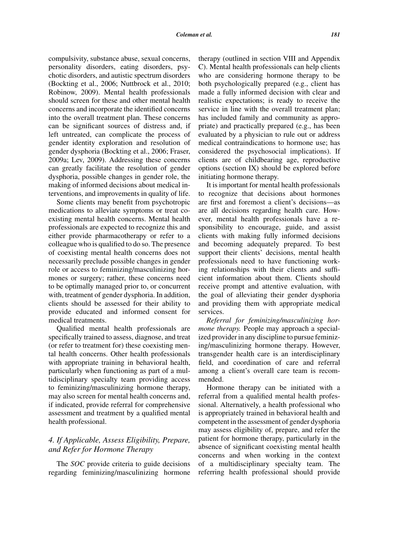compulsivity, substance abuse, sexual concerns, personality disorders, eating disorders, psychotic disorders, and autistic spectrum disorders (Bockting et al., 2006; Nuttbrock et al., 2010; Robinow, 2009). Mental health professionals should screen for these and other mental health concerns and incorporate the identified concerns into the overall treatment plan. These concerns can be significant sources of distress and, if left untreated, can complicate the process of gender identity exploration and resolution of gender dysphoria (Bockting et al., 2006; Fraser, 2009a; Lev, 2009). Addressing these concerns can greatly facilitate the resolution of gender dysphoria, possible changes in gender role, the making of informed decisions about medical interventions, and improvements in quality of life.

Some clients may benefit from psychotropic medications to alleviate symptoms or treat coexisting mental health concerns. Mental health professionals are expected to recognize this and either provide pharmacotherapy or refer to a colleague who is qualified to do so. The presence of coexisting mental health concerns does not necessarily preclude possible changes in gender role or access to feminizing/masculinizing hormones or surgery; rather, these concerns need to be optimally managed prior to, or concurrent with, treatment of gender dysphoria. In addition, clients should be assessed for their ability to provide educated and informed consent for medical treatments.

Qualified mental health professionals are specifically trained to assess, diagnose, and treat (or refer to treatment for) these coexisting mental health concerns. Other health professionals with appropriate training in behavioral health, particularly when functioning as part of a multidisciplinary specialty team providing access to feminizing/masculinizing hormone therapy, may also screen for mental health concerns and, if indicated, provide referral for comprehensive assessment and treatment by a qualified mental health professional.

# *4. If Applicable, Assess Eligibility, Prepare, and Refer for Hormone Therapy*

The *SOC* provide criteria to guide decisions regarding feminizing/masculinizing hormone

therapy (outlined in section VIII and Appendix C). Mental health professionals can help clients who are considering hormone therapy to be both psychologically prepared (e.g., client has made a fully informed decision with clear and realistic expectations; is ready to receive the service in line with the overall treatment plan; has included family and community as appropriate) and practically prepared (e.g., has been evaluated by a physician to rule out or address medical contraindications to hormone use; has considered the psychosocial implications). If clients are of childbearing age, reproductive options (section IX) should be explored before initiating hormone therapy.

It is important for mental health professionals to recognize that decisions about hormones are first and foremost a client's decisions—as are all decisions regarding health care. However, mental health professionals have a responsibility to encourage, guide, and assist clients with making fully informed decisions and becoming adequately prepared. To best support their clients' decisions, mental health professionals need to have functioning working relationships with their clients and sufficient information about them. Clients should receive prompt and attentive evaluation, with the goal of alleviating their gender dysphoria and providing them with appropriate medical services.

*Referral for feminizing/masculinizing hormone therapy.* People may approach a specialized provider in any discipline to pursue feminizing/masculinizing hormone therapy. However, transgender health care is an interdisciplinary field, and coordination of care and referral among a client's overall care team is recommended.

Hormone therapy can be initiated with a referral from a qualified mental health professional. Alternatively, a health professional who is appropriately trained in behavioral health and competent in the assessment of gender dysphoria may assess eligibility of, prepare, and refer the patient for hormone therapy, particularly in the absence of significant coexisting mental health concerns and when working in the context of a multidisciplinary specialty team. The referring health professional should provide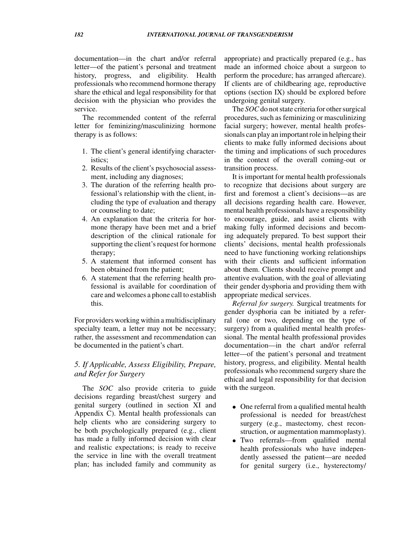documentation—in the chart and/or referral letter—of the patient's personal and treatment history, progress, and eligibility. Health professionals who recommend hormone therapy share the ethical and legal responsibility for that decision with the physician who provides the service.

The recommended content of the referral letter for feminizing/masculinizing hormone therapy is as follows:

- 1. The client's general identifying characteristics;
- 2. Results of the client's psychosocial assessment, including any diagnoses;
- 3. The duration of the referring health professional's relationship with the client, including the type of evaluation and therapy or counseling to date;
- 4. An explanation that the criteria for hormone therapy have been met and a brief description of the clinical rationale for supporting the client's request for hormone therapy;
- 5. A statement that informed consent has been obtained from the patient;
- 6. A statement that the referring health professional is available for coordination of care and welcomes a phone call to establish this.

For providers working within a multidisciplinary specialty team, a letter may not be necessary; rather, the assessment and recommendation can be documented in the patient's chart.

### *5. If Applicable, Assess Eligibility, Prepare, and Refer for Surgery*

The *SOC* also provide criteria to guide decisions regarding breast/chest surgery and genital surgery (outlined in section XI and Appendix C). Mental health professionals can help clients who are considering surgery to be both psychologically prepared (e.g., client has made a fully informed decision with clear and realistic expectations; is ready to receive the service in line with the overall treatment plan; has included family and community as appropriate) and practically prepared (e.g., has made an informed choice about a surgeon to perform the procedure; has arranged aftercare). If clients are of childbearing age, reproductive options (section IX) should be explored before undergoing genital surgery.

The *SOC* do not state criteria for other surgical procedures, such as feminizing or masculinizing facial surgery; however, mental health professionals can play an important role in helping their clients to make fully informed decisions about the timing and implications of such procedures in the context of the overall coming-out or transition process.

It is important for mental health professionals to recognize that decisions about surgery are first and foremost a client's decisions—as are all decisions regarding health care. However, mental health professionals have a responsibility to encourage, guide, and assist clients with making fully informed decisions and becoming adequately prepared. To best support their clients' decisions, mental health professionals need to have functioning working relationships with their clients and sufficient information about them. Clients should receive prompt and attentive evaluation, with the goal of alleviating their gender dysphoria and providing them with appropriate medical services.

*Referral for surgery.* Surgical treatments for gender dysphoria can be initiated by a referral (one or two, depending on the type of surgery) from a qualified mental health professional. The mental health professional provides documentation—in the chart and/or referral letter—of the patient's personal and treatment history, progress, and eligibility. Mental health professionals who recommend surgery share the ethical and legal responsibility for that decision with the surgeon.

- One referral from a qualified mental health professional is needed for breast/chest surgery (e.g., mastectomy, chest reconstruction, or augmentation mammoplasty).
- Two referrals—from qualified mental health professionals who have independently assessed the patient—are needed for genital surgery (i.e., hysterectomy/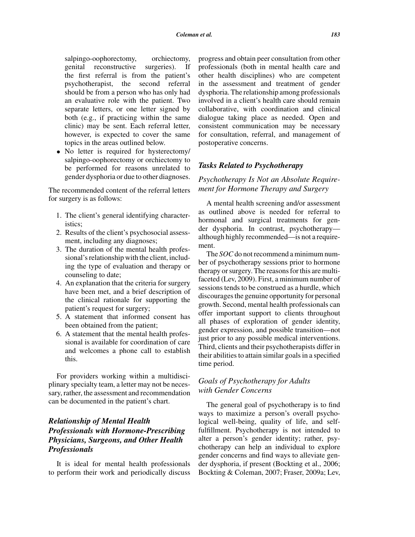salpingo-oophorectomy, orchiectomy, genital reconstructive surgeries). If the first referral is from the patient's psychotherapist, the second referral should be from a person who has only had an evaluative role with the patient. Two separate letters, or one letter signed by both (e.g., if practicing within the same clinic) may be sent. Each referral letter, however, is expected to cover the same topics in the areas outlined below.

• No letter is required for hysterectomy/ salpingo-oophorectomy or orchiectomy to be performed for reasons unrelated to gender dysphoria or due to other diagnoses.

The recommended content of the referral letters for surgery is as follows:

- 1. The client's general identifying characteristics;
- 2. Results of the client's psychosocial assessment, including any diagnoses;
- 3. The duration of the mental health professional's relationship with the client, including the type of evaluation and therapy or counseling to date;
- 4. An explanation that the criteria for surgery have been met, and a brief description of the clinical rationale for supporting the patient's request for surgery;
- 5. A statement that informed consent has been obtained from the patient;
- 6. A statement that the mental health professional is available for coordination of care and welcomes a phone call to establish this.

For providers working within a multidisciplinary specialty team, a letter may not be necessary, rather, the assessment and recommendation can be documented in the patient's chart.

# *Relationship of Mental Health Professionals with Hormone-Prescribing Physicians, Surgeons, and Other Health Professionals*

It is ideal for mental health professionals to perform their work and periodically discuss progress and obtain peer consultation from other professionals (both in mental health care and other health disciplines) who are competent in the assessment and treatment of gender dysphoria. The relationship among professionals involved in a client's health care should remain collaborative, with coordination and clinical dialogue taking place as needed. Open and consistent communication may be necessary for consultation, referral, and management of postoperative concerns.

#### *Tasks Related to Psychotherapy*

# *Psychotherapy Is Not an Absolute Requirement for Hormone Therapy and Surgery*

A mental health screening and/or assessment as outlined above is needed for referral to hormonal and surgical treatments for gender dysphoria. In contrast, psychotherapy although highly recommended—is not a requirement.

The *SOC* do not recommend a minimum number of psychotherapy sessions prior to hormone therapy or surgery. The reasons for this are multifaceted (Lev, 2009). First, a minimum number of sessions tends to be construed as a hurdle, which discourages the genuine opportunity for personal growth. Second, mental health professionals can offer important support to clients throughout all phases of exploration of gender identity, gender expression, and possible transition—not just prior to any possible medical interventions. Third, clients and their psychotherapists differ in their abilities to attain similar goals in a specified time period.

# *Goals of Psychotherapy for Adults with Gender Concerns*

The general goal of psychotherapy is to find ways to maximize a person's overall psychological well-being, quality of life, and selffulfillment. Psychotherapy is not intended to alter a person's gender identity; rather, psychotherapy can help an individual to explore gender concerns and find ways to alleviate gender dysphoria, if present (Bockting et al., 2006; Bockting & Coleman, 2007; Fraser, 2009a; Lev,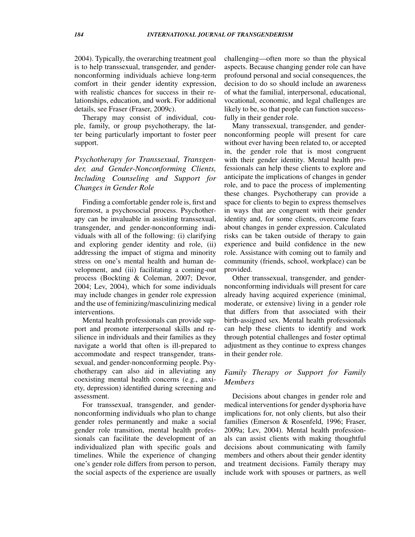2004). Typically, the overarching treatment goal is to help transsexual, transgender, and gendernonconforming individuals achieve long-term comfort in their gender identity expression, with realistic chances for success in their relationships, education, and work. For additional details, see Fraser (Fraser, 2009c).

Therapy may consist of individual, couple, family, or group psychotherapy, the latter being particularly important to foster peer support.

*Psychotherapy for Transsexual, Transgender, and Gender-Nonconforming Clients, Including Counseling and Support for Changes in Gender Role*

Finding a comfortable gender role is, first and foremost, a psychosocial process. Psychotherapy can be invaluable in assisting transsexual, transgender, and gender-nonconforming individuals with all of the following: (i) clarifying and exploring gender identity and role, (ii) addressing the impact of stigma and minority stress on one's mental health and human development, and (iii) facilitating a coming-out process (Bockting & Coleman, 2007; Devor, 2004; Lev, 2004), which for some individuals may include changes in gender role expression and the use of feminizing/masculinizing medical interventions.

Mental health professionals can provide support and promote interpersonal skills and resilience in individuals and their families as they navigate a world that often is ill-prepared to accommodate and respect transgender, transsexual, and gender-nonconforming people. Psychotherapy can also aid in alleviating any coexisting mental health concerns (e.g., anxiety, depression) identified during screening and assessment.

For transsexual, transgender, and gendernonconforming individuals who plan to change gender roles permanently and make a social gender role transition, mental health professionals can facilitate the development of an individualized plan with specific goals and timelines. While the experience of changing one's gender role differs from person to person, the social aspects of the experience are usually challenging—often more so than the physical aspects. Because changing gender role can have profound personal and social consequences, the decision to do so should include an awareness of what the familial, interpersonal, educational, vocational, economic, and legal challenges are likely to be, so that people can function successfully in their gender role.

Many transsexual, transgender, and gendernonconforming people will present for care without ever having been related to, or accepted in, the gender role that is most congruent with their gender identity. Mental health professionals can help these clients to explore and anticipate the implications of changes in gender role, and to pace the process of implementing these changes. Psychotherapy can provide a space for clients to begin to express themselves in ways that are congruent with their gender identity and, for some clients, overcome fears about changes in gender expression. Calculated risks can be taken outside of therapy to gain experience and build confidence in the new role. Assistance with coming out to family and community (friends, school, workplace) can be provided.

Other transsexual, transgender, and gendernonconforming individuals will present for care already having acquired experience (minimal, moderate, or extensive) living in a gender role that differs from that associated with their birth-assigned sex. Mental health professionals can help these clients to identify and work through potential challenges and foster optimal adjustment as they continue to express changes in their gender role.

### *Family Therapy or Support for Family Members*

Decisions about changes in gender role and medical interventions for gender dysphoria have implications for, not only clients, but also their families (Emerson & Rosenfeld, 1996; Fraser, 2009a; Lev, 2004). Mental health professionals can assist clients with making thoughtful decisions about communicating with family members and others about their gender identity and treatment decisions. Family therapy may include work with spouses or partners, as well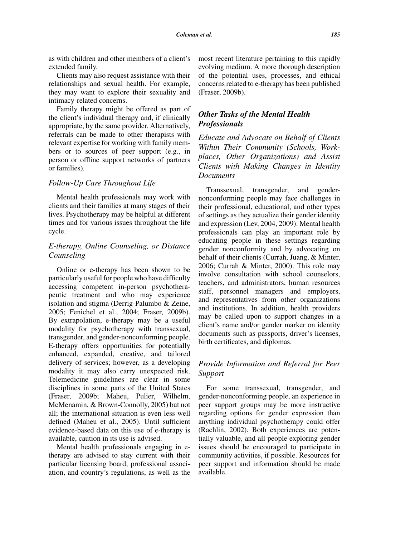as with children and other members of a client's extended family.

Clients may also request assistance with their relationships and sexual health. For example, they may want to explore their sexuality and intimacy-related concerns.

Family therapy might be offered as part of the client's individual therapy and, if clinically appropriate, by the same provider. Alternatively, referrals can be made to other therapists with relevant expertise for working with family members or to sources of peer support (e.g., in person or offline support networks of partners or families).

#### *Follow-Up Care Throughout Life*

Mental health professionals may work with clients and their families at many stages of their lives. Psychotherapy may be helpful at different times and for various issues throughout the life cycle.

# *E-therapy, Online Counseling, or Distance Counseling*

Online or e-therapy has been shown to be particularly useful for people who have difficulty accessing competent in-person psychotherapeutic treatment and who may experience isolation and stigma (Derrig-Palumbo & Zeine, 2005; Fenichel et al., 2004; Fraser, 2009b). By extrapolation, e-therapy may be a useful modality for psychotherapy with transsexual, transgender, and gender-nonconforming people. E-therapy offers opportunities for potentially enhanced, expanded, creative, and tailored delivery of services; however, as a developing modality it may also carry unexpected risk. Telemedicine guidelines are clear in some disciplines in some parts of the United States (Fraser, 2009b; Maheu, Pulier, Wilhelm, McMenamin, & Brown-Connolly, 2005) but not all; the international situation is even less well defined (Maheu et al., 2005). Until sufficient evidence-based data on this use of e-therapy is available, caution in its use is advised.

Mental health professionals engaging in etherapy are advised to stay current with their particular licensing board, professional association, and country's regulations, as well as the most recent literature pertaining to this rapidly evolving medium. A more thorough description of the potential uses, processes, and ethical concerns related to e-therapy has been published (Fraser, 2009b).

# *Other Tasks of the Mental Health Professionals*

*Educate and Advocate on Behalf of Clients Within Their Community (Schools, Workplaces, Other Organizations) and Assist Clients with Making Changes in Identity Documents*

Transsexual, transgender, and gendernonconforming people may face challenges in their professional, educational, and other types of settings as they actualize their gender identity and expression (Lev, 2004, 2009). Mental health professionals can play an important role by educating people in these settings regarding gender nonconformity and by advocating on behalf of their clients (Currah, Juang, & Minter, 2006; Currah & Minter, 2000). This role may involve consultation with school counselors, teachers, and administrators, human resources staff, personnel managers and employers, and representatives from other organizations and institutions. In addition, health providers may be called upon to support changes in a client's name and/or gender marker on identity documents such as passports, driver's licenses, birth certificates, and diplomas.

### *Provide Information and Referral for Peer Support*

For some transsexual, transgender, and gender-nonconforming people, an experience in peer support groups may be more instructive regarding options for gender expression than anything individual psychotherapy could offer (Rachlin, 2002). Both experiences are potentially valuable, and all people exploring gender issues should be encouraged to participate in community activities, if possible. Resources for peer support and information should be made available.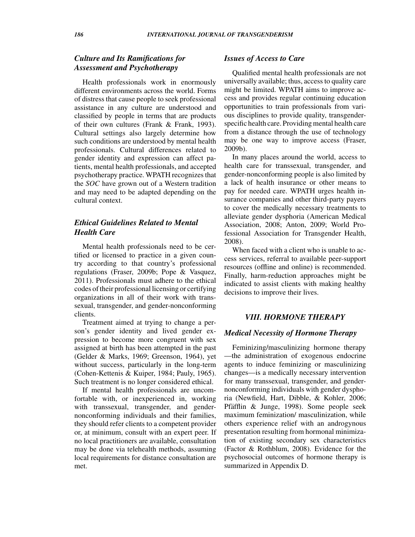# *Culture and Its Ramifications for Assessment and Psychotherapy*

Health professionals work in enormously different environments across the world. Forms of distress that cause people to seek professional assistance in any culture are understood and classified by people in terms that are products of their own cultures (Frank & Frank, 1993). Cultural settings also largely determine how such conditions are understood by mental health professionals. Cultural differences related to gender identity and expression can affect patients, mental health professionals, and accepted psychotherapy practice. WPATH recognizes that the *SOC* have grown out of a Western tradition and may need to be adapted depending on the cultural context.

# *Ethical Guidelines Related to Mental Health Care*

Mental health professionals need to be certified or licensed to practice in a given country according to that country's professional regulations (Fraser, 2009b; Pope & Vasquez, 2011). Professionals must adhere to the ethical codes of their professional licensing or certifying organizations in all of their work with transsexual, transgender, and gender-nonconforming clients.

Treatment aimed at trying to change a person's gender identity and lived gender expression to become more congruent with sex assigned at birth has been attempted in the past (Gelder & Marks, 1969; Greenson, 1964), yet without success, particularly in the long-term (Cohen-Kettenis & Kuiper, 1984; Pauly, 1965). Such treatment is no longer considered ethical.

If mental health professionals are uncomfortable with, or inexperienced in, working with transsexual, transgender, and gendernonconforming individuals and their families, they should refer clients to a competent provider or, at minimum, consult with an expert peer. If no local practitioners are available, consultation may be done via telehealth methods, assuming local requirements for distance consultation are met.

#### *Issues of Access to Care*

Qualified mental health professionals are not universally available; thus, access to quality care might be limited. WPATH aims to improve access and provides regular continuing education opportunities to train professionals from various disciplines to provide quality, transgenderspecific health care. Providing mental health care from a distance through the use of technology may be one way to improve access (Fraser, 2009b).

In many places around the world, access to health care for transsexual, transgender, and gender-nonconforming people is also limited by a lack of health insurance or other means to pay for needed care. WPATH urges health insurance companies and other third-party payers to cover the medically necessary treatments to alleviate gender dysphoria (American Medical Association, 2008; Anton, 2009; World Professional Association for Transgender Health, 2008).

When faced with a client who is unable to access services, referral to available peer-support resources (offline and online) is recommended. Finally, harm-reduction approaches might be indicated to assist clients with making healthy decisions to improve their lives.

#### *VIII. HORMONE THERAPY*

#### *Medical Necessity of Hormone Therapy*

Feminizing/masculinizing hormone therapy —the administration of exogenous endocrine agents to induce feminizing or masculinizing changes—is a medically necessary intervention for many transsexual, transgender, and gendernonconforming individuals with gender dysphoria (Newfield, Hart, Dibble, & Kohler, 2006; Pfäfflin & Junge, 1998). Some people seek maximum feminization/ masculinization, while others experience relief with an androgynous presentation resulting from hormonal minimization of existing secondary sex characteristics (Factor & Rothblum, 2008). Evidence for the psychosocial outcomes of hormone therapy is summarized in Appendix D.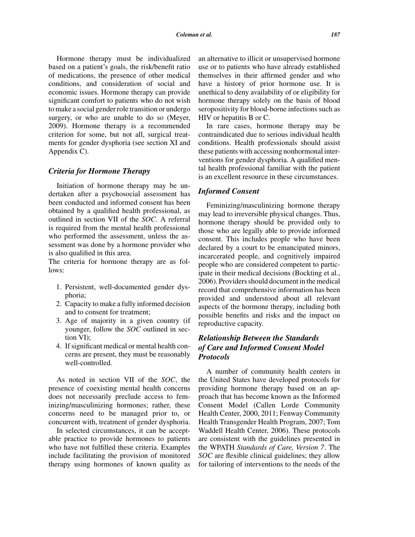Hormone therapy must be individualized based on a patient's goals, the risk/benefit ratio of medications, the presence of other medical conditions, and consideration of social and economic issues. Hormone therapy can provide significant comfort to patients who do not wish to make a social gender role transition or undergo surgery, or who are unable to do so (Meyer, 2009). Hormone therapy is a recommended criterion for some, but not all, surgical treatments for gender dysphoria (see section XI and Appendix C).

#### *Criteria for Hormone Therapy*

Initiation of hormone therapy may be undertaken after a psychosocial assessment has been conducted and informed consent has been obtained by a qualified health professional, as outlined in section VII of the *SOC*. A referral is required from the mental health professional who performed the assessment, unless the assessment was done by a hormone provider who is also qualified in this area.

The criteria for hormone therapy are as follows:

- 1. Persistent, well-documented gender dysphoria;
- 2. Capacity to make a fully informed decision and to consent for treatment;
- 3. Age of majority in a given country (if younger, follow the *SOC* outlined in section VI);
- 4. If significant medical or mental health concerns are present, they must be reasonably well-controlled.

As noted in section VII of the *SOC*, the presence of coexisting mental health concerns does not necessarily preclude access to feminizing/masculinizing hormones; rather, these concerns need to be managed prior to, or concurrent with, treatment of gender dysphoria.

In selected circumstances, it can be acceptable practice to provide hormones to patients who have not fulfilled these criteria. Examples include facilitating the provision of monitored therapy using hormones of known quality as an alternative to illicit or unsupervised hormone use or to patients who have already established themselves in their affirmed gender and who have a history of prior hormone use. It is unethical to deny availability of or eligibility for hormone therapy solely on the basis of blood seropositivity for blood-borne infections such as HIV or hepatitis B or C.

In rare cases, hormone therapy may be contraindicated due to serious individual health conditions. Health professionals should assist these patients with accessing nonhormonal interventions for gender dysphoria. A qualified mental health professional familiar with the patient is an excellent resource in these circumstances.

#### *Informed Consent*

Feminizing/masculinizing hormone therapy may lead to irreversible physical changes. Thus, hormone therapy should be provided only to those who are legally able to provide informed consent. This includes people who have been declared by a court to be emancipated minors, incarcerated people, and cognitively impaired people who are considered competent to participate in their medical decisions (Bockting et al., 2006). Providers should document in the medical record that comprehensive information has been provided and understood about all relevant aspects of the hormone therapy, including both possible benefits and risks and the impact on reproductive capacity.

### *Relationship Between the Standards of Care and Informed Consent Model Protocols*

A number of community health centers in the United States have developed protocols for providing hormone therapy based on an approach that has become known as the Informed Consent Model (Callen Lorde Community Health Center, 2000, 2011; Fenway Community Health Transgender Health Program, 2007; Tom Waddell Health Center, 2006). These protocols are consistent with the guidelines presented in the WPATH *Standards of Care, Version 7*. The *SOC* are flexible clinical guidelines; they allow for tailoring of interventions to the needs of the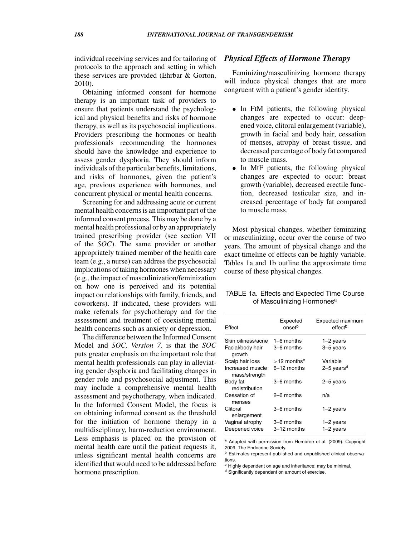individual receiving services and for tailoring of protocols to the approach and setting in which these services are provided (Ehrbar & Gorton, 2010).

Obtaining informed consent for hormone therapy is an important task of providers to ensure that patients understand the psychological and physical benefits and risks of hormone therapy, as well as its psychosocial implications. Providers prescribing the hormones or health professionals recommending the hormones should have the knowledge and experience to assess gender dysphoria. They should inform individuals of the particular benefits, limitations, and risks of hormones, given the patient's age, previous experience with hormones, and concurrent physical or mental health concerns.

Screening for and addressing acute or current mental health concerns is an important part of the informed consent process. This may be done by a mental health professional or by an appropriately trained prescribing provider (see section VII of the *SOC*). The same provider or another appropriately trained member of the health care team (e.g., a nurse) can address the psychosocial implications of taking hormones when necessary (e.g., the impact of masculinization/feminization on how one is perceived and its potential impact on relationships with family, friends, and coworkers). If indicated, these providers will make referrals for psychotherapy and for the assessment and treatment of coexisting mental health concerns such as anxiety or depression.

The difference between the Informed Consent Model and *SOC, Version 7,* is that the *SOC* puts greater emphasis on the important role that mental health professionals can play in alleviating gender dysphoria and facilitating changes in gender role and psychosocial adjustment. This may include a comprehensive mental health assessment and psychotherapy, when indicated. In the Informed Consent Model, the focus is on obtaining informed consent as the threshold for the initiation of hormone therapy in a multidisciplinary, harm-reduction environment. Less emphasis is placed on the provision of mental health care until the patient requests it, unless significant mental health concerns are identified that would need to be addressed before hormone prescription.

# *Physical Effects of Hormone Therapy*

Feminizing/masculinizing hormone therapy will induce physical changes that are more congruent with a patient's gender identity.

- In FtM patients, the following physical changes are expected to occur: deepened voice, clitoral enlargement (variable), growth in facial and body hair, cessation of menses, atrophy of breast tissue, and decreased percentage of body fat compared to muscle mass.
- In MtF patients, the following physical changes are expected to occur: breast growth (variable), decreased erectile function, decreased testicular size, and increased percentage of body fat compared to muscle mass.

Most physical changes, whether feminizing or masculinizing, occur over the course of two years. The amount of physical change and the exact timeline of effects can be highly variable. Tables 1a and 1b outline the approximate time course of these physical changes.

#### TABLE 1a. Effects and Expected Time Course of Masculinizing Hormones<sup>a</sup>

| Effect                            | Expected<br>onsetb        | Expected maximum<br>effect <sup>b</sup> |
|-----------------------------------|---------------------------|-----------------------------------------|
| Skin oiliness/acne                | $1-6$ months              | 1–2 years                               |
| Facial/body hair<br>growth        | 3–6 months                | 3-5 years                               |
| Scalp hair loss                   | $>12$ months <sup>c</sup> | Variable                                |
| Increased muscle<br>mass/strength | 6–12 months               | 2-5 years <sup>d</sup>                  |
| Body fat<br>redistribution        | 3-6 months                | 2–5 years                               |
| Cessation of<br>menses            | 2–6 months                | n/a                                     |
| Clitoral<br>enlargement           | 3–6 months                | 1-2 years                               |
| Vaginal atrophy                   | 3–6 months                | 1–2 years                               |
| Deepened voice                    | 3-12 months               | 1-2 years                               |

a Adapted with permission from Hembree et al. (2009). Copyright 2009, The Endocrine Society.

d Significantly dependent on amount of exercise.

 $<sup>b</sup>$  Estimates represent published and unpublished clinical observa-</sup> tions.

<sup>c</sup> Highly dependent on age and inheritance; may be minimal.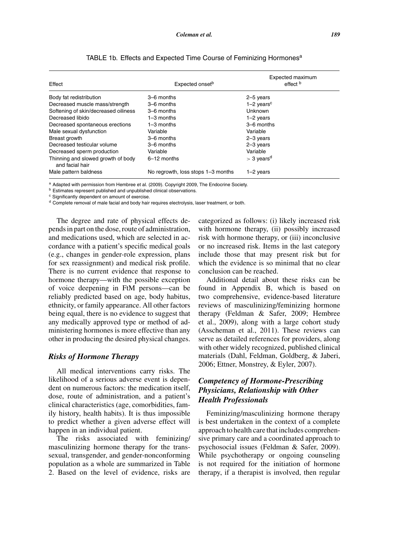|                                                       |                                    | Expected maximum         |
|-------------------------------------------------------|------------------------------------|--------------------------|
| Effect                                                | Expected onset <sup>b</sup>        | effect <sup>b</sup>      |
| Body fat redistribution                               | 3–6 months                         | $2-5$ years              |
| Decreased muscle mass/strength                        | 3–6 months                         | $1-2$ years <sup>c</sup> |
| Softening of skin/decreased oiliness                  | 3–6 months                         | Unknown                  |
| Decreased libido                                      | 1-3 months                         | $1-2$ years              |
| Decreased spontaneous erections                       | 1–3 months                         | 3-6 months               |
| Male sexual dysfunction                               | Variable                           | Variable                 |
| Breast growth                                         | 3–6 months                         | $2 - 3$ years            |
| Decreased testicular volume                           | 3–6 months                         | $2 - 3$ years            |
| Decreased sperm production                            | Variable                           | Variable                 |
| Thinning and slowed growth of body<br>and facial hair | 6-12 months                        | $>$ 3 years <sup>d</sup> |
| Male pattern baldness                                 | No regrowth, loss stops 1-3 months | 1-2 years                |

#### TABLE 1b. Effects and Expected Time Course of Feminizing Hormones<sup>a</sup>

<sup>a</sup> Adapted with permission from Hembree et al. (2009). Copyright 2009, The Endocrine Society.

**b** Estimates represent published and unpublished clinical observations.

<sup>c</sup> Significantly dependent on amount of exercise.

<sup>d</sup> Complete removal of male facial and body hair requires electrolysis, laser treatment, or both.

The degree and rate of physical effects depends in part on the dose, route of administration, and medications used, which are selected in accordance with a patient's specific medical goals (e.g., changes in gender-role expression, plans for sex reassignment) and medical risk profile. There is no current evidence that response to hormone therapy—with the possible exception of voice deepening in FtM persons—can be reliably predicted based on age, body habitus, ethnicity, or family appearance. All other factors being equal, there is no evidence to suggest that any medically approved type or method of administering hormones is more effective than any other in producing the desired physical changes.

#### *Risks of Hormone Therapy*

All medical interventions carry risks. The likelihood of a serious adverse event is dependent on numerous factors: the medication itself, dose, route of administration, and a patient's clinical characteristics (age, comorbidities, family history, health habits). It is thus impossible to predict whether a given adverse effect will happen in an individual patient.

The risks associated with feminizing/ masculinizing hormone therapy for the transsexual, transgender, and gender-nonconforming population as a whole are summarized in Table 2. Based on the level of evidence, risks are categorized as follows: (i) likely increased risk with hormone therapy, (ii) possibly increased risk with hormone therapy, or (iii) inconclusive or no increased risk. Items in the last category include those that may present risk but for which the evidence is so minimal that no clear conclusion can be reached.

Additional detail about these risks can be found in Appendix B, which is based on two comprehensive, evidence-based literature reviews of masculinizing/feminizing hormone therapy (Feldman & Safer, 2009; Hembree et al., 2009), along with a large cohort study (Asscheman et al., 2011). These reviews can serve as detailed references for providers, along with other widely recognized, published clinical materials (Dahl, Feldman, Goldberg, & Jaberi, 2006; Ettner, Monstrey, & Eyler, 2007).

# *Competency of Hormone-Prescribing Physicians, Relationship with Other Health Professionals*

Feminizing/masculinizing hormone therapy is best undertaken in the context of a complete approach to health care that includes comprehensive primary care and a coordinated approach to psychosocial issues (Feldman & Safer, 2009). While psychotherapy or ongoing counseling is not required for the initiation of hormone therapy, if a therapist is involved, then regular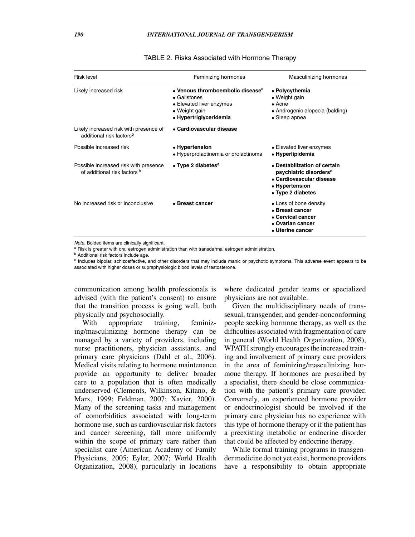| <b>Risk level</b>                                                              | Feminizing hormones                                                                                                                         | Masculinizing hormones                                                                                                                |
|--------------------------------------------------------------------------------|---------------------------------------------------------------------------------------------------------------------------------------------|---------------------------------------------------------------------------------------------------------------------------------------|
| Likely increased risk                                                          | • Venous thromboembolic disease <sup>a</sup><br>$\bullet$ Gallstones<br>• Elevated liver enzymes<br>• Weight gain<br>• Hypertriglyceridemia | • Polycythemia<br>$\bullet$ Weight gain<br>$\bullet$ Acne<br>• Androgenic alopecia (balding)<br>• Sleep apnea                         |
| Likely increased risk with presence of<br>additional risk factors <sup>b</sup> | • Cardiovascular disease                                                                                                                    |                                                                                                                                       |
| Possible increased risk                                                        | • Hypertension<br>• Hyperprolactinemia or prolactinoma                                                                                      | • Elevated liver enzymes<br>• Hyperlipidemia                                                                                          |
| Possible increased risk with presence<br>of additional risk factors b          | • Type 2 diabetes <sup>a</sup>                                                                                                              | • Destabilization of certain<br>psychiatric disorders <sup>c</sup><br>• Cardiovascular disease<br>• Hypertension<br>• Type 2 diabetes |
| No increased risk or inconclusive                                              | • Breast cancer                                                                                                                             | • Loss of bone density<br>• Breast cancer<br>• Cervical cancer<br>• Ovarian cancer<br>• Uterine cancer                                |

#### TABLE 2. Risks Associated with Hormone Therapy

Note. Bolded items are clinically significant.

a Risk is greater with oral estrogen administration than with transdermal estrogen administration.

**b** Additional risk factors include age.

<sup>c</sup> Includes bipolar, schizoaffective, and other disorders that may include manic or psychotic symptoms. This adverse event appears to be associated with higher doses or supraphysiologic blood levels of testosterone.

communication among health professionals is advised (with the patient's consent) to ensure that the transition process is going well, both physically and psychosocially.

With appropriate training, feminizing/masculinizing hormone therapy can be managed by a variety of providers, including nurse practitioners, physician assistants, and primary care physicians (Dahl et al., 2006). Medical visits relating to hormone maintenance provide an opportunity to deliver broader care to a population that is often medically underserved (Clements, Wilkinson, Kitano, & Marx, 1999; Feldman, 2007; Xavier, 2000). Many of the screening tasks and management of comorbidities associated with long-term hormone use, such as cardiovascular risk factors and cancer screening, fall more uniformly within the scope of primary care rather than specialist care (American Academy of Family Physicians, 2005; Eyler, 2007; World Health Organization, 2008), particularly in locations where dedicated gender teams or specialized physicians are not available.

Given the multidisciplinary needs of transsexual, transgender, and gender-nonconforming people seeking hormone therapy, as well as the difficulties associated with fragmentation of care in general (World Health Organization, 2008), WPATH strongly encourages the increased training and involvement of primary care providers in the area of feminizing/masculinizing hormone therapy. If hormones are prescribed by a specialist, there should be close communication with the patient's primary care provider. Conversely, an experienced hormone provider or endocrinologist should be involved if the primary care physician has no experience with this type of hormone therapy or if the patient has a preexisting metabolic or endocrine disorder that could be affected by endocrine therapy.

While formal training programs in transgender medicine do not yet exist, hormone providers have a responsibility to obtain appropriate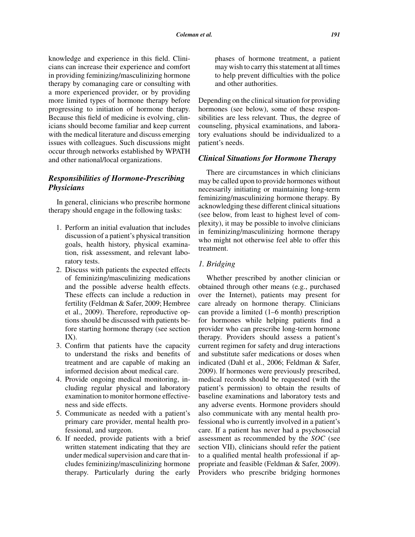knowledge and experience in this field. Clinicians can increase their experience and comfort in providing feminizing/masculinizing hormone therapy by comanaging care or consulting with a more experienced provider, or by providing more limited types of hormone therapy before progressing to initiation of hormone therapy. Because this field of medicine is evolving, clinicians should become familiar and keep current with the medical literature and discuss emerging issues with colleagues. Such discussions might occur through networks established by WPATH and other national/local organizations.

### *Responsibilities of Hormone-Prescribing Physicians*

In general, clinicians who prescribe hormone therapy should engage in the following tasks:

- 1. Perform an initial evaluation that includes discussion of a patient's physical transition goals, health history, physical examination, risk assessment, and relevant laboratory tests.
- 2. Discuss with patients the expected effects of feminizing/masculinizing medications and the possible adverse health effects. These effects can include a reduction in fertility (Feldman & Safer, 2009; Hembree et al., 2009). Therefore, reproductive options should be discussed with patients before starting hormone therapy (see section IX).
- 3. Confirm that patients have the capacity to understand the risks and benefits of treatment and are capable of making an informed decision about medical care.
- 4. Provide ongoing medical monitoring, including regular physical and laboratory examination to monitor hormone effectiveness and side effects.
- 5. Communicate as needed with a patient's primary care provider, mental health professional, and surgeon.
- 6. If needed, provide patients with a brief written statement indicating that they are under medical supervision and care that includes feminizing/masculinizing hormone therapy. Particularly during the early

phases of hormone treatment, a patient may wish to carry this statement at all times to help prevent difficulties with the police and other authorities.

Depending on the clinical situation for providing hormones (see below), some of these responsibilities are less relevant. Thus, the degree of counseling, physical examinations, and laboratory evaluations should be individualized to a patient's needs.

### *Clinical Situations for Hormone Therapy*

There are circumstances in which clinicians may be called upon to provide hormones without necessarily initiating or maintaining long-term feminizing/masculinizing hormone therapy. By acknowledging these different clinical situations (see below, from least to highest level of complexity), it may be possible to involve clinicians in feminizing/masculinizing hormone therapy who might not otherwise feel able to offer this treatment.

#### *1. Bridging*

Whether prescribed by another clinician or obtained through other means (e.g., purchased over the Internet), patients may present for care already on hormone therapy. Clinicians can provide a limited (1–6 month) prescription for hormones while helping patients find a provider who can prescribe long-term hormone therapy. Providers should assess a patient's current regimen for safety and drug interactions and substitute safer medications or doses when indicated (Dahl et al., 2006; Feldman & Safer, 2009). If hormones were previously prescribed, medical records should be requested (with the patient's permission) to obtain the results of baseline examinations and laboratory tests and any adverse events. Hormone providers should also communicate with any mental health professional who is currently involved in a patient's care. If a patient has never had a psychosocial assessment as recommended by the *SOC* (see section VII), clinicians should refer the patient to a qualified mental health professional if appropriate and feasible (Feldman & Safer, 2009). Providers who prescribe bridging hormones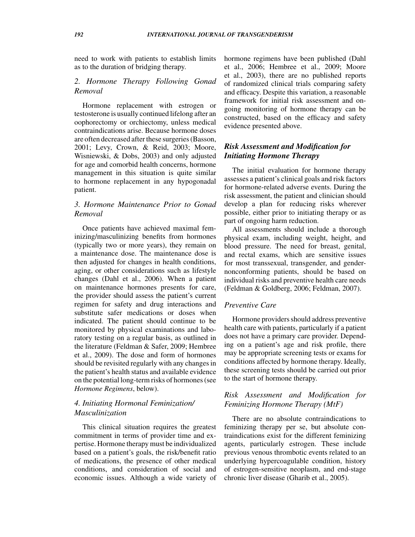need to work with patients to establish limits as to the duration of bridging therapy.

### *2. Hormone Therapy Following Gonad Removal*

Hormone replacement with estrogen or testosterone is usually continued lifelong after an oophorectomy or orchiectomy, unless medical contraindications arise. Because hormone doses are often decreased after these surgeries (Basson, 2001; Levy, Crown, & Reid, 2003; Moore, Wisniewski, & Dobs, 2003) and only adjusted for age and comorbid health concerns, hormone management in this situation is quite similar to hormone replacement in any hypogonadal patient.

### *3. Hormone Maintenance Prior to Gonad Removal*

Once patients have achieved maximal feminizing/masculinizing benefits from hormones (typically two or more years), they remain on a maintenance dose. The maintenance dose is then adjusted for changes in health conditions, aging, or other considerations such as lifestyle changes (Dahl et al., 2006). When a patient on maintenance hormones presents for care, the provider should assess the patient's current regimen for safety and drug interactions and substitute safer medications or doses when indicated. The patient should continue to be monitored by physical examinations and laboratory testing on a regular basis, as outlined in the literature (Feldman & Safer, 2009; Hembree et al., 2009). The dose and form of hormones should be revisited regularly with any changes in the patient's health status and available evidence on the potential long-term risks of hormones (see *Hormone Regimens*, below).

# *4. Initiating Hormonal Feminization/ Masculinization*

This clinical situation requires the greatest commitment in terms of provider time and expertise. Hormone therapy must be individualized based on a patient's goals, the risk/benefit ratio of medications, the presence of other medical conditions, and consideration of social and economic issues. Although a wide variety of hormone regimens have been published (Dahl et al., 2006; Hembree et al., 2009; Moore et al., 2003), there are no published reports of randomized clinical trials comparing safety and efficacy. Despite this variation, a reasonable framework for initial risk assessment and ongoing monitoring of hormone therapy can be constructed, based on the efficacy and safety evidence presented above.

# *Risk Assessment and Modification for Initiating Hormone Therapy*

The initial evaluation for hormone therapy assesses a patient's clinical goals and risk factors for hormone-related adverse events. During the risk assessment, the patient and clinician should develop a plan for reducing risks wherever possible, either prior to initiating therapy or as part of ongoing harm reduction.

All assessments should include a thorough physical exam, including weight, height, and blood pressure. The need for breast, genital, and rectal exams, which are sensitive issues for most transsexual, transgender, and gendernonconforming patients, should be based on individual risks and preventive health care needs (Feldman & Goldberg, 2006; Feldman, 2007).

### *Preventive Care*

Hormone providers should address preventive health care with patients, particularly if a patient does not have a primary care provider. Depending on a patient's age and risk profile, there may be appropriate screening tests or exams for conditions affected by hormone therapy. Ideally, these screening tests should be carried out prior to the start of hormone therapy.

### *Risk Assessment and Modification for Feminizing Hormone Therapy (MtF)*

There are no absolute contraindications to feminizing therapy per se, but absolute contraindications exist for the different feminizing agents, particularly estrogen. These include previous venous thrombotic events related to an underlying hypercoagulable condition, history of estrogen-sensitive neoplasm, and end-stage chronic liver disease (Gharib et al., 2005).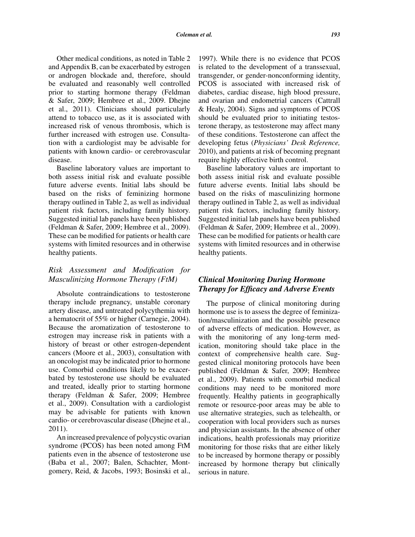Other medical conditions, as noted in Table 2 and Appendix B, can be exacerbated by estrogen or androgen blockade and, therefore, should be evaluated and reasonably well controlled prior to starting hormone therapy (Feldman & Safer, 2009; Hembree et al., 2009. Dhejne et al., 2011). Clinicians should particularly attend to tobacco use, as it is associated with increased risk of venous thrombosis, which is further increased with estrogen use. Consultation with a cardiologist may be advisable for patients with known cardio- or cerebrovascular disease.

Baseline laboratory values are important to both assess initial risk and evaluate possible future adverse events. Initial labs should be based on the risks of feminizing hormone therapy outlined in Table 2, as well as individual patient risk factors, including family history. Suggested initial lab panels have been published (Feldman & Safer, 2009; Hembree et al., 2009). These can be modified for patients or health care systems with limited resources and in otherwise healthy patients.

### *Risk Assessment and Modification for Masculinizing Hormone Therapy (FtM)*

Absolute contraindications to testosterone therapy include pregnancy, unstable coronary artery disease, and untreated polycythemia with a hematocrit of 55% or higher (Carnegie, 2004). Because the aromatization of testosterone to estrogen may increase risk in patients with a history of breast or other estrogen-dependent cancers (Moore et al., 2003), consultation with an oncologist may be indicated prior to hormone use. Comorbid conditions likely to be exacerbated by testosterone use should be evaluated and treated, ideally prior to starting hormone therapy (Feldman & Safer, 2009; Hembree et al., 2009). Consultation with a cardiologist may be advisable for patients with known cardio- or cerebrovascular disease (Dhejne et al., 2011).

An increased prevalence of polycystic ovarian syndrome (PCOS) has been noted among FtM patients even in the absence of testosterone use (Baba et al., 2007; Balen, Schachter, Montgomery, Reid, & Jacobs, 1993; Bosinski et al.,

1997). While there is no evidence that PCOS is related to the development of a transsexual, transgender, or gender-nonconforming identity, PCOS is associated with increased risk of diabetes, cardiac disease, high blood pressure, and ovarian and endometrial cancers (Cattrall & Healy, 2004). Signs and symptoms of PCOS should be evaluated prior to initiating testosterone therapy, as testosterone may affect many of these conditions. Testosterone can affect the developing fetus (*Physicians' Desk Reference,* 2010), and patients at risk of becoming pregnant require highly effective birth control.

Baseline laboratory values are important to both assess initial risk and evaluate possible future adverse events. Initial labs should be based on the risks of masculinizing hormone therapy outlined in Table 2, as well as individual patient risk factors, including family history. Suggested initial lab panels have been published (Feldman & Safer, 2009; Hembree et al., 2009). These can be modified for patients or health care systems with limited resources and in otherwise healthy patients.

### *Clinical Monitoring During Hormone Therapy for Efficacy and Adverse Events*

The purpose of clinical monitoring during hormone use is to assess the degree of feminization/masculinization and the possible presence of adverse effects of medication. However, as with the monitoring of any long-term medication, monitoring should take place in the context of comprehensive health care. Suggested clinical monitoring protocols have been published (Feldman & Safer, 2009; Hembree et al., 2009). Patients with comorbid medical conditions may need to be monitored more frequently. Healthy patients in geographically remote or resource-poor areas may be able to use alternative strategies, such as telehealth, or cooperation with local providers such as nurses and physician assistants. In the absence of other indications, health professionals may prioritize monitoring for those risks that are either likely to be increased by hormone therapy or possibly increased by hormone therapy but clinically serious in nature.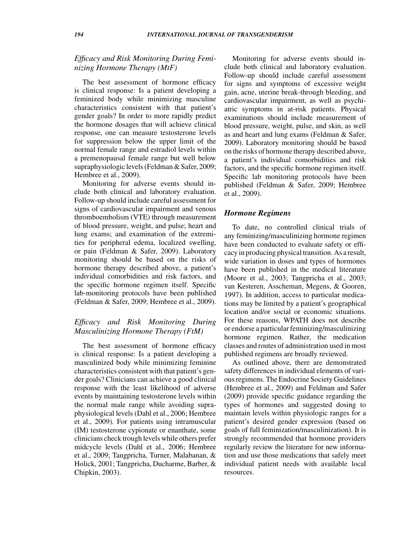# *Efficacy and Risk Monitoring During Feminizing Hormone Therapy (MtF)*

The best assessment of hormone efficacy is clinical response: Is a patient developing a feminized body while minimizing masculine characteristics consistent with that patient's gender goals? In order to more rapidly predict the hormone dosages that will achieve clinical response, one can measure testosterone levels for suppression below the upper limit of the normal female range and estradiol levels within a premenopausal female range but well below supraphysiologic levels (Feldman & Safer, 2009; Hembree et al., 2009).

Monitoring for adverse events should include both clinical and laboratory evaluation. Follow-up should include careful assessment for signs of cardiovascular impairment and venous thromboembolism (VTE) through measurement of blood pressure, weight, and pulse; heart and lung exams; and examination of the extremities for peripheral edema, localized swelling, or pain (Feldman & Safer, 2009). Laboratory monitoring should be based on the risks of hormone therapy described above, a patient's individual comorbidities and risk factors, and the specific hormone regimen itself. Specific lab-monitoring protocols have been published (Feldman & Safer, 2009; Hembree et al., 2009).

# *Efficacy and Risk Monitoring During Masculinizing Hormone Therapy (FtM)*

The best assessment of hormone efficacy is clinical response: Is a patient developing a masculinized body while minimizing feminine characteristics consistent with that patient's gender goals? Clinicians can achieve a good clinical response with the least likelihood of adverse events by maintaining testosterone levels within the normal male range while avoiding supraphysiological levels (Dahl et al., 2006; Hembree et al., 2009). For patients using intramuscular (IM) testosterone cypionate or enanthate, some clinicians check trough levels while others prefer midcycle levels (Dahl et al., 2006; Hembree et al., 2009; Tangpricha, Turner, Malabanan, & Holick, 2001; Tangpricha, Ducharme, Barber, & Chipkin, 2003).

Monitoring for adverse events should include both clinical and laboratory evaluation. Follow-up should include careful assessment for signs and symptoms of excessive weight gain, acne, uterine break-through bleeding, and cardiovascular impairment, as well as psychiatric symptoms in at-risk patients. Physical examinations should include measurement of blood pressure, weight, pulse, and skin, as well as and heart and lung exams (Feldman & Safer, 2009). Laboratory monitoring should be based on the risks of hormone therapy described above, a patient's individual comorbidities and risk factors, and the specific hormone regimen itself. Specific lab monitoring protocols have been published (Feldman & Safer, 2009; Hembree et al., 2009).

#### *Hormone Regimens*

To date, no controlled clinical trials of any feminizing/masculinizing hormone regimen have been conducted to evaluate safety or efficacy in producing physical transition. As a result, wide variation in doses and types of hormones have been published in the medical literature (Moore et al., 2003; Tangpricha et al., 2003; van Kesteren, Asscheman, Megens, & Gooren, 1997). In addition, access to particular medications may be limited by a patient's geographical location and/or social or economic situations. For these reasons, WPATH does not describe or endorse a particular feminizing/masculinizing hormone regimen. Rather, the medication classes and routes of administration used in most published regimens are broadly reviewed.

As outlined above, there are demonstrated safety differences in individual elements of various regimens. The Endocrine Society Guidelines (Hembree et al., 2009) and Feldman and Safer (2009) provide specific guidance regarding the types of hormones and suggested dosing to maintain levels within physiologic ranges for a patient's desired gender expression (based on goals of full feminization/masculinization). It is strongly recommended that hormone providers regularly review the literature for new information and use those medications that safely meet individual patient needs with available local resources.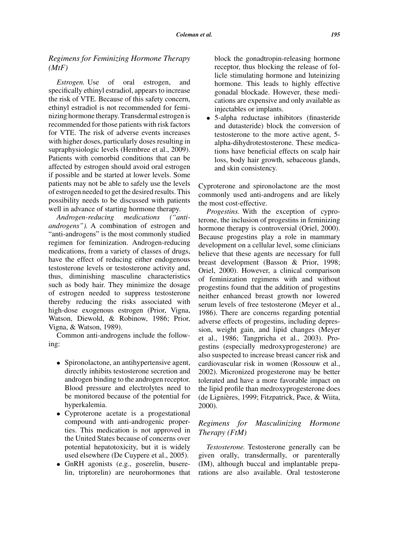## *Regimens for Feminizing Hormone Therapy (MtF)*

*Estrogen.* Use of oral estrogen, and specifically ethinyl estradiol, appears to increase the risk of VTE. Because of this safety concern, ethinyl estradiol is not recommended for feminizing hormone therapy. Transdermal estrogen is recommended for those patients with risk factors for VTE. The risk of adverse events increases with higher doses, particularly doses resulting in supraphysiologic levels (Hembree et al., 2009). Patients with comorbid conditions that can be affected by estrogen should avoid oral estrogen if possible and be started at lower levels. Some patients may not be able to safely use the levels of estrogen needed to get the desired results. This possibility needs to be discussed with patients well in advance of starting hormone therapy.

*Androgen-reducing medications ("antiandrogens").* A combination of estrogen and "anti-androgens" is the most commonly studied regimen for feminization. Androgen-reducing medications, from a variety of classes of drugs, have the effect of reducing either endogenous testosterone levels or testosterone activity and, thus, diminishing masculine characteristics such as body hair. They minimize the dosage of estrogen needed to suppress testosterone thereby reducing the risks associated with high-dose exogenous estrogen (Prior, Vigna, Watson, Diewold, & Robinow, 1986; Prior, Vigna, & Watson, 1989).

Common anti-androgens include the following:

- Spironolactone, an antihypertensive agent, directly inhibits testosterone secretion and androgen binding to the androgen receptor. Blood pressure and electrolytes need to be monitored because of the potential for hyperkalemia.
- Cyproterone acetate is a progestational compound with anti-androgenic properties. This medication is not approved in the United States because of concerns over potential hepatotoxicity, but it is widely used elsewhere (De Cuypere et al., 2005).
- GnRH agonists (e.g., goserelin, buserelin, triptorelin) are neurohormones that

block the gonadtropin-releasing hormone receptor, thus blocking the release of follicle stimulating hormone and luteinizing hormone. This leads to highly effective gonadal blockade. However, these medications are expensive and only available as injectables or implants.

• 5-alpha reductase inhibitors (finasteride and dutasteride) block the conversion of testosterone to the more active agent, 5 alpha-dihydrotestosterone. These medications have beneficial effects on scalp hair loss, body hair growth, sebaceous glands, and skin consistency.

Cyproterone and spironolactone are the most commonly used anti-androgens and are likely the most cost-effective.

*Progestins.* With the exception of cyproterone, the inclusion of progestins in feminizing hormone therapy is controversial (Oriel, 2000). Because progestins play a role in mammary development on a cellular level, some clinicians believe that these agents are necessary for full breast development (Basson & Prior, 1998; Oriel, 2000). However, a clinical comparison of feminization regimens with and without progestins found that the addition of progestins neither enhanced breast growth nor lowered serum levels of free testosterone (Meyer et al., 1986). There are concerns regarding potential adverse effects of progestins, including depression, weight gain, and lipid changes (Meyer et al., 1986; Tangpricha et al., 2003). Progestins (especially medroxyprogesterone) are also suspected to increase breast cancer risk and cardiovascular risk in women (Rossouw et al., 2002). Micronized progesterone may be better tolerated and have a more favorable impact on the lipid profile than medroxyprogesterone does (de Lignières, 1999; Fitzpatrick, Pace, & Wiita, 2000).

### *Regimens for Masculinizing Hormone Therapy (FtM)*

*Testosterone.* Testosterone generally can be given orally, transdermally, or parenterally (IM), although buccal and implantable preparations are also available. Oral testosterone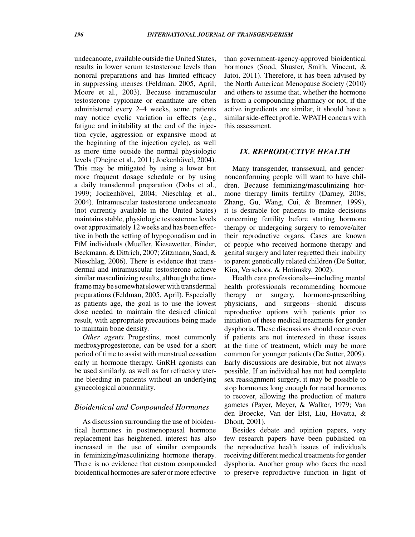undecanoate, available outside the United States, results in lower serum testosterone levels than nonoral preparations and has limited efficacy in suppressing menses (Feldman, 2005, April; Moore et al., 2003). Because intramuscular testosterone cypionate or enanthate are often administered every 2–4 weeks, some patients may notice cyclic variation in effects (e.g., fatigue and irritability at the end of the injection cycle, aggression or expansive mood at the beginning of the injection cycle), as well as more time outside the normal physiologic levels (Dhejne et al., 2011; Jockenhövel, 2004). This may be mitigated by using a lower but more frequent dosage schedule or by using a daily transdermal preparation (Dobs et al., 1999; Jockenhövel, 2004; Nieschlag et al., 2004). Intramuscular testosterone undecanoate (not currently available in the United States) maintains stable, physiologic testosterone levels over approximately 12 weeks and has been effective in both the setting of hypogonadism and in FtM individuals (Mueller, Kiesewetter, Binder, Beckmann, & Dittrich, 2007; Zitzmann, Saad, & Nieschlag, 2006). There is evidence that transdermal and intramuscular testosterone achieve similar masculinizing results, although the timeframe may be somewhat slower with transdermal preparations (Feldman, 2005, April). Especially as patients age, the goal is to use the lowest dose needed to maintain the desired clinical result, with appropriate precautions being made to maintain bone density.

*Other agents.* Progestins, most commonly medroxyprogesterone, can be used for a short period of time to assist with menstrual cessation early in hormone therapy. GnRH agonists can be used similarly, as well as for refractory uterine bleeding in patients without an underlying gynecological abnormality.

#### *Bioidentical and Compounded Hormones*

As discussion surrounding the use of bioidentical hormones in postmenopausal hormone replacement has heightened, interest has also increased in the use of similar compounds in feminizing/masculinizing hormone therapy. There is no evidence that custom compounded bioidentical hormones are safer or more effective than government-agency-approved bioidentical hormones (Sood, Shuster, Smith, Vincent, & Jatoi, 2011). Therefore, it has been advised by the North American Menopause Society (2010) and others to assume that, whether the hormone is from a compounding pharmacy or not, if the active ingredients are similar, it should have a similar side-effect profile. WPATH concurs with this assessment.

#### *IX. REPRODUCTIVE HEALTH*

Many transgender, transsexual, and gendernonconforming people will want to have children. Because feminizing/masculinizing hormone therapy limits fertility (Darney, 2008; Zhang, Gu, Wang, Cui, & Bremner, 1999), it is desirable for patients to make decisions concerning fertility before starting hormone therapy or undergoing surgery to remove/alter their reproductive organs. Cases are known of people who received hormone therapy and genital surgery and later regretted their inability to parent genetically related children (De Sutter, Kira, Verschoor, & Hotimsky, 2002).

Health care professionals—including mental health professionals recommending hormone therapy or surgery, hormone-prescribing physicians, and surgeons—should discuss reproductive options with patients prior to initiation of these medical treatments for gender dysphoria. These discussions should occur even if patients are not interested in these issues at the time of treatment, which may be more common for younger patients (De Sutter, 2009). Early discussions are desirable, but not always possible. If an individual has not had complete sex reassignment surgery, it may be possible to stop hormones long enough for natal hormones to recover, allowing the production of mature gametes (Payer, Meyer, & Walker, 1979; Van den Broecke, Van der Elst, Liu, Hovatta, & Dhont, 2001).

Besides debate and opinion papers, very few research papers have been published on the reproductive health issues of individuals receiving different medical treatments for gender dysphoria. Another group who faces the need to preserve reproductive function in light of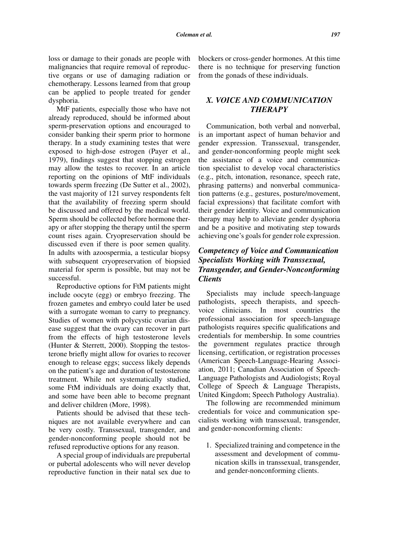loss or damage to their gonads are people with malignancies that require removal of reproductive organs or use of damaging radiation or chemotherapy. Lessons learned from that group can be applied to people treated for gender dysphoria.

MtF patients, especially those who have not already reproduced, should be informed about sperm-preservation options and encouraged to consider banking their sperm prior to hormone therapy. In a study examining testes that were exposed to high-dose estrogen (Payer et al., 1979), findings suggest that stopping estrogen may allow the testes to recover. In an article reporting on the opinions of MtF individuals towards sperm freezing (De Sutter et al., 2002), the vast majority of 121 survey respondents felt that the availability of freezing sperm should be discussed and offered by the medical world. Sperm should be collected before hormone therapy or after stopping the therapy until the sperm count rises again. Cryopreservation should be discussed even if there is poor semen quality. In adults with azoospermia, a testicular biopsy with subsequent cryopreservation of biopsied material for sperm is possible, but may not be successful.

Reproductive options for FtM patients might include oocyte (egg) or embryo freezing. The frozen gametes and embryo could later be used with a surrogate woman to carry to pregnancy. Studies of women with polycystic ovarian disease suggest that the ovary can recover in part from the effects of high testosterone levels (Hunter & Sterrett, 2000). Stopping the testosterone briefly might allow for ovaries to recover enough to release eggs; success likely depends on the patient's age and duration of testosterone treatment. While not systematically studied, some FtM individuals are doing exactly that, and some have been able to become pregnant and deliver children (More, 1998).

Patients should be advised that these techniques are not available everywhere and can be very costly. Transsexual, transgender, and gender-nonconforming people should not be refused reproductive options for any reason.

A special group of individuals are prepubertal or pubertal adolescents who will never develop reproductive function in their natal sex due to blockers or cross-gender hormones. At this time there is no technique for preserving function from the gonads of these individuals.

# *X. VOICE AND COMMUNICATION THERAPY*

Communication, both verbal and nonverbal, is an important aspect of human behavior and gender expression. Transsexual, transgender, and gender-nonconforming people might seek the assistance of a voice and communication specialist to develop vocal characteristics (e.g., pitch, intonation, resonance, speech rate, phrasing patterns) and nonverbal communication patterns (e.g., gestures, posture/movement, facial expressions) that facilitate comfort with their gender identity. Voice and communication therapy may help to alleviate gender dysphoria and be a positive and motivating step towards achieving one's goals for gender role expression.

# *Competency of Voice and Communication Specialists Working with Transsexual, Transgender, and Gender-Nonconforming Clients*

Specialists may include speech-language pathologists, speech therapists, and speechvoice clinicians. In most countries the professional association for speech-language pathologists requires specific qualifications and credentials for membership. In some countries the government regulates practice through licensing, certification, or registration processes (American Speech-Language-Hearing Association, 2011; Canadian Association of Speech-Language Pathologists and Audiologists; Royal College of Speech & Language Therapists, United Kingdom; Speech Pathology Australia).

The following are recommended minimum credentials for voice and communication specialists working with transsexual, transgender, and gender-nonconforming clients:

1. Specialized training and competence in the assessment and development of communication skills in transsexual, transgender, and gender-nonconforming clients.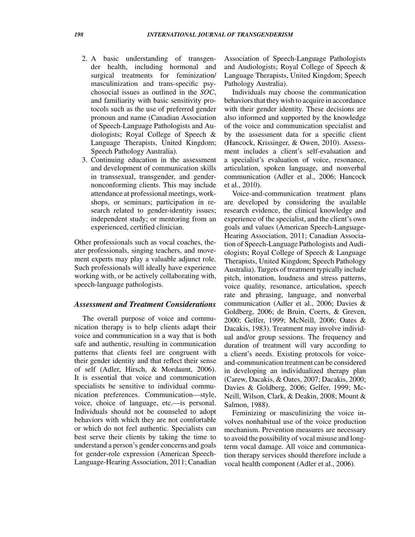- 2. A basic understanding of transgender health, including hormonal and surgical treatments for feminization/ masculinization and trans-specific psychosocial issues as outlined in the *SOC*, and familiarity with basic sensitivity protocols such as the use of preferred gender pronoun and name (Canadian Association of Speech-Language Pathologists and Audiologists; Royal College of Speech & Language Therapists, United Kingdom; Speech Pathology Australia).
- 3. Continuing education in the assessment and development of communication skills in transsexual, transgender, and gendernonconforming clients. This may include attendance at professional meetings, workshops, or seminars; participation in research related to gender-identity issues; independent study; or mentoring from an experienced, certified clinician.

Other professionals such as vocal coaches, theater professionals, singing teachers, and movement experts may play a valuable adjunct role. Such professionals will ideally have experience working with, or be actively collaborating with, speech-language pathologists.

#### *Assessment and Treatment Considerations*

The overall purpose of voice and communication therapy is to help clients adapt their voice and communication in a way that is both safe and authentic, resulting in communication patterns that clients feel are congruent with their gender identity and that reflect their sense of self (Adler, Hirsch, & Mordaunt, 2006). It is essential that voice and communication specialists be sensitive to individual communication preferences. Communication—style, voice, choice of language, etc.—is personal. Individuals should not be counseled to adopt behaviors with which they are not comfortable or which do not feel authentic. Specialists can best serve their clients by taking the time to understand a person's gender concerns and goals for gender-role expression (American Speech-Language-Hearing Association, 2011; Canadian Association of Speech-Language Pathologists and Audiologists; Royal College of Speech & Language Therapists, United Kingdom; Speech Pathology Australia).

Individuals may choose the communication behaviors that they wish to acquire in accordance with their gender identity. These decisions are also informed and supported by the knowledge of the voice and communication specialist and by the assessment data for a specific client (Hancock, Krissinger, & Owen, 2010). Assessment includes a client's self-evaluation and a specialist's evaluation of voice, resonance, articulation, spoken language, and nonverbal communication (Adler et al., 2006; Hancock et al., 2010).

Voice-and-communication treatment plans are developed by considering the available research evidence, the clinical knowledge and experience of the specialist, and the client's own goals and values (American Speech-Language-Hearing Association, 2011; Canadian Association of Speech-Language Pathologists and Audiologists; Royal College of Speech & Language Therapists, United Kingdom; Speech Pathology Australia). Targets of treatment typically include pitch, intonation, loudness and stress patterns, voice quality, resonance, articulation, speech rate and phrasing, language, and nonverbal communication (Adler et al., 2006; Davies & Goldberg, 2006; de Bruin, Coerts, & Greven, 2000; Gelfer, 1999; McNeill, 2006; Oates & Dacakis, 1983). Treatment may involve individual and/or group sessions. The frequency and duration of treatment will vary according to a client's needs. Existing protocols for voiceand-communication treatment can be considered in developing an individualized therapy plan (Carew, Dacakis, & Oates, 2007; Dacakis, 2000; Davies & Goldberg, 2006; Gelfer, 1999; Mc-Neill, Wilson, Clark, & Deakin, 2008; Mount & Salmon, 1988).

Feminizing or masculinizing the voice involves nonhabitual use of the voice production mechanism. Prevention measures are necessary to avoid the possibility of vocal misuse and longterm vocal damage. All voice and communication therapy services should therefore include a vocal health component (Adler et al., 2006).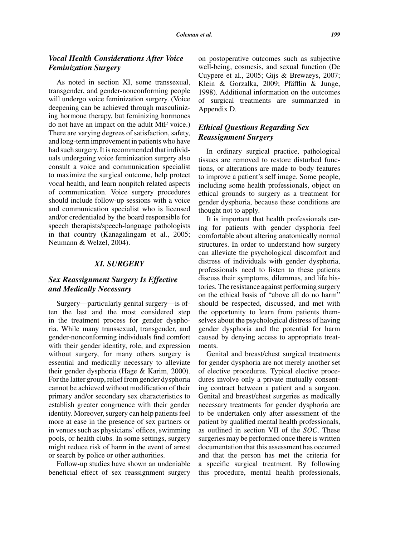# *Vocal Health Considerations After Voice Feminization Surgery*

As noted in section XI, some transsexual, transgender, and gender-nonconforming people will undergo voice feminization surgery. (Voice deepening can be achieved through masculinizing hormone therapy, but feminizing hormones do not have an impact on the adult MtF voice.) There are varying degrees of satisfaction, safety, and long-term improvement in patients who have had such surgery. It is recommended that individuals undergoing voice feminization surgery also consult a voice and communication specialist to maximize the surgical outcome, help protect vocal health, and learn nonpitch related aspects of communication. Voice surgery procedures should include follow-up sessions with a voice and communication specialist who is licensed and/or credentialed by the board responsible for speech therapists/speech-language pathologists in that country (Kanagalingam et al., 2005; Neumann & Welzel, 2004).

#### *XI. SURGERY*

# *Sex Reassignment Surgery Is Effective and Medically Necessary*

Surgery—particularly genital surgery—is often the last and the most considered step in the treatment process for gender dysphoria. While many transsexual, transgender, and gender-nonconforming individuals find comfort with their gender identity, role, and expression without surgery, for many others surgery is essential and medically necessary to alleviate their gender dysphoria (Hage & Karim, 2000). For the latter group, relief from gender dysphoria cannot be achieved without modification of their primary and/or secondary sex characteristics to establish greater congruence with their gender identity. Moreover, surgery can help patients feel more at ease in the presence of sex partners or in venues such as physicians' offices, swimming pools, or health clubs. In some settings, surgery might reduce risk of harm in the event of arrest or search by police or other authorities.

Follow-up studies have shown an undeniable beneficial effect of sex reassignment surgery on postoperative outcomes such as subjective well-being, cosmesis, and sexual function (De Cuypere et al., 2005; Gijs & Brewaeys, 2007; Klein & Gorzalka, 2009; Pfäfflin & Junge, 1998). Additional information on the outcomes of surgical treatments are summarized in Appendix D.

# *Ethical Questions Regarding Sex Reassignment Surgery*

In ordinary surgical practice, pathological tissues are removed to restore disturbed functions, or alterations are made to body features to improve a patient's self image. Some people, including some health professionals, object on ethical grounds to surgery as a treatment for gender dysphoria, because these conditions are thought not to apply.

It is important that health professionals caring for patients with gender dysphoria feel comfortable about altering anatomically normal structures. In order to understand how surgery can alleviate the psychological discomfort and distress of individuals with gender dysphoria, professionals need to listen to these patients discuss their symptoms, dilemmas, and life histories. The resistance against performing surgery on the ethical basis of "above all do no harm" should be respected, discussed, and met with the opportunity to learn from patients themselves about the psychological distress of having gender dysphoria and the potential for harm caused by denying access to appropriate treatments.

Genital and breast/chest surgical treatments for gender dysphoria are not merely another set of elective procedures. Typical elective procedures involve only a private mutually consenting contract between a patient and a surgeon. Genital and breast/chest surgeries as medically necessary treatments for gender dysphoria are to be undertaken only after assessment of the patient by qualified mental health professionals, as outlined in section VII of the *SOC*. These surgeries may be performed once there is written documentation that this assessment has occurred and that the person has met the criteria for a specific surgical treatment. By following this procedure, mental health professionals,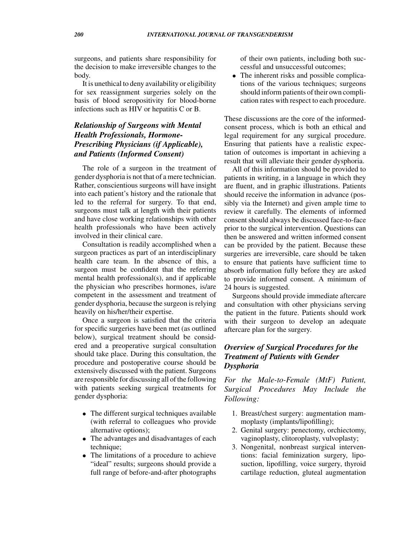surgeons, and patients share responsibility for the decision to make irreversible changes to the body.

It is unethical to deny availability or eligibility for sex reassignment surgeries solely on the basis of blood seropositivity for blood-borne infections such as HIV or hepatitis C or B.

# *Relationship of Surgeons with Mental Health Professionals, Hormone-Prescribing Physicians (if Applicable), and Patients (Informed Consent)*

The role of a surgeon in the treatment of gender dysphoria is not that of a mere technician. Rather, conscientious surgeons will have insight into each patient's history and the rationale that led to the referral for surgery. To that end, surgeons must talk at length with their patients and have close working relationships with other health professionals who have been actively involved in their clinical care.

Consultation is readily accomplished when a surgeon practices as part of an interdisciplinary health care team. In the absence of this, a surgeon must be confident that the referring mental health professional(s), and if applicable the physician who prescribes hormones, is/are competent in the assessment and treatment of gender dysphoria, because the surgeon is relying heavily on his/her/their expertise.

Once a surgeon is satisfied that the criteria for specific surgeries have been met (as outlined below), surgical treatment should be considered and a preoperative surgical consultation should take place. During this consultation, the procedure and postoperative course should be extensively discussed with the patient. Surgeons are responsible for discussing all of the following with patients seeking surgical treatments for gender dysphoria:

- The different surgical techniques available (with referral to colleagues who provide alternative options);
- The advantages and disadvantages of each technique;
- The limitations of a procedure to achieve "ideal" results; surgeons should provide a full range of before-and-after photographs

of their own patients, including both successful and unsuccessful outcomes;

• The inherent risks and possible complications of the various techniques; surgeons should inform patients of their own complication rates with respect to each procedure.

These discussions are the core of the informedconsent process, which is both an ethical and legal requirement for any surgical procedure. Ensuring that patients have a realistic expectation of outcomes is important in achieving a result that will alleviate their gender dysphoria.

All of this information should be provided to patients in writing, in a language in which they are fluent, and in graphic illustrations. Patients should receive the information in advance (possibly via the Internet) and given ample time to review it carefully. The elements of informed consent should always be discussed face-to-face prior to the surgical intervention. Questions can then be answered and written informed consent can be provided by the patient. Because these surgeries are irreversible, care should be taken to ensure that patients have sufficient time to absorb information fully before they are asked to provide informed consent. A minimum of 24 hours is suggested.

Surgeons should provide immediate aftercare and consultation with other physicians serving the patient in the future. Patients should work with their surgeon to develop an adequate aftercare plan for the surgery.

### *Overview of Surgical Procedures for the Treatment of Patients with Gender Dysphoria*

*For the Male-to-Female (MtF) Patient, Surgical Procedures May Include the Following:*

- 1. Breast/chest surgery: augmentation mammoplasty (implants/lipofilling);
- 2. Genital surgery: penectomy, orchiectomy, vaginoplasty, clitoroplasty, vulvoplasty;
- 3. Nongenital, nonbreast surgical interventions: facial feminization surgery, liposuction, lipofilling, voice surgery, thyroid cartilage reduction, gluteal augmentation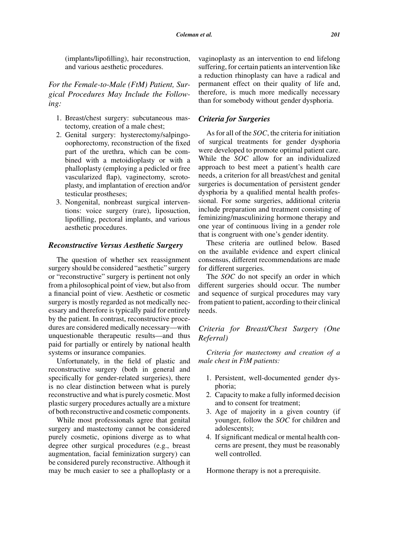(implants/lipofilling), hair reconstruction, and various aesthetic procedures.

*For the Female-to-Male (FtM) Patient, Surgical Procedures May Include the Following:*

- 1. Breast/chest surgery: subcutaneous mastectomy, creation of a male chest;
- 2. Genital surgery: hysterectomy/salpingooophorectomy, reconstruction of the fixed part of the urethra, which can be combined with a metoidioplasty or with a phalloplasty (employing a pedicled or free vascularized flap), vaginectomy, scrotoplasty, and implantation of erection and/or testicular prostheses;
- 3. Nongenital, nonbreast surgical interventions: voice surgery (rare), liposuction, lipofilling, pectoral implants, and various aesthetic procedures.

#### *Reconstructive Versus Aesthetic Surgery*

The question of whether sex reassignment surgery should be considered "aesthetic" surgery or "reconstructive" surgery is pertinent not only from a philosophical point of view, but also from a financial point of view. Aesthetic or cosmetic surgery is mostly regarded as not medically necessary and therefore is typically paid for entirely by the patient. In contrast, reconstructive procedures are considered medically necessary—with unquestionable therapeutic results—and thus paid for partially or entirely by national health systems or insurance companies.

Unfortunately, in the field of plastic and reconstructive surgery (both in general and specifically for gender-related surgeries), there is no clear distinction between what is purely reconstructive and what is purely cosmetic. Most plastic surgery procedures actually are a mixture of both reconstructive and cosmetic components.

While most professionals agree that genital surgery and mastectomy cannot be considered purely cosmetic, opinions diverge as to what degree other surgical procedures (e.g., breast augmentation, facial feminization surgery) can be considered purely reconstructive. Although it may be much easier to see a phalloplasty or a

vaginoplasty as an intervention to end lifelong suffering, for certain patients an intervention like a reduction rhinoplasty can have a radical and permanent effect on their quality of life and, therefore, is much more medically necessary than for somebody without gender dysphoria.

#### *Criteria for Surgeries*

As for all of the *SOC*, the criteria for initiation of surgical treatments for gender dysphoria were developed to promote optimal patient care. While the *SOC* allow for an individualized approach to best meet a patient's health care needs, a criterion for all breast/chest and genital surgeries is documentation of persistent gender dysphoria by a qualified mental health professional. For some surgeries, additional criteria include preparation and treatment consisting of feminizing/masculinizing hormone therapy and one year of continuous living in a gender role that is congruent with one's gender identity.

These criteria are outlined below. Based on the available evidence and expert clinical consensus, different recommendations are made for different surgeries.

The *SOC* do not specify an order in which different surgeries should occur. The number and sequence of surgical procedures may vary from patient to patient, according to their clinical needs.

# *Criteria for Breast/Chest Surgery (One Referral)*

*Criteria for mastectomy and creation of a male chest in FtM patients:*

- 1. Persistent, well-documented gender dysphoria;
- 2. Capacity to make a fully informed decision and to consent for treatment;
- 3. Age of majority in a given country (if younger, follow the *SOC* for children and adolescents);
- 4. If significant medical or mental health concerns are present, they must be reasonably well controlled.

Hormone therapy is not a prerequisite.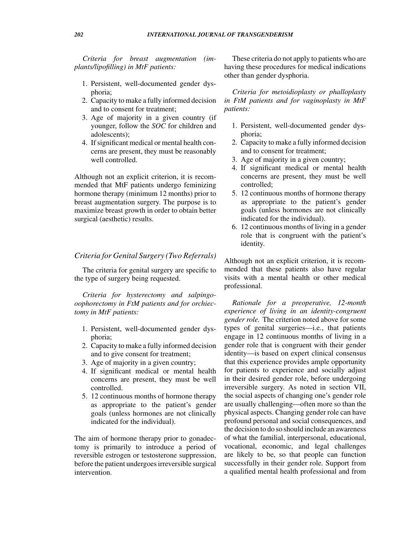*Criteria for breast augmentation (implants/lipofilling) in MtF patients:*

- 1. Persistent, well-documented gender dysphoria;
- 2. Capacity to make a fully informed decision and to consent for treatment;
- 3. Age of majority in a given country (if younger, follow the *SOC* for children and adolescents);
- 4. If significant medical or mental health concerns are present, they must be reasonably well controlled.

Although not an explicit criterion, it is recommended that MtF patients undergo feminizing hormone therapy (minimum 12 months) prior to breast augmentation surgery. The purpose is to maximize breast growth in order to obtain better surgical (aesthetic) results.

#### *Criteria for Genital Surgery (Two Referrals)*

The criteria for genital surgery are specific to the type of surgery being requested.

*Criteria for hysterectomy and salpingooophorectomy in FtM patients and for orchiectomy in MtF patients:*

- 1. Persistent, well-documented gender dysphoria;
- 2. Capacity to make a fully informed decision and to give consent for treatment;
- 3. Age of majority in a given country;
- 4. If significant medical or mental health concerns are present, they must be well controlled.
- 5. 12 continuous months of hormone therapy as appropriate to the patient's gender goals (unless hormones are not clinically indicated for the individual).

The aim of hormone therapy prior to gonadectomy is primarily to introduce a period of reversible estrogen or testosterone suppression, before the patient undergoes irreversible surgical intervention.

These criteria do not apply to patients who are having these procedures for medical indications other than gender dysphoria.

*Criteria for metoidioplasty or phalloplasty in FtM patients and for vaginoplasty in MtF patients:*

- 1. Persistent, well-documented gender dysphoria;
- 2. Capacity to make a fully informed decision and to consent for treatment;
- 3. Age of majority in a given country;
- 4. If significant medical or mental health concerns are present, they must be well controlled;
- 5. 12 continuous months of hormone therapy as appropriate to the patient's gender goals (unless hormones are not clinically indicated for the individual).
- 6. 12 continuous months of living in a gender role that is congruent with the patient's identity.

Although not an explicit criterion, it is recommended that these patients also have regular visits with a mental health or other medical professional.

*Rationale for a preoperative, 12-month experience of living in an identity-congruent gender role.* The criterion noted above for some types of genital surgeries—i.e., that patients engage in 12 continuous months of living in a gender role that is congruent with their gender identity—is based on expert clinical consensus that this experience provides ample opportunity for patients to experience and socially adjust in their desired gender role, before undergoing irreversible surgery. As noted in section VII, the social aspects of changing one's gender role are usually challenging—often more so than the physical aspects. Changing gender role can have profound personal and social consequences, and the decision to do so should include an awareness of what the familial, interpersonal, educational, vocational, economic, and legal challenges are likely to be, so that people can function successfully in their gender role. Support from a qualified mental health professional and from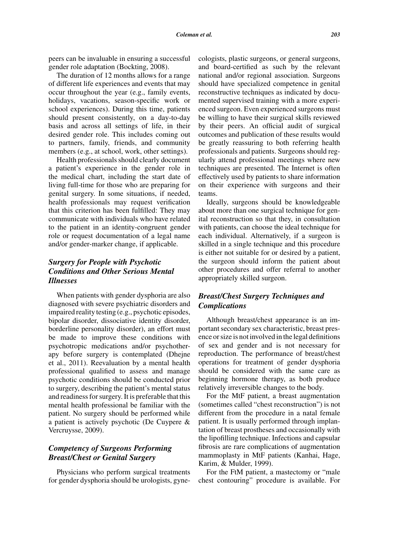peers can be invaluable in ensuring a successful gender role adaptation (Bockting, 2008).

The duration of 12 months allows for a range of different life experiences and events that may occur throughout the year (e.g., family events, holidays, vacations, season-specific work or school experiences). During this time, patients should present consistently, on a day-to-day basis and across all settings of life, in their desired gender role. This includes coming out to partners, family, friends, and community members (e.g., at school, work, other settings).

Health professionals should clearly document a patient's experience in the gender role in the medical chart, including the start date of living full-time for those who are preparing for genital surgery. In some situations, if needed, health professionals may request verification that this criterion has been fulfilled: They may communicate with individuals who have related to the patient in an identity-congruent gender role or request documentation of a legal name and/or gender-marker change, if applicable.

# *Surgery for People with Psychotic Conditions and Other Serious Mental Illnesses*

When patients with gender dysphoria are also diagnosed with severe psychiatric disorders and impaired reality testing (e.g., psychotic episodes, bipolar disorder, dissociative identity disorder, borderline personality disorder), an effort must be made to improve these conditions with psychotropic medications and/or psychotherapy before surgery is contemplated (Dhejne et al., 2011). Reevaluation by a mental health professional qualified to assess and manage psychotic conditions should be conducted prior to surgery, describing the patient's mental status and readiness for surgery. It is preferable that this mental health professional be familiar with the patient. No surgery should be performed while a patient is actively psychotic (De Cuypere & Vercruysse, 2009).

# *Competency of Surgeons Performing Breast/Chest or Genital Surgery*

Physicians who perform surgical treatments for gender dysphoria should be urologists, gynecologists, plastic surgeons, or general surgeons, and board-certified as such by the relevant national and/or regional association. Surgeons should have specialized competence in genital reconstructive techniques as indicated by documented supervised training with a more experienced surgeon. Even experienced surgeons must be willing to have their surgical skills reviewed by their peers. An official audit of surgical outcomes and publication of these results would be greatly reassuring to both referring health professionals and patients. Surgeons should regularly attend professional meetings where new techniques are presented. The Internet is often effectively used by patients to share information on their experience with surgeons and their teams.

Ideally, surgeons should be knowledgeable about more than one surgical technique for genital reconstruction so that they, in consultation with patients, can choose the ideal technique for each individual. Alternatively, if a surgeon is skilled in a single technique and this procedure is either not suitable for or desired by a patient, the surgeon should inform the patient about other procedures and offer referral to another appropriately skilled surgeon.

# *Breast/Chest Surgery Techniques and Complications*

Although breast/chest appearance is an important secondary sex characteristic, breast presence or size is not involved in the legal definitions of sex and gender and is not necessary for reproduction. The performance of breast/chest operations for treatment of gender dysphoria should be considered with the same care as beginning hormone therapy, as both produce relatively irreversible changes to the body.

For the MtF patient, a breast augmentation (sometimes called "chest reconstruction") is not different from the procedure in a natal female patient. It is usually performed through implantation of breast prostheses and occasionally with the lipofilling technique. Infections and capsular fibrosis are rare complications of augmentation mammoplasty in MtF patients (Kanhai, Hage, Karim, & Mulder, 1999).

For the FtM patient, a mastectomy or "male chest contouring" procedure is available. For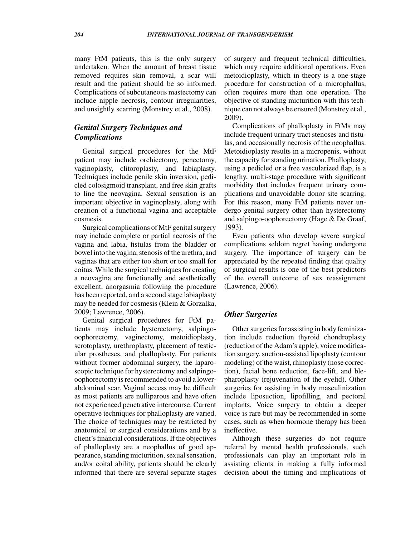many FtM patients, this is the only surgery undertaken. When the amount of breast tissue removed requires skin removal, a scar will result and the patient should be so informed. Complications of subcutaneous mastectomy can include nipple necrosis, contour irregularities, and unsightly scarring (Monstrey et al., 2008).

# *Genital Surgery Techniques and Complications*

Genital surgical procedures for the MtF patient may include orchiectomy, penectomy, vaginoplasty, clitoroplasty, and labiaplasty. Techniques include penile skin inversion, pedicled colosigmoid transplant, and free skin grafts to line the neovagina. Sexual sensation is an important objective in vaginoplasty, along with creation of a functional vagina and acceptable cosmesis.

Surgical complications of MtF genital surgery may include complete or partial necrosis of the vagina and labia, fistulas from the bladder or bowel into the vagina, stenosis of the urethra, and vaginas that are either too short or too small for coitus. While the surgical techniques for creating a neovagina are functionally and aesthetically excellent, anorgasmia following the procedure has been reported, and a second stage labiaplasty may be needed for cosmesis (Klein & Gorzalka, 2009; Lawrence, 2006).

Genital surgical procedures for FtM patients may include hysterectomy, salpingooophorectomy, vaginectomy, metoidioplasty, scrotoplasty, urethroplasty, placement of testicular prostheses, and phalloplasty. For patients without former abdominal surgery, the laparoscopic technique for hysterectomy and salpingooophorectomy is recommended to avoid a lowerabdominal scar. Vaginal access may be difficult as most patients are nulliparous and have often not experienced penetrative intercourse. Current operative techniques for phalloplasty are varied. The choice of techniques may be restricted by anatomical or surgical considerations and by a client's financial considerations. If the objectives of phalloplasty are a neophallus of good appearance, standing micturition, sexual sensation, and/or coital ability, patients should be clearly informed that there are several separate stages of surgery and frequent technical difficulties, which may require additional operations. Even metoidioplasty, which in theory is a one-stage procedure for construction of a microphallus, often requires more than one operation. The objective of standing micturition with this technique can not always be ensured (Monstrey et al., 2009).

Complications of phalloplasty in FtMs may include frequent urinary tract stenoses and fistulas, and occasionally necrosis of the neophallus. Metoidioplasty results in a micropenis, without the capacity for standing urination. Phalloplasty, using a pedicled or a free vascularized flap, is a lengthy, multi-stage procedure with significant morbidity that includes frequent urinary complications and unavoidable donor site scarring. For this reason, many FtM patients never undergo genital surgery other than hysterectomy and salpingo-oophorectomy (Hage & De Graaf, 1993).

Even patients who develop severe surgical complications seldom regret having undergone surgery. The importance of surgery can be appreciated by the repeated finding that quality of surgical results is one of the best predictors of the overall outcome of sex reassignment (Lawrence, 2006).

#### *Other Surgeries*

Other surgeries for assisting in body feminization include reduction thyroid chondroplasty (reduction of the Adam's apple), voice modification surgery, suction-assisted lipoplasty (contour modeling) of the waist, rhinoplasty (nose correction), facial bone reduction, face-lift, and blepharoplasty (rejuvenation of the eyelid). Other surgeries for assisting in body masculinization include liposuction, lipofilling, and pectoral implants. Voice surgery to obtain a deeper voice is rare but may be recommended in some cases, such as when hormone therapy has been ineffective.

Although these surgeries do not require referral by mental health professionals, such professionals can play an important role in assisting clients in making a fully informed decision about the timing and implications of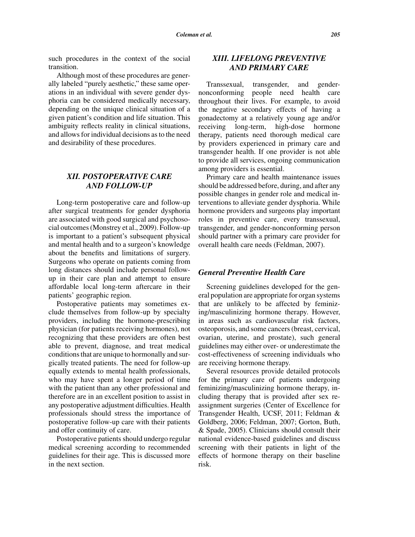such procedures in the context of the social transition.

Although most of these procedures are generally labeled "purely aesthetic," these same operations in an individual with severe gender dysphoria can be considered medically necessary, depending on the unique clinical situation of a given patient's condition and life situation. This ambiguity reflects reality in clinical situations, and allows for individual decisions as to the need and desirability of these procedures.

# *XII. POSTOPERATIVE CARE AND FOLLOW-UP*

Long-term postoperative care and follow-up after surgical treatments for gender dysphoria are associated with good surgical and psychosocial outcomes (Monstrey et al., 2009). Follow-up is important to a patient's subsequent physical and mental health and to a surgeon's knowledge about the benefits and limitations of surgery. Surgeons who operate on patients coming from long distances should include personal followup in their care plan and attempt to ensure affordable local long-term aftercare in their patients' geographic region.

Postoperative patients may sometimes exclude themselves from follow-up by specialty providers, including the hormone-prescribing physician (for patients receiving hormones), not recognizing that these providers are often best able to prevent, diagnose, and treat medical conditions that are unique to hormonally and surgically treated patients. The need for follow-up equally extends to mental health professionals, who may have spent a longer period of time with the patient than any other professional and therefore are in an excellent position to assist in any postoperative adjustment difficulties. Health professionals should stress the importance of postoperative follow-up care with their patients and offer continuity of care.

Postoperative patients should undergo regular medical screening according to recommended guidelines for their age. This is discussed more in the next section.

# *XIII. LIFELONG PREVENTIVE AND PRIMARY CARE*

Transsexual, transgender, and gendernonconforming people need health care throughout their lives. For example, to avoid the negative secondary effects of having a gonadectomy at a relatively young age and/or receiving long-term, high-dose hormone therapy, patients need thorough medical care by providers experienced in primary care and transgender health. If one provider is not able to provide all services, ongoing communication among providers is essential.

Primary care and health maintenance issues should be addressed before, during, and after any possible changes in gender role and medical interventions to alleviate gender dysphoria. While hormone providers and surgeons play important roles in preventive care, every transsexual, transgender, and gender-nonconforming person should partner with a primary care provider for overall health care needs (Feldman, 2007).

#### *General Preventive Health Care*

Screening guidelines developed for the general population are appropriate for organ systems that are unlikely to be affected by feminizing/masculinizing hormone therapy. However, in areas such as cardiovascular risk factors, osteoporosis, and some cancers (breast, cervical, ovarian, uterine, and prostate), such general guidelines may either over- or underestimate the cost-effectiveness of screening individuals who are receiving hormone therapy.

Several resources provide detailed protocols for the primary care of patients undergoing feminizing/masculinizing hormone therapy, including therapy that is provided after sex reassignment surgeries (Center of Excellence for Transgender Health, UCSF, 2011; Feldman & Goldberg, 2006; Feldman, 2007; Gorton, Buth, & Spade, 2005). Clinicians should consult their national evidence-based guidelines and discuss screening with their patients in light of the effects of hormone therapy on their baseline risk.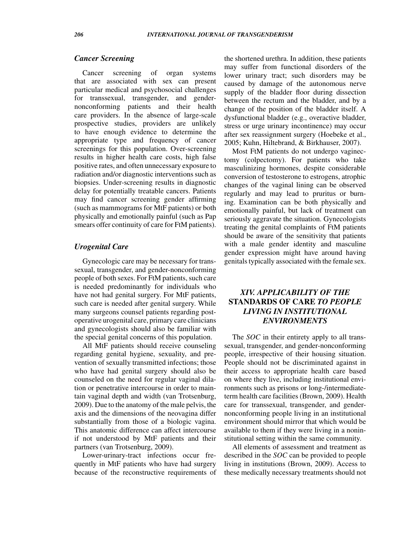#### *Cancer Screening*

Cancer screening of organ systems that are associated with sex can present particular medical and psychosocial challenges for transsexual, transgender, and gendernonconforming patients and their health care providers. In the absence of large-scale prospective studies, providers are unlikely to have enough evidence to determine the appropriate type and frequency of cancer screenings for this population. Over-screening results in higher health care costs, high false positive rates, and often unnecessary exposure to radiation and/or diagnostic interventions such as biopsies. Under-screening results in diagnostic delay for potentially treatable cancers. Patients may find cancer screening gender affirming (such as mammograms for MtF patients) or both physically and emotionally painful (such as Pap smears offer continuity of care for FtM patients).

#### *Urogenital Care*

Gynecologic care may be necessary for transsexual, transgender, and gender-nonconforming people of both sexes. For FtM patients, such care is needed predominantly for individuals who have not had genital surgery. For MtF patients, such care is needed after genital surgery. While many surgeons counsel patients regarding postoperative urogenital care, primary care clinicians and gynecologists should also be familiar with the special genital concerns of this population.

All MtF patients should receive counseling regarding genital hygiene, sexuality, and prevention of sexually transmitted infections; those who have had genital surgery should also be counseled on the need for regular vaginal dilation or penetrative intercourse in order to maintain vaginal depth and width (van Trotsenburg, 2009). Due to the anatomy of the male pelvis, the axis and the dimensions of the neovagina differ substantially from those of a biologic vagina. This anatomic difference can affect intercourse if not understood by MtF patients and their partners (van Trotsenburg, 2009).

Lower-urinary-tract infections occur frequently in MtF patients who have had surgery because of the reconstructive requirements of the shortened urethra. In addition, these patients may suffer from functional disorders of the lower urinary tract; such disorders may be caused by damage of the autonomous nerve supply of the bladder floor during dissection between the rectum and the bladder, and by a change of the position of the bladder itself. A dysfunctional bladder (e.g., overactive bladder, stress or urge urinary incontinence) may occur after sex reassignment surgery (Hoebeke et al., 2005; Kuhn, Hiltebrand, & Birkhauser, 2007).

Most FtM patients do not undergo vaginectomy (colpectomy). For patients who take masculinizing hormones, despite considerable conversion of testosterone to estrogens, atrophic changes of the vaginal lining can be observed regularly and may lead to pruritus or burning. Examination can be both physically and emotionally painful, but lack of treatment can seriously aggravate the situation. Gynecologists treating the genital complaints of FtM patients should be aware of the sensitivity that patients with a male gender identity and masculine gender expression might have around having genitals typically associated with the female sex.

# *XIV. APPLICABILITY OF THE* **STANDARDS OF CARE** *TO PEOPLE LIVING IN INSTITUTIONAL ENVIRONMENTS*

The *SOC* in their entirety apply to all transsexual, transgender, and gender-nonconforming people, irrespective of their housing situation. People should not be discriminated against in their access to appropriate health care based on where they live, including institutional environments such as prisons or long-/intermediateterm health care facilities (Brown, 2009). Health care for transsexual, transgender, and gendernonconforming people living in an institutional environment should mirror that which would be available to them if they were living in a noninstitutional setting within the same community.

All elements of assessment and treatment as described in the *SOC* can be provided to people living in institutions (Brown, 2009). Access to these medically necessary treatments should not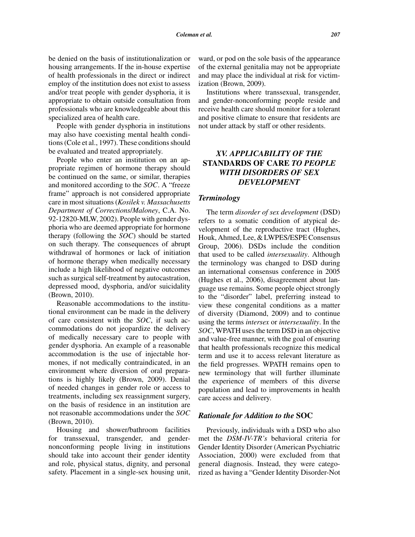be denied on the basis of institutionalization or housing arrangements. If the in-house expertise of health professionals in the direct or indirect employ of the institution does not exist to assess and/or treat people with gender dysphoria, it is appropriate to obtain outside consultation from professionals who are knowledgeable about this specialized area of health care.

People with gender dysphoria in institutions may also have coexisting mental health conditions (Cole et al., 1997). These conditions should be evaluated and treated appropriately.

People who enter an institution on an appropriate regimen of hormone therapy should be continued on the same, or similar, therapies and monitored according to the *SOC*. A "freeze frame" approach is not considered appropriate care in most situations (*Kosilek v. Massachusetts Department of Corrections*/*Maloney*, C.A. No. 92-12820-MLW, 2002). People with gender dysphoria who are deemed appropriate for hormone therapy (following the *SOC*) should be started on such therapy. The consequences of abrupt withdrawal of hormones or lack of initiation of hormone therapy when medically necessary include a high likelihood of negative outcomes such as surgical self-treatment by autocastration, depressed mood, dysphoria, and/or suicidality (Brown, 2010).

Reasonable accommodations to the institutional environment can be made in the delivery of care consistent with the *SOC*, if such accommodations do not jeopardize the delivery of medically necessary care to people with gender dysphoria. An example of a reasonable accommodation is the use of injectable hormones, if not medically contraindicated, in an environment where diversion of oral preparations is highly likely (Brown, 2009). Denial of needed changes in gender role or access to treatments, including sex reassignment surgery, on the basis of residence in an institution are not reasonable accommodations under the *SOC* (Brown, 2010).

Housing and shower/bathroom facilities for transsexual, transgender, and gendernonconforming people living in institutions should take into account their gender identity and role, physical status, dignity, and personal safety. Placement in a single-sex housing unit, ward, or pod on the sole basis of the appearance of the external genitalia may not be appropriate and may place the individual at risk for victimization (Brown, 2009).

Institutions where transsexual, transgender, and gender-nonconforming people reside and receive health care should monitor for a tolerant and positive climate to ensure that residents are not under attack by staff or other residents.

# *XV. APPLICABILITY OF THE* **STANDARDS OF CARE** *TO PEOPLE WITH DISORDERS OF SEX DEVELOPMENT*

### *Terminology*

The term *disorder of sex development* (DSD) refers to a somatic condition of atypical development of the reproductive tract (Hughes, Houk, Ahmed, Lee, & LWPES/ESPE Consensus Group, 2006). DSDs include the condition that used to be called *intersexuality*. Although the terminology was changed to DSD during an international consensus conference in 2005 (Hughes et al., 2006), disagreement about language use remains. Some people object strongly to the "disorder" label, preferring instead to view these congenital conditions as a matter of diversity (Diamond, 2009) and to continue using the terms *intersex* or *intersexuality*. In the *SOC*, WPATH uses the term DSD in an objective and value-free manner, with the goal of ensuring that health professionals recognize this medical term and use it to access relevant literature as the field progresses. WPATH remains open to new terminology that will further illuminate the experience of members of this diverse population and lead to improvements in health care access and delivery.

#### *Rationale for Addition to the* **SOC**

Previously, individuals with a DSD who also met the *DSM-IV-TR's* behavioral criteria for Gender Identity Disorder (American Psychiatric Association, 2000) were excluded from that general diagnosis. Instead, they were categorized as having a "Gender Identity Disorder-Not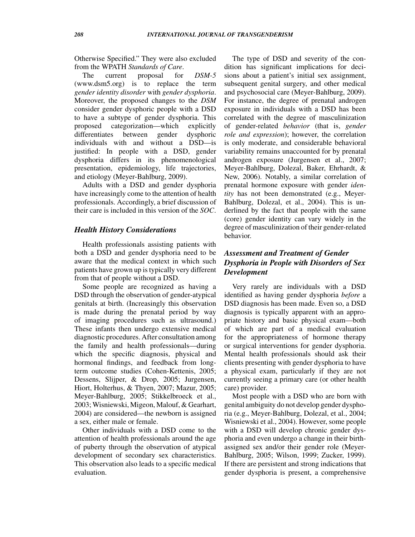Otherwise Specified." They were also excluded from the WPATH *Standards of Care*.

The current proposal for *DSM-5* (www.dsm5.org) is to replace the term *gender identity disorder* with *gender dysphoria*. Moreover, the proposed changes to the *DSM* consider gender dysphoric people with a DSD to have a subtype of gender dysphoria. This proposed categorization—which explicitly differentiates between gender dysphoric individuals with and without a DSD—is justified: In people with a DSD, gender dysphoria differs in its phenomenological presentation, epidemiology, life trajectories, and etiology (Meyer-Bahlburg, 2009).

Adults with a DSD and gender dysphoria have increasingly come to the attention of health professionals. Accordingly, a brief discussion of their care is included in this version of the *SOC*.

### *Health History Considerations*

Health professionals assisting patients with both a DSD and gender dysphoria need to be aware that the medical context in which such patients have grown up is typically very different from that of people without a DSD.

Some people are recognized as having a DSD through the observation of gender-atypical genitals at birth. (Increasingly this observation is made during the prenatal period by way of imaging procedures such as ultrasound.) These infants then undergo extensive medical diagnostic procedures. After consultation among the family and health professionals—during which the specific diagnosis, physical and hormonal findings, and feedback from longterm outcome studies (Cohen-Kettenis, 2005; Dessens, Slijper, & Drop, 2005; Jurgensen, Hiort, Holterhus, & Thyen, 2007; Mazur, 2005; Meyer-Bahlburg, 2005; Stikkelbroeck et al., 2003; Wisniewski, Migeon, Malouf, & Gearhart, 2004) are considered—the newborn is assigned a sex, either male or female.

Other individuals with a DSD come to the attention of health professionals around the age of puberty through the observation of atypical development of secondary sex characteristics. This observation also leads to a specific medical evaluation.

The type of DSD and severity of the condition has significant implications for decisions about a patient's initial sex assignment, subsequent genital surgery, and other medical and psychosocial care (Meyer-Bahlburg, 2009). For instance, the degree of prenatal androgen exposure in individuals with a DSD has been correlated with the degree of masculinization of gender-related *behavior* (that is, *gender role and expression*); however, the correlation is only moderate, and considerable behavioral variability remains unaccounted for by prenatal androgen exposure (Jurgensen et al., 2007; Meyer-Bahlburg, Dolezal, Baker, Ehrhardt, & New, 2006). Notably, a similar correlation of prenatal hormone exposure with gender *identity* has not been demonstrated (e.g., Meyer-Bahlburg, Dolezal, et al., 2004). This is underlined by the fact that people with the same (core) gender identity can vary widely in the degree of masculinization of their gender-related behavior.

### *Assessment and Treatment of Gender Dysphoria in People with Disorders of Sex Development*

Very rarely are individuals with a DSD identified as having gender dysphoria *before* a DSD diagnosis has been made. Even so, a DSD diagnosis is typically apparent with an appropriate history and basic physical exam—both of which are part of a medical evaluation for the appropriateness of hormone therapy or surgical interventions for gender dysphoria. Mental health professionals should ask their clients presenting with gender dysphoria to have a physical exam, particularly if they are not currently seeing a primary care (or other health care) provider.

Most people with a DSD who are born with genital ambiguity do not develop gender dysphoria (e.g., Meyer-Bahlburg, Dolezal, et al., 2004; Wisniewski et al., 2004). However, some people with a DSD will develop chronic gender dysphoria and even undergo a change in their birthassigned sex and/or their gender role (Meyer-Bahlburg, 2005; Wilson, 1999; Zucker, 1999). If there are persistent and strong indications that gender dysphoria is present, a comprehensive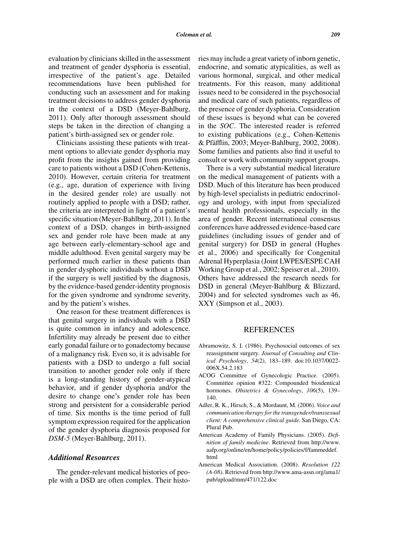evaluation by clinicians skilled in the assessment and treatment of gender dysphoria is essential, irrespective of the patient's age. Detailed recommendations have been published for conducting such an assessment and for making treatment decisions to address gender dysphoria in the context of a DSD (Meyer-Bahlburg, 2011). Only after thorough assessment should steps be taken in the direction of changing a patient's birth-assigned sex or gender role.

Clinicians assisting these patients with treatment options to alleviate gender dysphoria may profit from the insights gained from providing care to patients without a DSD (Cohen-Kettenis, 2010). However, certain criteria for treatment (e.g., age, duration of experience with living in the desired gender role) are usually not routinely applied to people with a DSD; rather, the criteria are interpreted in light of a patient's specific situation (Meyer-Bahlburg, 2011). In the context of a DSD, changes in birth-assigned sex and gender role have been made at any age between early-elementary-school age and middle adulthood. Even genital surgery may be performed much earlier in these patients than in gender dysphoric individuals without a DSD if the surgery is well justified by the diagnosis, by the evidence-based gender-identity prognosis for the given syndrome and syndrome severity, and by the patient's wishes.

One reason for these treatment differences is that genital surgery in individuals with a DSD is quite common in infancy and adolescence. Infertility may already be present due to either early gonadal failure or to gonadectomy because of a malignancy risk. Even so, it is advisable for patients with a DSD to undergo a full social transition to another gender role only if there is a long-standing history of gender-atypical behavior, and if gender dysphoria and/or the desire to change one's gender role has been strong and persistent for a considerable period of time. Six months is the time period of full symptom expression required for the application of the gender dysphoria diagnosis proposed for *DSM-5* (Meyer-Bahlburg, 2011).

#### *Additional Resources*

The gender-relevant medical histories of people with a DSD are often complex. Their histories may include a great variety of inborn genetic, endocrine, and somatic atypicalities, as well as various hormonal, surgical, and other medical treatments. For this reason, many additional issues need to be considered in the psychosocial and medical care of such patients, regardless of the presence of gender dysphoria. Consideration of these issues is beyond what can be covered in the *SOC*. The interested reader is referred to existing publications (e.g., Cohen-Kettenis & Pfafflin, 2003; Meyer-Bahlburg, 2002, 2008). ¨ Some families and patients also find it useful to consult or work with community support groups.

There is a very substantial medical literature on the medical management of patients with a DSD. Much of this literature has been produced by high-level specialists in pediatric endocrinology and urology, with input from specialized mental health professionals, especially in the area of gender. Recent international consensus conferences have addressed evidence-based care guidelines (including issues of gender and of genital surgery) for DSD in general (Hughes et al., 2006) and specifically for Congenital Adrenal Hyperplasia (Joint LWPES/ESPE CAH Working Group et al., 2002; Speiser et al., 2010). Others have addressed the research needs for DSD in general (Meyer-Bahlburg & Blizzard, 2004) and for selected syndromes such as 46, XXY (Simpson et al., 2003).

#### REFERENCES

- Abramowitz, S. I. (1986). Psychosocial outcomes of sex reassignment surgery. *Journal of Consulting and Clinical Psychology*, *54*(2), 183–189. doi:10.1037/0022- 006X.54.2.183
- ACOG Committee of Gynecologic Practice. (2005). Committee opinion #322: Compounded bioidentical hormones. *Obstetrics & Gynecology*, *106*(5), 139– 140.
- Adler, R. K., Hirsch, S., & Mordaunt, M. (2006). *Voice and communication therapy for the transgender/transsexual client: A comprehensive clinical guide*. San Diego, CA: Plural Pub.
- American Academy of Family Physicians. (2005). *Definition of family medicine*. Retrieved from http://www. aafp.org/online/en/home/policy/policies/f/fammeddef. html
- American Medical Association. (2008). *Resolution 122 (A-08)*. Retrieved from http://www.ama-assn.org/ama1/ pub/upload/mm/471/122.doc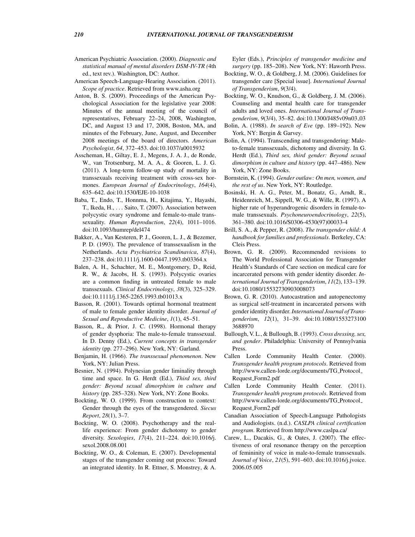- American Psychiatric Association. (2000). *Diagnostic and statistical manual of mental disorders DSM-IV-TR (*4th ed., text rev.). Washington, DC: Author.
- American Speech-Language-Hearing Association. (2011). *Scope of practice*. Retrieved from www.asha.org
- Anton, B. S. (2009). Proceedings of the American Psychological Association for the legislative year 2008: Minutes of the annual meeting of the council of representatives, February 22–24, 2008, Washington, DC, and August 13 and 17, 2008, Boston, MA, and minutes of the February, June, August, and December 2008 meetings of the board of directors. *American Psychologist*, *64*, 372–453. doi:10.1037/a0015932
- Asscheman, H., Giltay, E. J., Megens, J. A. J., de Ronde, W., van Trotsenburg, M. A. A., & Gooren, L. J. G. (2011). A long-term follow-up study of mortality in transsexuals receiving treatment with cross-sex hormones. *European Journal of Endocrinology*, *164*(4), 635–642. doi:10.1530/EJE-10-1038
- Baba, T., Endo, T., Honnma, H., Kitajima, Y., Hayashi, T., Ikeda, H., ... Saito, T. (2007). Association between polycystic ovary syndrome and female-to-male transsexuality. *Human Reproduction*, *22*(4), 1011–1016. doi:10.1093/humrep/del474
- Bakker, A., Van Kesteren, P. J., Gooren, L. J., & Bezemer, P. D. (1993). The prevalence of transsexualism in the Netherlands. *Acta Psychiatrica Scandinavica*, *87*(4), 237–238. doi:10.1111/j.1600-0447.1993.tb03364.x
- Balen, A. H., Schachter, M. E., Montgomery, D., Reid, R. W., & Jacobs, H. S. (1993). Polycystic ovaries are a common finding in untreated female to male transsexuals. *Clinical Endocrinology*, *38*(3), 325–329. doi:10.1111/j.1365-2265.1993.tb01013.x
- Basson, R. (2001). Towards optimal hormonal treatment of male to female gender identity disorder. *Journal of Sexual and Reproductive Medicine*, *1*(1), 45–51.
- Basson, R., & Prior, J. C. (1998). Hormonal therapy of gender dysphoria: The male-to-female transsexual. In D. Denny (Ed.), *Current concepts in transgender identity* (pp. 277–296). New York, NY: Garland.
- Benjamin, H. (1966). *The transsexual phenomenon*. New York, NY: Julian Press.
- Besnier, N. (1994). Polynesian gender liminality through time and space. In G. Herdt (Ed.), *Third sex, third gender: Beyond sexual dimorphism in culture and history* (pp. 285–328). New York, NY: Zone Books.
- Bockting, W. O. (1999). From construction to context: Gender through the eyes of the transgendered. *Siecus Report*, *28*(1), 3–7.
- Bockting, W. O. (2008). Psychotherapy and the reallife experience: From gender dichotomy to gender diversity. *Sexologies*, *17*(4), 211–224. doi:10.1016/j. sexol.2008.08.001
- Bockting, W. O., & Coleman, E. (2007). Developmental stages of the transgender coming out process: Toward an integrated identity. In R. Ettner, S. Monstrey, & A.

Eyler (Eds.), *Principles of transgender medicine and surgery* (pp. 185–208). New York, NY: Haworth Press.

- Bockting, W. O., & Goldberg, J. M. (2006). Guidelines for transgender care [Special issue]. *International Journal of Transgenderism*, *9*(3/4).
- Bockting, W. O., Knudson, G., & Goldberg, J. M. (2006). Counseling and mental health care for transgender adults and loved ones. *International Journal of Transgenderism*, *9*(3/4), 35–82. doi:10.1300/J485v09n03 03
- Bolin, A. (1988). *In search of Eve* (pp. 189–192). New York, NY: Bergin & Garvey.
- Bolin, A. (1994). Transcending and transgendering: Maleto-female transsexuals, dichotomy and diversity. In G. Herdt (Ed.), *Third sex, third gender: Beyond sexual dimorphism in culture and history* (pp. 447–486). New York, NY: Zone Books.
- Bornstein, K. (1994). *Gender outlaw: On men, women, and the rest of us*. New York, NY: Routledge.
- Bosinski, H. A. G., Peter, M., Bonatz, G., Arndt, R., Heidenreich, M., Sippell, W. G., & Wille, R. (1997). A higher rate of hyperandrogenic disorders in female-tomale transsexuals. *Psychoneuroendocrinology*, *22*(5), 361–380. doi:10.1016/S0306-4530(97)00033-4
- Brill, S. A., & Pepper, R. (2008). *The transgender child: A handbook for families and professionals*. Berkeley, CA: Cleis Press.
- Brown, G. R. (2009). Recommended revisions to The World Professional Association for Transgender Health's Standards of Care section on medical care for incarcerated persons with gender identity disorder. *International Journal of Transgenderism*, *11*(2), 133–139. doi:10.1080/15532730903008073
- Brown, G. R. (2010). Autocastration and autopenectomy as surgical self-treatment in incarcerated persons with gender identity disorder. *International Journal of Transgenderism*, *12*(1), 31–39. doi:10.1080/1553273100 3688970
- Bullough, V. L., & Bullough, B. (1993).*Cross dressing, sex, and gender*. Philadelphia: University of Pennsylvania Press.
- Callen Lorde Community Health Center. (2000). *Transgender health program protocols*. Retrieved from http://www.callen-lorde.org/documents/TG Protocol Request Form2.pdf
- Callen Lorde Community Health Center. (2011). *Transgender health program protocols*. Retrieved from http://www.callen-lorde.org/documents/TG Protocol Request Form2.pdf
- Canadian Association of Speech-Language Pathologists and Audiologists. (n.d.). *CASLPA clinical certification program*. Retrieved from http://www.caslpa.ca/
- Carew, L., Dacakis, G., & Oates, J. (2007). The effectiveness of oral resonance therapy on the perception of femininity of voice in male-to-female transsexuals. *Journal of Voice*, *21*(5), 591–603. doi:10.1016/j.jvoice. 2006.05.005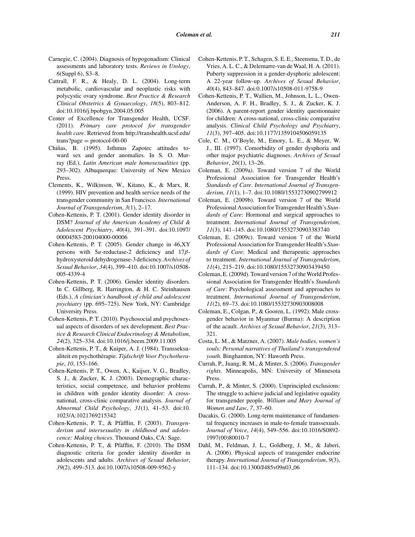- Carnegie, C. (2004). Diagnosis of hypogonadism: Clinical assessments and laboratory tests. *Reviews in Urology*, *6*(Suppl 6), S3–8.
- Cattrall, F. R., & Healy, D. L. (2004). Long-term metabolic, cardiovascular and neoplastic risks with polycystic ovary syndrome. *Best Practice & Research Clinical Obstetrics & Gynaecology*, *18*(5), 803–812. doi:10.1016/j.bpobgyn.2004.05.005
- Center of Excellence for Transgender Health, UCSF. (2011). *Primary care protocol for transgender health care*. Retrieved from http://transhealth.ucsf.edu/  $trans?page = protocol-00-00$
- Chiñas, B. (1995). Isthmus Zapotec attitudes toward sex and gender anomalies. In S. O. Murray (Ed.), *Latin American male homosexualities* (pp. 293–302). Albuquerque: University of New Mexico Press.
- Clements, K., Wilkinson, W., Kitano, K., & Marx, R. (1999). HIV prevention and health service needs of the transgender community in San Francisco. *International Journal of Transgenderism*, *3*(1), 2–17.
- Cohen-Kettenis, P. T. (2001). Gender identity disorder in DSM? *Journal of the American Academy of Child & Adolescent Psychiatry*, *40*(4), 391–391. doi:10.1097/ 00004583-200104000-00006
- Cohen-Kettenis, P. T. (2005). Gender change in 46,XY persons with  $5α$ -reductase-2 deficiency and  $17β$ hydroxysteroid dehydrogenase-3 deficiency. *Archives of Sexual Behavior*, *34*(4), 399–410. doi:10.1007/s10508- 005-4339-4
- Cohen-Kettenis, P. T. (2006). Gender identity disorders. In C. Gillberg, R. Harrington, & H. C. Steinhausen (Eds.), *A clinician's handbook of child and adolescent psychiatry* (pp. 695–725). New York, NY: Cambridge University Press.
- Cohen-Kettenis, P. T. (2010). Psychosocial and psychosexual aspects of disorders of sex development. *Best Practice & Research Clinical Endocrinology & Metabolism*, *24*(2), 325–334. doi:10.1016/j.beem.2009.11.005
- Cohen-Kettenis, P. T., & Kuiper, A. J. (1984). Transseksualiteit en psychothérapie. Tijdschrift Voor Psychothera*pie*, *10*, 153–166.
- Cohen-Kettenis, P. T., Owen, A., Kaijser, V. G., Bradley, S. J., & Zucker, K. J. (2003). Demographic characteristics, social competence, and behavior problems in children with gender identity disorder: A crossnational, cross-clinic comparative analysis. *Journal of Abnormal Child Psychology*, *31*(1), 41–53. doi:10. 1023/A:1021769215342
- Cohen-Kettenis, P. T., & Pfäfflin, F. (2003). *Transgenderism and intersexuality in childhood and adolescence: Making choices*. Thousand Oaks, CA: Sage.
- Cohen-Kettenis, P. T., & Pfäfflin, F. (2010). The DSM diagnostic criteria for gender identity disorder in adolescents and adults. *Archives of Sexual Behavior*, *39*(2), 499–513. doi:10.1007/s10508-009-9562-y
- Cohen-Kettenis, P. T., Schagen, S. E. E., Steensma, T. D., de Vries, A. L. C., & Delemarre-van de Waal, H. A. (2011). Puberty suppression in a gender-dysphoric adolescent: A 22-year follow-up. *Archives of Sexual Behavior*, *40*(4), 843–847. doi:0.1007/s10508-011-9758-9
- Cohen-Kettenis, P. T., Wallien, M., Johnson, L. L., Owen-Anderson, A. F. H., Bradley, S. J., & Zucker, K. J. (2006). A parent-report gender identity questionnaire for children: A cross-national, cross-clinic comparative analysis. *Clinical Child Psychology and Psychiatry*, *11*(3), 397–405. doi:10.1177/1359104506059135
- Cole, C. M., O'Boyle, M., Emory, L. E., & Meyer, W. J., III. (1997). Comorbidity of gender dysphoria and other major psychiatric diagnoses. *Archives of Sexual Behavior*, *26*(1), 13–26.
- Coleman, E. (2009a). Toward version 7 of the World Professional Association for Transgender Health's *Standards of Care*. *International Journal of Transgenderism*, *11*(1), 1–7. doi:10.1080/15532730902799912
- Coleman, E. (2009b). Toward version 7 of the World Professional Association for Transgender Health's *Standards of Care*: Hormonal and surgical approaches to treatment. *International Journal of Transgenderism*, *11*(3), 141–145. doi:10.1080/15532730903383740
- Coleman, E. (2009c). Toward version 7 of the World Professional Association for Transgender Health's *Standards of Care*: Medical and therapeutic approaches to treatment. *International Journal of Transgenderism*, *11*(4), 215–219. doi:10.1080/15532730903439450
- Coleman, E. (2009d). Toward version 7 of the World Professional Association for Transgender Health's *Standards of Care*: Psychological assessment and approaches to treatment. *International Journal of Transgenderism*, *11*(2), 69–73. doi:10.1080/15532730903008008
- Coleman, E., Colgan, P., & Gooren, L. (1992). Male crossgender behavior in Myanmar (Burma): A description of the acault. *Archives of Sexual Behavior*, *21*(3), 313– 321.
- Costa, L. M., & Matzner, A. (2007). *Male bodies, women's souls: Personal narratives of Thailand's transgendered youth*. Binghamton, NY: Haworth Press.
- Currah, P., Juang, R. M., & Minter, S. (2006). *Transgender rights*. Minneapolis, MN: University of Minnesota Press.
- Currah, P., & Minter, S. (2000). Unprincipled exclusions: The struggle to achieve judicial and legislative equality for transgender people. *William and Mary Journal of Women and Law*, *7*, 37–60.
- Dacakis, G. (2000). Long-term maintenance of fundamental frequency increases in male-to-female transsexuals. *Journal of Voice*, *14*(4), 549–556. doi:10.1016/S0892- 1997(00)80010-7
- Dahl, M., Feldman, J. L., Goldberg, J. M., & Jaberi, A. (2006). Physical aspects of transgender endocrine therapy. *International Journal of Transgenderism*, *9*(3), 111–134. doi:10.1300/J485v09n03 06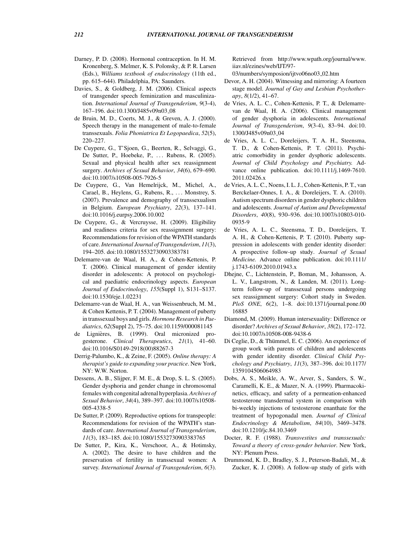- Darney, P. D. (2008). Hormonal contraception. In H. M. Kronenberg, S. Melmer, K. S. Polonsky, & P. R. Larsen (Eds.), *Williams textbook of endocrinology* (11th ed., pp. 615–644). Philadelphia, PA: Saunders.
- Davies, S., & Goldberg, J. M. (2006). Clinical aspects of transgender speech feminization and masculinization. *International Journal of Transgenderism*, *9*(3-4), 167–196. doi:10.1300/J485v09n03 08
- de Bruin, M. D., Coerts, M. J., & Greven, A. J. (2000). Speech therapy in the management of male-to-female transsexuals. *Folia Phoniatrica Et Logopaedica*, *52*(5), 220–227.
- De Cuypere, G., T'Sjoen, G., Beerten, R., Selvaggi, G., De Sutter, P., Hoebeke, P., ... Rubens, R. (2005). Sexual and physical health after sex reassignment surgery. *Archives of Sexual Behavior*, *34*(6), 679–690. doi:10.1007/s10508-005-7926-5
- De Cuypere, G., Van Hemelrijck, M., Michel, A., Carael, B., Heylens, G., Rubens, R., ... Monstrey, S. (2007). Prevalence and demography of transsexualism in Belgium. *European Psychiatry*, *22*(3), 137–141. doi:10.1016/j.eurpsy.2006.10.002
- De Cuypere, G., & Vercruysse, H. (2009). Eligibility and readiness criteria for sex reassignment surgery: Recommendations for revision of the WPATH standards of care. *International Journal of Transgenderism*, *11*(3), 194–205. doi:10.1080/15532730903383781
- Delemarre-van de Waal, H. A., & Cohen-Kettenis, P. T. (2006). Clinical management of gender identity disorder in adolescents: A protocol on psychological and paediatric endocrinology aspects. *European Journal of Endocrinology*, *155*(Suppl 1), S131–S137. doi:10.1530/eje.1.02231
- Delemarre-van de Waal, H. A., van Weissenbruch, M. M., & Cohen Kettenis, P. T. (2004). Management of puberty in transsexual boys and girls. *Hormone Research in Paediatrics*, *62*(Suppl 2), 75–75. doi:10.1159/000081145
- de Lignières, B. (1999). Oral micronized progesterone. *Clinical Therapeutics*, *21*(1), 41–60. doi:10.1016/S0149-2918(00)88267-3
- Derrig-Palumbo, K., & Zeine, F. (2005). *Online therapy: A therapist's guide to expanding your practice*. New York, NY: W.W. Norton.
- Dessens, A. B., Slijper, F. M. E., & Drop, S. L. S. (2005). Gender dysphoria and gender change in chromosomal females with congenital adrenal hyperplasia. *Archives of Sexual Behavior*, *34*(4), 389–397. doi:10.1007/s10508- 005-4338-5
- De Sutter, P. (2009). Reproductive options for transpeople: Recommendations for revision of the WPATH's standards of care. *International Journal of Transgenderism*, *11*(3), 183–185. doi:10.1080/15532730903383765
- De Sutter, P., Kira, K., Verschoor, A., & Hotimsky, A. (2002). The desire to have children and the preservation of fertility in transsexual women: A survey. *International Journal of Transgenderism*, *6*(3).

Retrieved from http://www.wpath.org/journal/www. iiav.nl/ezines/web/IJT/97-

03/numbers/symposion/ijtvo06no03\_02.htm

- Devor, A. H. (2004). Witnessing and mirroring: A fourteen stage model. *Journal of Gay and Lesbian Psychotherapy*, *8*(1/2), 41–67.
- de Vries, A. L. C., Cohen-Kettenis, P. T., & Delemarrevan de Waal, H. A. (2006). Clinical management of gender dysphoria in adolescents. *International Journal of Transgenderism*, *9*(3-4), 83–94. doi:10. 1300/J485v09n03 04
- de Vries, A. L. C., Doreleijers, T. A. H., Steensma, T. D., & Cohen-Kettenis, P. T. (2011). Psychiatric comorbidity in gender dysphoric adolescents. *Journal of Child Psychology and Psychiatry.* Advance online publication. doi:10.1111/j.1469-7610. 2011.02426.x
- de Vries, A. L. C., Noens, I. L. J., Cohen-Kettenis, P. T., van Berckelaer-Onnes, I. A., & Doreleijers, T. A. (2010). Autism spectrum disorders in gender dysphoric children and adolescents. *Journal of Autism and Developmental Disorders*, *40*(8), 930–936. doi:10.1007/s10803-010- 0935-9
- de Vries, A. L. C., Steensma, T. D., Doreleijers, T. A. H., & Cohen-Kettenis, P. T. (2010). Puberty suppression in adolescents with gender identity disorder: A prospective follow-up study. *Journal of Sexual Medicine.* Advance online publication. doi:10.1111/ j.1743-6109.2010.01943.x
- Dhejne, C., Lichtenstein, P., Boman, M., Johansson, A. L. V., Langstrom, N., & Landen, M. (2011). Longterm follow-up of transsexual persons undergoing sex reassignment surgery: Cohort study in Sweden. *PloS ONE*, *6*(2), 1–8. doi:10.1371/journal.pone.00 16885
- Diamond, M. (2009). Human intersexuality: Difference or disorder? *Archives of Sexual Behavior*, *38*(2), 172–172. doi:10.1007/s10508-008-9438-6
- Di Ceglie, D., & Thümmel, E. C. (2006). An experience of group work with parents of children and adolescents with gender identity disorder. *Clinical Child Psychology and Psychiatry*, *11*(3), 387–396. doi:10.1177/ 1359104506064983
- Dobs, A. S., Meikle, A. W., Arver, S., Sanders, S. W., Caramelli, K. E., & Mazer, N. A. (1999). Pharmacokinetics, efficacy, and safety of a permeation-enhanced testosterone transdermal system in comparison with bi-weekly injections of testosterone enanthate for the treatment of hypogonadal men. *Journal of Clinical Endocrinology & Metabolism*, *84*(10), 3469–3478. doi:10.1210/jc.84.10.3469
- Docter, R. F. (1988). *Transvestites and transsexuals: Toward a theory of cross-gender behavior*. New York, NY: Plenum Press.
- Drummond, K. D., Bradley, S. J., Peterson-Badali, M., & Zucker, K. J. (2008). A follow-up study of girls with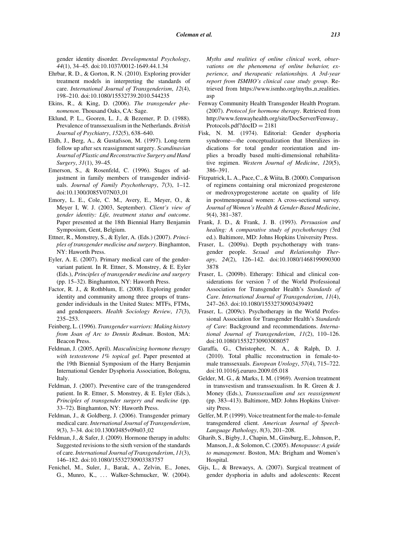gender identity disorder. *Developmental Psychology*, *44*(1), 34–45. doi:10.1037/0012-1649.44.1.34

- Ehrbar, R. D., & Gorton, R. N. (2010). Exploring provider treatment models in interpreting the standards of care. *International Journal of Transgenderism*, *12*(4), 198–210. doi:10.1080/15532739.2010.544235
- Ekins, R., & King, D. (2006). *The transgender phenomenon*. Thousand Oaks, CA: Sage.
- Eklund, P. L., Gooren, L. J., & Bezemer, P. D. (1988). Prevalence of transsexualism in the Netherlands. *British Journal of Psychiatry*, *152*(5), 638–640.
- Eldh, J., Berg, A., & Gustafsson, M. (1997). Long-term follow up after sex reassignment surgery. *Scandinavian Journal of Plastic and Reconstructive Surgery and Hand Surgery*, *31*(1), 39–45.
- Emerson, S., & Rosenfeld, C. (1996). Stages of adjustment in family members of transgender individuals. *Journal of Family Psychotherapy*, *7*(3), 1–12. doi:10.1300/J085V07N03\_01
- Emory, L. E., Cole, C. M., Avery, E., Meyer, O., & Meyer I, W. J. (2003, September). *Client's view of gender identity: Life, treatment status and outcome*. Paper presented at the 18th Biennial Harry Benjamin Symposium, Gent, Belgium.
- Ettner, R., Monstrey, S., & Eyler, A. (Eds.) (2007). *Principles of transgender medicine and surgery*. Binghamton, NY: Haworth Press.
- Eyler, A. E. (2007). Primary medical care of the gendervariant patient. In R. Ettner, S. Monstrey, & E. Eyler (Eds.), *Principles of transgender medicine and surgery* (pp. 15–32). Binghamton, NY: Haworth Press.
- Factor, R. J., & Rothblum, E. (2008). Exploring gender identity and community among three groups of transgender individuals in the United States: MTFs, FTMs, and genderqueers. *Health Sociology Review*, *17*(3), 235–253.
- Feinberg, L. (1996). *Transgender warriors: Making history from Joan of Arc to Dennis Rodman*. Boston, MA: Beacon Press.
- Feldman, J. (2005, April). *Masculinizing hormone therapy with testosterone 1% topical gel*. Paper presented at the 19th Biennial Symposium of the Harry Benjamin International Gender Dysphoria Association, Bologna, Italy.
- Feldman, J. (2007). Preventive care of the transgendered patient. In R. Ettner, S. Monstrey, & E. Eyler (Eds.), *Principles of transgender surgery and medicine* (pp. 33–72). Binghamton, NY: Haworth Press.
- Feldman, J., & Goldberg, J. (2006). Transgender primary medical care. *International Journal of Transgenderism*, *9*(3), 3-34. doi:10.1300/J485v09n03<sub>-02</sub>
- Feldman, J., & Safer, J. (2009). Hormone therapy in adults: Suggested revisions to the sixth version of the standards of care. *International Journal of Transgenderism*, *11*(3), 146–182. doi:10.1080/15532730903383757
- Fenichel, M., Suler, J., Barak, A., Zelvin, E., Jones, G., Munro, K., ... Walker-Schmucker, W. (2004).

*Myths and realities of online clinical work, observations on the phenomena of online behavior, experience, and therapeutic relationships. A 3rd-year report from ISMHO's clinical case study group*. Retrieved from https://www.ismho.org/myths\_n\_realities. asp

- Fenway Community Health Transgender Health Program. (2007). *Protocol for hormone therapy*. Retrieved from http://www.fenwayhealth.org/site/DocServer/Fenway Protocols.pdf?docID = 2181
- Fisk, N. M. (1974). Editorial: Gender dysphoria syndrome—the conceptualization that liberalizes indications for total gender reorientation and implies a broadly based multi-dimensional rehabilitative regimen. *Western Journal of Medicine*, *120*(5), 386–391.
- Fitzpatrick, L. A., Pace, C., & Wiita, B. (2000). Comparison of regimens containing oral micronized progesterone or medroxyprogesterone acetate on quality of life in postmenopausal women: A cross-sectional survey. *Journal of Women's Health & Gender-Based Medicine*, *9*(4), 381–387.
- Frank, J. D., & Frank, J. B. (1993). *Persuasion and healing: A comparative study of psychotherapy (*3rd ed.). Baltimore, MD: Johns Hopkins University Press.
- Fraser, L. (2009a). Depth psychotherapy with transgender people. *Sexual and Relationship Therapy*, *24*(2), 126–142. doi:10.1080/1468199090300 3878
- Fraser, L. (2009b). Etherapy: Ethical and clinical considerations for version 7 of the World Professional Association for Transgender Health's *Standards of Care*. *International Journal of Transgenderism*, *11*(4), 247–263. doi:10.1080/15532730903439492
- Fraser, L. (2009c). Psychotherapy in the World Professional Association for Transgender Health's *Standards of Care*: Background and recommendations. *International Journal of Transgenderism*, *11*(2), 110–126. doi:10.1080/15532730903008057
- Garaffa, G., Christopher, N. A., & Ralph, D. J. (2010). Total phallic reconstruction in female-tomale transsexuals. *European Urology*, *57*(4), 715–722. doi:10.1016/j.eururo.2009.05.018
- Gelder, M. G., & Marks, I. M. (1969). Aversion treatment in transvestism and transsexualism. In R. Green & J. Money (Eds.), *Transsexualism and sex reassignment* (pp. 383–413). Baltimore, MD: Johns Hopkins University Press.
- Gelfer, M. P. (1999). Voice treatment for the male-to-female transgendered client. *American Journal of Speech-Language Pathology*, *8*(3), 201–208.
- Gharib, S., Bigby, J., Chapin, M., Ginsburg, E., Johnson, P., Manson, J., & Solomon, C. (2005). *Menopause: A guide to management*. Boston, MA: Brigham and Women's Hospital.
- Gijs, L., & Brewaeys, A. (2007). Surgical treatment of gender dysphoria in adults and adolescents: Recent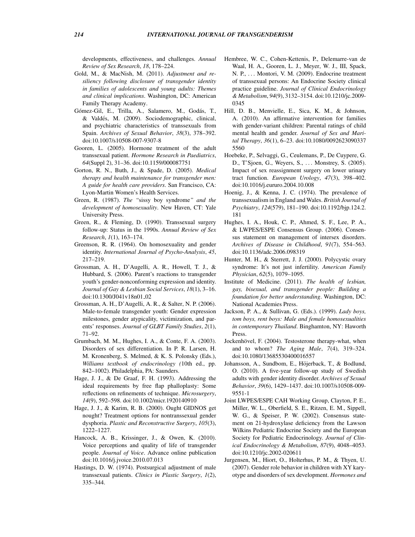developments, effectiveness, and challenges. *Annual Review of Sex Research*, *18*, 178–224.

- Gold, M., & MacNish, M. (2011). *Adjustment and resiliency following disclosure of transgender identity in families of adolescents and young adults: Themes and clinical implications*. Washington, DC: American Family Therapy Academy.
- Gómez-Gil, E., Trilla, A., Salamero, M., Godás, T., & Valdes, M. (2009). Sociodemographic, clinical, ´ and psychiatric characteristics of transsexuals from Spain. *Archives of Sexual Behavior*, *38*(3), 378–392. doi:10.1007/s10508-007-9307-8
- Gooren, L. (2005). Hormone treatment of the adult transsexual patient. *Hormone Research in Paediatrics*, *64*(Suppl 2), 31–36. doi:10.1159/000087751
- Gorton, R. N., Buth, J., & Spade, D. (2005). *Medical therapy and health maintenance for transgender men: A guide for health care providers*. San Francisco, CA: Lyon-Martin Women's Health Services.
- Green, R. (1987). *The "*sissy boy syndrome*" and the development of homosexuality*. New Haven, CT: Yale University Press.
- Green, R., & Fleming, D. (1990). Transsexual surgery follow-up: Status in the 1990s. *Annual Review of Sex Research*, *1*(1), 163–174.
- Greenson, R. R. (1964). On homosexuality and gender identity. *International Journal of Psycho-Analysis*, *45*, 217–219.
- Grossman, A. H., D'Augelli, A. R., Howell, T. J., & Hubbard, S. (2006). Parent's reactions to transgender youth's gender-nonconforming expression and identity. *Journal of Gay & Lesbian Social Services*, *18*(1), 3–16. doi:10.1300/J041v18n01\_02
- Grossman, A. H., D'Augelli, A. R., & Salter, N. P. (2006). Male-to-female transgender youth: Gender expression milestones, gender atypicality, victimization, and parents' responses. *Journal of GLBT Family Studies*, *2*(1), 71–92.
- Grumbach, M. M., Hughes, I. A., & Conte, F. A. (2003). Disorders of sex differentiation. In P. R. Larsen, H. M. Kronenberg, S. Melmed, & K. S. Polonsky (Eds.), *Williams textbook of endocrinology (*10th ed., pp. 842–1002). Philadelphia, PA: Saunders.
- Hage, J. J., & De Graaf, F. H. (1993). Addressing the ideal requirements by free flap phalloplasty: Some reflections on refinements of technique. *Microsurgery*, *14*(9), 592–598. doi:10.1002/micr.1920140910
- Hage, J. J., & Karim, R. B. (2000). Ought GIDNOS get nought? Treatment options for nontranssexual gender dysphoria. *Plastic and Reconstructive Surgery*, *105*(3), 1222–1227.
- Hancock, A. B., Krissinger, J., & Owen, K. (2010). Voice perceptions and quality of life of transgender people. *Journal of Voice*. Advance online publication doi:10.1016/j.jvoice.2010.07.013
- Hastings, D. W. (1974). Postsurgical adjustment of male transsexual patients. *Clinics in Plastic Surgery*, *1*(2), 335–344.
- Hembree, W. C., Cohen-Kettenis, P., Delemarre-van de Waal, H. A., Gooren, L. J., Meyer, W. J., III, Spack, N. P., ... Montori, V. M. (2009). Endocrine treatment of transsexual persons: An Endocrine Society clinical practice guideline. *Journal of Clinical Endocrinology & Metabolism*, *94*(9), 3132–3154. doi:10.1210/jc.2009- 0345
- Hill, D. B., Menvielle, E., Sica, K. M., & Johnson, A. (2010). An affirmative intervention for families with gender-variant children: Parental ratings of child mental health and gender. *Journal of Sex and Marital Therapy*, *36*(1), 6–23. doi:10.1080/0092623090337 5560
- Hoebeke, P., Selvaggi, G., Ceulemans, P., De Cuypere, G. D., T'Sjoen, G., Weyers, S., ... Monstrey, S. (2005). Impact of sex reassignment surgery on lower urinary tract function. *European Urology*, *47*(3), 398–402. doi:10.1016/j.eururo.2004.10.008
- Hoenig, J., & Kenna, J. C. (1974). The prevalence of transsexualism in England and Wales. *British Journal of Psychiatry*, *124*(579), 181–190. doi:10.1192/bjp.124.2. 181
- Hughes, I. A., Houk, C. P., Ahmed, S. F., Lee, P. A., & LWPES/ESPE Consensus Group. (2006). Consensus statement on management of intersex disorders. *Archives of Disease in Childhood*, *91*(7), 554–563. doi:10.1136/adc.2006.098319
- Hunter, M. H., & Sterrett, J. J. (2000). Polycystic ovary syndrome: It's not just infertility. *American Family Physician*, *62*(5), 1079–1095.
- Institute of Medicine. (2011). *The health of lesbian, gay, bisexual, and transgender people: Building a foundation for better understanding*. Washington, DC: National Academies Press.
- Jackson, P. A., & Sullivan, G. (Eds.). (1999). *Lady boys, tom boys, rent boys: Male and female homosexualities in contemporary Thailand*. Binghamton, NY: Haworth Press.
- Jockenhövel, F. (2004). Testosterone therapy-what, when and to whom? *The Aging Male*, *7*(4), 319–324. doi:10.1080/13685530400016557
- Johansson, A., Sundbom, E., Höjerback, T., & Bodlund, O. (2010). A five-year follow-up study of Swedish adults with gender identity disorder. *Archives of Sexual Behavior*, *39*(6), 1429–1437. doi:10.1007/s10508-009- 9551-1
- Joint LWPES/ESPE CAH Working Group, Clayton, P. E., Miller, W. L., Oberfield, S. E., Ritzen, E. M., Sippell, W. G., & Speiser, P. W. (2002). Consensus statement on 21-hydroxylase deficiency from the Lawson Wilkins Pediatric Endocrine Society and the European Society for Pediatric Endocrinology. *Journal of Clinical Endocrinology & Metabolism*, *87*(9), 4048–4053. doi:10.1210/jc.2002-020611
- Jurgensen, M., Hiort, O., Holterhus, P. M., & Thyen, U. (2007). Gender role behavior in children with XY karyotype and disorders of sex development. *Hormones and*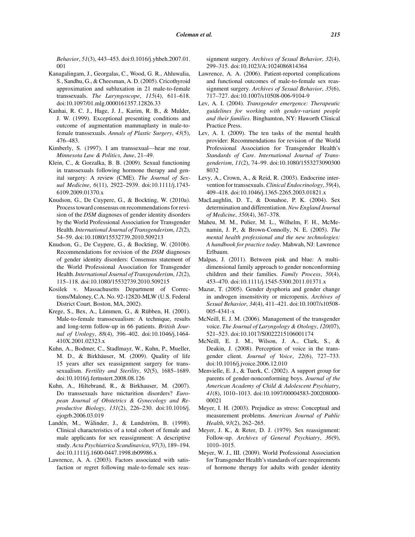*Behavior*, *51*(3), 443–453. doi:0.1016/j.yhbeh.2007.01. 001

- Kanagalingam, J., Georgalas, C., Wood, G. R., Ahluwalia, S., Sandhu, G., & Cheesman, A. D. (2005). Cricothyroid approximation and subluxation in 21 male-to-female transsexuals. *The Laryngoscope*, *115*(4), 611–618. doi:10.1097/01.mlg.0000161357.12826.33
- Kanhai, R. C. J., Hage, J. J., Karim, R. B., & Mulder, J. W. (1999). Exceptional presenting conditions and outcome of augmentation mammaplasty in male-tofemale transsexuals. *Annals of Plastic Surgery*, *43*(5), 476–483.
- Kimberly, S. (1997). I am transsexual—hear me roar. *Minnesota Law & Politics, June*, 21–49.
- Klein, C., & Gorzalka, B. B. (2009). Sexual functioning in transsexuals following hormone therapy and genital surgery: A review (CME). *The Journal of Sexual Medicine*, *6*(11), 2922–2939. doi:10.1111/j.1743- 6109.2009.01370.x
- Knudson, G., De Cuypere, G., & Bockting, W. (2010a). Process toward consensus on recommendations for revision of the *DSM* diagnoses of gender identity disorders by the World Professional Association for Transgender Health. *International Journal of Transgenderism*, *12*(2), 54–59. doi:10.1080/15532739.2010.509213
- Knudson, G., De Cuypere, G., & Bockting, W. (2010b). Recommendations for revision of the *DSM* diagnoses of gender identity disorders: Consensus statement of the World Professional Association for Transgender Health. *International Journal of Transgenderism*, *12*(2), 115–118. doi:10.1080/15532739.2010.509215
- Kosilek v. Massachusetts Department of Corrections/Maloney, C.A. No. 92-12820-MLW (U.S. Federal District Court, Boston, MA, 2002).
- Krege, S., Bex, A., Lümmen, G., & Rübben, H. (2001). Male-to-female transsexualism: A technique, results and long-term follow-up in 66 patients. *British Journal of Urology*, *88*(4), 396–402. doi:10.1046/j.1464- 410X.2001.02323.x
- Kuhn, A., Bodmer, C., Stadlmayr, W., Kuhn, P., Mueller, M. D., & Birkhäuser, M. (2009). Quality of life 15 years after sex reassignment surgery for transsexualism. *Fertility and Sterility*, *92*(5), 1685–1689. doi:10.1016/j.fertnstert.2008.08.126
- Kuhn, A., Hiltebrand, R., & Birkhauser, M. (2007). Do transsexuals have micturition disorders? *European Journal of Obstetrics & Gynecology and Reproductive Biology*, *131*(2), 226–230. doi:10.1016/j. ejogrb.2006.03.019
- Landén, M., Wålinder, J., & Lundström, B. (1998). Clinical characteristics of a total cohort of female and male applicants for sex reassignment: A descriptive study. *Acta Psychiatrica Scandinavica*, *97*(3), 189–194. doi:10.1111/j.1600-0447.1998.tb09986.x
- Lawrence, A. A. (2003). Factors associated with satisfaction or regret following male-to-female sex reas-

signment surgery. *Archives of Sexual Behavior*, *32*(4), 299–315. doi:10.1023/A:1024086814364

- Lawrence, A. A. (2006). Patient-reported complications and functional outcomes of male-to-female sex reassignment surgery. *Archives of Sexual Behavior*, *35*(6), 717–727. doi:10.1007/s10508-006-9104-9
- Lev, A. I. (2004). *Transgender emergence: Therapeutic guidelines for working with gender-variant people and their families*. Binghamton, NY: Haworth Clinical Practice Press.
- Lev, A. I. (2009). The ten tasks of the mental health provider: Recommendations for revision of the World Professional Association for Transgender Health's *Standards of Care*. *International Journal of Transgenderism*, *11*(2), 74–99. doi:10.1080/1553273090300 8032
- Levy, A., Crown, A., & Reid, R. (2003). Endocrine intervention for transsexuals. *Clinical Endocrinology*, *59*(4), 409–418. doi:10.1046/j.1365-2265.2003.01821.x
- MacLaughlin, D. T., & Donahoe, P. K. (2004). Sex determination and differentiation.*New England Journal of Medicine*, *350*(4), 367–378.
- Maheu, M. M., Pulier, M. L., Wilhelm, F. H., McMenamin, J. P., & Brown-Connolly, N. E. (2005). *The mental health professional and the new technologies: A handbook for practice today*. Mahwah, NJ: Lawrence Erlbaum.
- Malpas, J. (2011). Between pink and blue: A multidimensional family approach to gender nonconforming children and their families. *Family Process*, *50*(4), 453–470. doi:10.1111/j.1545-5300.2011.01371.x
- Mazur, T. (2005). Gender dysphoria and gender change in androgen insensitivity or micropenis. *Archives of Sexual Behavior*, *34*(4), 411–421. doi:10.1007/s10508- 005-4341-x
- McNeill, E. J. M. (2006). Management of the transgender voice. *The Journal of Laryngology & Otology*, *120*(07), 521–523. doi:10.1017/S0022215106001174
- McNeill, E. J. M., Wilson, J. A., Clark, S., & Deakin, J. (2008). Perception of voice in the transgender client. *Journal of Voice*, *22*(6), 727–733. doi:10.1016/j.jvoice.2006.12.010
- Menvielle, E. J., & Tuerk, C. (2002). A support group for parents of gender-nonconforming boys. *Journal of the American Academy of Child & Adolescent Psychiatry*, *41*(8), 1010–1013. doi:10.1097/00004583-200208000- 00021
- Meyer, I. H. (2003). Prejudice as stress: Conceptual and measurement problems. *American Journal of Public Health*, *93*(2), 262–265.
- Meyer, J. K., & Reter, D. J. (1979). Sex reassignment: Follow-up. *Archives of General Psychiatry*, *36*(9), 1010–1015.
- Meyer, W. J., III. (2009). World Professional Association for Transgender Health's standards of care requirements of hormone therapy for adults with gender identity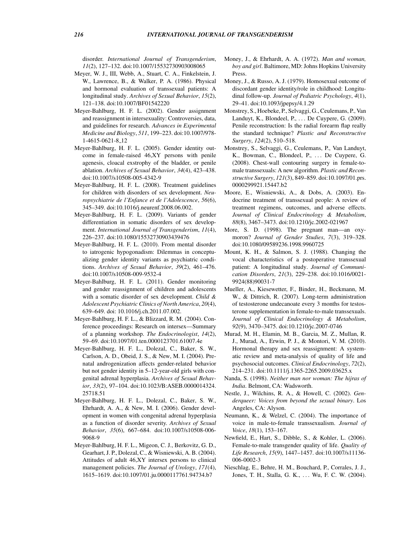disorder. *International Journal of Transgenderism*, *11*(2), 127–132. doi:10.1007/15532730903008065

- Meyer, W. J., III, Webb, A., Stuart, C. A., Finkelstein, J. W., Lawrence, B., & Walker, P. A. (1986). Physical and hormonal evaluation of transsexual patients: A longitudinal study. *Archives of Sexual Behavior*, *15*(2), 121–138. doi:10.1007/BF01542220
- Meyer-Bahlburg, H. F. L. (2002). Gender assignment and reassignment in intersexuality: Controversies, data, and guidelines for research. *Advances in Experimental Medicine and Biology*, *511*, 199–223. doi:10.1007/978- 1-4615-0621-8 12
- Meyer-Bahlburg, H. F. L. (2005). Gender identity outcome in female-raised 46,XY persons with penile agenesis, cloacal exstrophy of the bladder, or penile ablation. *Archives of Sexual Behavior*, *34*(4), 423–438. doi:10.1007/s10508-005-4342-9
- Meyer-Bahlburg, H. F. L. (2008). Treatment guidelines for children with disorders of sex development. *Neuropsychiatrie de l'Enfance et de l'Adolescence*, *56*(6), 345–349. doi:10.1016/j.neurenf.2008.06.002.
- Meyer-Bahlburg, H. F. L. (2009). Variants of gender differentiation in somatic disorders of sex development. *International Journal of Transgenderism*, *11*(4), 226–237. doi:10.1080/15532730903439476
- Meyer-Bahlburg, H. F. L. (2010). From mental disorder to iatrogenic hypogonadism: Dilemmas in conceptualizing gender identity variants as psychiatric conditions. *Archives of Sexual Behavior*, *39*(2), 461–476. doi:10.1007/s10508-009-9532-4
- Meyer-Bahlburg, H. F. L. (2011). Gender monitoring and gender reassignment of children and adolescents with a somatic disorder of sex development. *Child & Adolescent Psychiatric Clinics of North America*, *20*(4), 639–649. doi: 10.1016/j.ch.2011.07.002.
- Meyer-Bahlburg, H. F. L., & Blizzard, R. M. (2004). Conference proceedings: Research on intersex—Summary of a planning workshop. *The Endocrinologist*, *14*(2), 59–69. doi:10.1097/01.ten.0000123701.61007.4e
- Meyer-Bahlburg, H. F. L., Dolezal, C., Baker, S. W., Carlson, A. D., Obeid, J. S., & New, M. I. (2004). Prenatal androgenization affects gender-related behavior but not gender identity in 5–12-year-old girls with congenital adrenal hyperplasia. *Archives of Sexual Behavior*, *33*(2), 97–104. doi:10.1023/B:ASEB.0000014324. 25718.51
- Meyer-Bahlburg, H. F. L., Dolezal, C., Baker, S. W., Ehrhardt, A. A., & New, M. I. (2006). Gender development in women with congenital adrenal hyperplasia as a function of disorder severity. *Archives of Sexual Behavior*, *35*(6), 667–684. doi:10.1007/s10508-006- 9068-9
- Meyer-Bahlburg, H. F. L., Migeon, C. J., Berkovitz, G. D., Gearhart, J. P., Dolezal, C., & Wisniewski, A. B. (2004). Attitudes of adult 46,XY intersex persons to clinical management policies. *The Journal of Urology*, *171*(4), 1615–1619. doi:10.1097/01.ju.0000117761.94734.b7
- Money, J., & Ehrhardt, A. A. (1972). *Man and woman, boy and girl*. Baltimore, MD: Johns Hopkins University Press.
- Money, J., & Russo, A. J. (1979). Homosexual outcome of discordant gender identity/role in childhood: Longitudinal follow-up. *Journal of Pediatric Psychology*, *4*(1), 29–41. doi:10.1093/jpepsy/4.1.29
- Monstrey, S., Hoebeke, P., Selvaggi, G., Ceulemans, P., Van Landuyt, K., Blondeel, P., ... De Cuypere, G. (2009). Penile reconstruction: Is the radial forearm flap really the standard technique? *Plastic and Reconstructive Surgery*, *124*(2), 510–518.
- Monstrey, S., Selvaggi, G., Ceulemans, P., Van Landuyt, K., Bowman, C., Blondeel, P., ... De Cuypere, G. (2008). Chest-wall contouring surgery in female-tomale transsexuals: A new algorithm. *Plastic and Reconstructive Surgery*, *121*(3), 849–859. doi:10.1097/01.prs. 0000299921.15447.b2
- Moore, E., Wisniewski, A., & Dobs, A. (2003). Endocrine treatment of transsexual people: A review of treatment regimens, outcomes, and adverse effects. *Journal of Clinical Endocrinology & Metabolism*, *88*(8), 3467–3473. doi:10.1210/jc.2002-021967
- More, S. D. (1998). The pregnant man—an oxymoron? *Journal of Gender Studies*, *7*(3), 319–328. doi:10.1080/09589236.1998.9960725
- Mount, K. H., & Salmon, S. J. (1988). Changing the vocal characteristics of a postoperative transsexual patient: A longitudinal study. *Journal of Communication Disorders*, *21*(3), 229–238. doi:10.1016/0021- 9924(88)90031-7
- Mueller, A., Kiesewetter, F., Binder, H., Beckmann, M. W., & Dittrich, R. (2007). Long-term administration of testosterone undecanoate every 3 months for testosterone supplementation in female-to-male transsexuals. *Journal of Clinical Endocrinology & Metabolism*, *92*(9), 3470–3475. doi:10.1210/jc.2007-0746
- Murad, M. H., Elamin, M. B., Garcia, M. Z., Mullan, R. J., Murad, A., Erwin, P. J., & Montori, V. M. (2010). Hormonal therapy and sex reassignment: A systematic review and meta-analysis of quality of life and psychosocial outcomes. *Clinical Endocrinology*, *72*(2), 214–231. doi:10.1111/j.1365-2265.2009.03625.x
- Nanda, S. (1998). *Neither man nor woman: The hijras of India*. Belmont, CA: Wadsworth.
- Nestle, J., Wilchins, R. A., & Howell, C. (2002). *Genderqueer: Voices from beyond the sexual binary*. Los Angeles, CA: Alyson.
- Neumann, K., & Welzel, C. (2004). The importance of voice in male-to-female transsexualism. *Journal of Voice*, *18*(1), 153–167.
- Newfield, E., Hart, S., Dibble, S., & Kohler, L. (2006). Female-to-male transgender quality of life. *Quality of Life Research*, *15*(9), 1447–1457. doi:10.1007/s11136- 006-0002-3
- Nieschlag, E., Behre, H. M., Bouchard, P., Corrales, J. J., Jones, T. H., Stalla, G. K., ... Wu, F. C. W. (2004).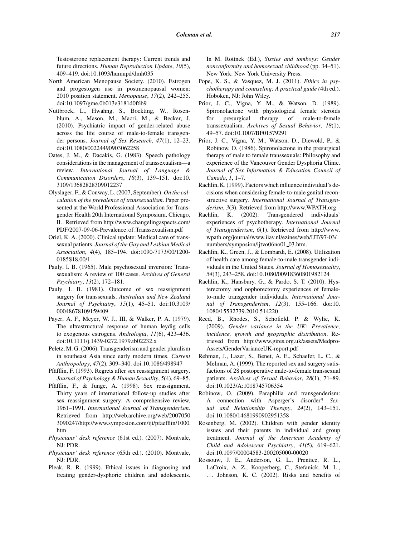Testosterone replacement therapy: Current trends and future directions. *Human Reproduction Update*, *10*(5), 409–419. doi:10.1093/humupd/dmh035

- North American Menopause Society. (2010). Estrogen and progestogen use in postmenopausal women: 2010 position statement. *Menopause*, *17*(2), 242–255. doi:10.1097/gme.0b013e3181d0f6b9
- Nuttbrock, L., Hwahng, S., Bockting, W., Rosenblum, A., Mason, M., Macri, M., & Becker, J. (2010). Psychiatric impact of gender-related abuse across the life course of male-to-female transgender persons. *Journal of Sex Research*, *47*(1), 12–23. doi:10.1080/00224490903062258
- Oates, J. M., & Dacakis, G. (1983). Speech pathology considerations in the management of transsexualism—a review. *International Journal of Language & Communication Disorders*, *18*(3), 139–151. doi:10. 3109/13682828309012237
- Olyslager, F., & Conway, L. (2007, September). *On the calculation of the prevalence of transsexualism*. Paper presented at the World Professional Association for Transgender Health 20th International Symposium, Chicago, IL. Retrieved from http://www.changelingaspects.com/ PDF/2007-09-06-Prevalence of Transsexualism.pdf
- Oriel, K. A. (2000). Clinical update: Medical care of transsexual patients. *Journal of the Gay and Lesbian Medical Association*, *4*(4), 185–194. doi:1090-7173/00/1200- 0185\$18.00/1
- Pauly, I. B. (1965). Male psychosexual inversion: Transsexualism: A review of 100 cases. *Archives of General Psychiatry*, *13*(2), 172–181.
- Pauly, I. B. (1981). Outcome of sex reassignment surgery for transsexuals. *Australian and New Zealand Journal of Psychiatry*, *15*(1), 45–51. doi:10.3109/ 00048678109159409
- Payer, A. F., Meyer, W. J., III, & Walker, P. A. (1979). The ultrastructural response of human leydig cells to exogenous estrogens. *Andrologia*, *11*(6), 423–436. doi:10.1111/j.1439-0272.1979.tb02232.x
- Peletz, M. G. (2006). Transgenderism and gender pluralism in southeast Asia since early modern times. *Current Anthropology*, *47*(2), 309–340. doi:10.1086/498947
- Pfäfflin, F. (1993). Regrets after sex reassignment surgery. *Journal of Psychology & Human Sexuality*, *5*(4), 69–85.
- Pfäfflin, F., & Junge, A. (1998). Sex reassignment. Thirty years of international follow-up studies after sex reassignment surgery: A comprehensive review, 1961–1991. *International Journal of Transgenderism*. Retrieved from http://web.archive.org/web/2007050 3090247/http://www.symposion.com/ijt/pfaefflin/1000. htm
- *Physicians' desk reference* (61st ed.). (2007). Montvale, NJ: PDR.
- *Physicians' desk reference* (65th ed.). (2010). Montvale, NJ: PDR.
- Pleak, R. R. (1999). Ethical issues in diagnosing and treating gender-dysphoric children and adolescents.

In M. Rottnek (Ed.), *Sissies and tomboys: Gender nonconformity and homosexual childhood* (pp. 34–51). New York: New York University Press.

- Pope, K. S., & Vasquez, M. J. (2011). *Ethics in psychotherapy and counseling: A practical guide (*4th ed.). Hoboken, NJ: John Wiley.
- Prior, J. C., Vigna, Y. M., & Watson, D. (1989). Spironolactone with physiological female steroids for presurgical therapy of male-to-female transsexualism. *Archives of Sexual Behavior*, *18*(1), 49–57. doi:10.1007/BF01579291
- Prior, J. C., Vigna, Y. M., Watson, D., Diewold, P., & Robinow, O. (1986). Spironolactone in the presurgical therapy of male to female transsexuals: Philosophy and experience of the Vancouver Gender Dysphoria Clinic. *Journal of Sex Information & Education Council of Canada*, *1*, 1–7.
- Rachlin, K. (1999). Factors which influence individual's decisions when considering female-to-male genital reconstructive surgery. *International Journal of Transgenderism*, *3*(3). Retrieved from http://www.WPATH.org
- Rachlin, K. (2002). Transgendered individuals' experiences of psychotherapy. *International Journal of Transgenderism*, *6*(1). Retrieved from http://www. wpath.org/journal/www.iiav.nl/ezines/web/IJT/97-03/ numbers/symposion/ijtvo06no01\_03.htm.
- Rachlin, K., Green, J., & Lombardi, E. (2008). Utilization of health care among female-to-male transgender individuals in the United States. *Journal of Homosexuality*, *54*(3), 243–258. doi:10.1080/00918360801982124
- Rachlin, K., Hansbury, G., & Pardo, S. T. (2010). Hysterectomy and oophorectomy experiences of femaleto-male transgender individuals. *International Journal of Transgenderism*, *12*(3), 155–166. doi:10. 1080/15532739.2010.514220
- Reed, B., Rhodes, S., Schofield, P. & Wylie, K. (2009). *Gender variance in the UK: Prevalence, incidence, growth and geographic distribution*. Retrieved from http://www.gires.org.uk/assets/Medpro-Assets/GenderVarianceUK-report.pdf
- Rehman, J., Lazer, S., Benet, A. E., Schaefer, L. C., & Melman, A. (1999). The reported sex and surgery satisfactions of 28 postoperative male-to-female transsexual patients. *Archives of Sexual Behavior*, *28*(1), 71–89. doi:10.1023/A:1018745706354
- Robinow, O. (2009). Paraphilia and transgenderism: A connection with Asperger's disorder? *Sexual and Relationship Therapy*, *24*(2), 143–151. doi:10.1080/14681990902951358
- Rosenberg, M. (2002). Children with gender identity issues and their parents in individual and group treatment. *Journal of the American Academy of Child and Adolescent Psychiatry*, *41*(5), 619–621. doi:10.1097/00004583-200205000-00020
- Rossouw, J. E., Anderson, G. L., Prentice, R. L., LaCroix, A. Z., Kooperberg, C., Stefanick, M. L., ... Johnson, K. C. (2002). Risks and benefits of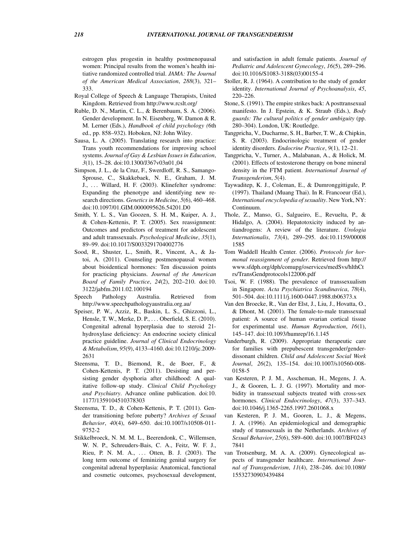estrogen plus progestin in healthy postmenopausal women: Principal results from the women's health initiative randomized controlled trial. *JAMA: The Journal of the American Medical Association*, *288*(3), 321– 333.

- Royal College of Speech & Language Therapists, United Kingdom. Retrieved from http://www.rcslt.org/
- Ruble, D. N., Martin, C. L., & Berenbaum, S. A. (2006). Gender development. In N. Eisenberg, W. Damon & R. M. Lerner (Eds.), *Handbook of child psychology (*6th ed., pp. 858–932). Hoboken, NJ: John Wiley.
- Sausa, L. A. (2005). Translating research into practice: Trans youth recommendations for improving school systems. *Journal of Gay & Lesbian Issues in Education*, 3(1), 15–28. doi:10.1300/J367v03n01<sub>-04</sub>
- Simpson, J. L., de la Cruz, F., Swerdloff, R. S., Samango-Sprouse, C., Skakkebaek, N. E., Graham, J. M. J., ... Willard, H. F. (2003). Klinefelter syndrome: Expanding the phenotype and identifying new research directions. *Genetics in Medicine*, *5*(6), 460–468. doi:10.1097/01.GIM.0000095626.54201.D0
- Smith, Y. L. S., Van Goozen, S. H. M., Kuiper, A. J., & Cohen-Kettenis, P. T. (2005). Sex reassignment: Outcomes and predictors of treatment for adolescent and adult transsexuals. *Psychological Medicine*, *35*(1), 89–99. doi:10.1017/S0033291704002776
- Sood, R., Shuster, L., Smith, R., Vincent, A., & Jatoi, A. (2011). Counseling postmenopausal women about bioidentical hormones: Ten discussion points for practicing physicians. *Journal of the American Board of Family Practice*, *24*(2), 202–210. doi:10. 3122/jabfm.2011.02.100194
- Speech Pathology Australia. Retrieved from http://www.speechpathologyaustralia.org.au/
- Speiser, P. W., Azziz, R., Baskin, L. S., Ghizzoni, L., Hensle, T. W., Merke, D. P., ... Oberfield, S. E. (2010). Congenital adrenal hyperplasia due to steroid 21 hydroxylase deficiency: An endocrine society clinical practice guideline. *Journal of Clinical Endocrinology & Metabolism*, *95*(9), 4133–4160. doi:10.1210/jc.2009- 2631
- Steensma, T. D., Biemond, R., de Boer, F., & Cohen-Kettenis, P. T. (2011). Desisting and persisting gender dysphoria after childhood: A qualitative follow-up study. *Clinical Child Psychology and Psychiatry*. Advance online publication. doi:10. 1177/1359104510378303
- Steensma, T. D., & Cohen-Kettenis, P. T. (2011). Gender transitioning before puberty? *Archives of Sexual Behavior*, *40*(4), 649–650. doi:10.1007/s10508-011- 9752-2
- Stikkelbroeck, N. M. M. L., Beerendonk, C., Willemsen, W. N. P., Schreuders-Bais, C. A., Feitz, W. F. J., Rieu, P. N. M. A., ... Otten, B. J. (2003). The long term outcome of feminizing genital surgery for congenital adrenal hyperplasia: Anatomical, functional and cosmetic outcomes, psychosexual development,

and satisfaction in adult female patients. *Journal of Pediatric and Adolescent Gynecology*, *16*(5), 289–296. doi:10.1016/S1083-3188(03)00155-4

- Stoller, R. J. (1964). A contribution to the study of gender identity. *International Journal of Psychoanalysis*, *45*, 220–226.
- Stone, S. (1991). The empire strikes back: A posttransexual manifesto. In J. Epstein, & K. Straub (Eds.), *Body guards: The cultural politics of gender ambiguity* (pp. 280–304). London, UK: Routledge.
- Tangpricha, V., Ducharme, S. H., Barber, T. W., & Chipkin, S. R. (2003). Endocrinologic treatment of gender identity disorders. *Endocrine Practice*, *9*(1), 12–21.
- Tangpricha, V., Turner, A., Malabanan, A., & Holick, M. (2001). Effects of testosterone therapy on bone mineral density in the FTM patient. *International Journal of Transgenderism*, *5*(4).
- Taywaditep, K. J., Coleman, E., & Dumronggittigule, P. (1997). Thailand (Muang Thai). In R. Francoeur (Ed.), *International encyclopedia of sexuality*. New York, NY: Continuum.
- Thole, Z., Manso, G., Salgueiro, E., Revuelta, P., & Hidalgo, A. (2004). Hepatotoxicity induced by antiandrogens: A review of the literature. *Urologia Internationalis*, *73*(4), 289–295. doi:10.1159/00008 1585
- Tom Waddell Health Center. (2006). *Protocols for hormonal reassignment of gender*. Retrieved from http:// www.sfdph.org/dph/comupg/oservices/medSvs/hlthCt rs/TransGendprotocols122006.pdf
- Tsoi, W. F. (1988). The prevalence of transsexualism in Singapore. *Acta Psychiatrica Scandinavica*, *78*(4), 501–504. doi:10.1111/j.1600-0447.1988.tb06373.x
- Van den Broecke, R., Van der Elst, J., Liu, J., Hovatta, O., & Dhont, M. (2001). The female-to-male transsexual patient: A source of human ovarian cortical tissue for experimental use. *Human Reproduction*, *16*(1), 145–147. doi:10.1093/humrep/16.1.145
- Vanderburgh, R. (2009). Appropriate therapeutic care for families with prepubescent transgender/genderdissonant children. *Child and Adolescent Social Work Journal*, *26*(2), 135–154. doi:10.1007/s10560-008- 0158-5
- van Kesteren, P. J. M., Asscheman, H., Megens, J. A. J., & Gooren, L. J. G. (1997). Mortality and morbidity in transsexual subjects treated with cross-sex hormones. *Clinical Endocrinology*, *47*(3), 337–343. doi:10.1046/j.1365-2265.1997.2601068.x
- van Kesteren, P. J. M., Gooren, L. J., & Megens, J. A. (1996). An epidemiological and demographic study of transsexuals in the Netherlands. *Archives of Sexual Behavior*, *25*(6), 589–600. doi:10.1007/BF0243 7841
- van Trotsenburg, M. A. A. (2009). Gynecological aspects of transgender healthcare. *International Journal of Transgenderism*, *11*(4), 238–246. doi:10.1080/ 15532730903439484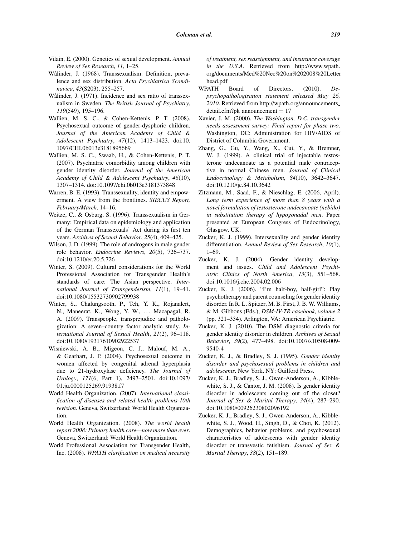- Vilain, E. (2000). Genetics of sexual development. *Annual Review of Sex Research*, *11*, 1–25.
- Wålinder, J. (1968). Transsexualism: Definition, prevalence and sex distribution. *Acta Psychiatrica Scandinavica*, *43*(S203), 255–257.
- Wålinder, J. (1971). Incidence and sex ratio of transsexualism in Sweden. *The British Journal of Psychiatry*, *119*(549), 195–196.
- Wallien, M. S. C., & Cohen-Kettenis, P. T. (2008). Psychosexual outcome of gender-dysphoric children. *Journal of the American Academy of Child & Adolescent Psychiatry*, *47*(12), 1413–1423. doi:10. 1097/CHI.0b013e31818956b9
- Wallien, M. S. C., Swaab, H., & Cohen-Kettenis, P. T. (2007). Psychiatric comorbidity among children with gender identity disorder. *Journal of the American Academy of Child & Adolescent Psychiatry*, *46*(10), 1307–1314. doi:10.1097/chi.0b013e3181373848
- Warren, B. E. (1993). Transsexuality, identity and empowerment. A view from the frontlines. *SIECUS Report, February/March*, 14–16.
- Weitze, C., & Osburg, S. (1996). Transsexualism in Germany: Empirical data on epidemiology and application of the German Transsexuals' Act during its first ten years. *Archives of Sexual Behavior*, *25*(4), 409–425.
- Wilson, J. D. (1999). The role of androgens in male gender role behavior. *Endocrine Reviews*, *20*(5), 726–737. doi:10.1210/er.20.5.726
- Winter, S. (2009). Cultural considerations for the World Professional Association for Transgender Health's standards of care: The Asian perspective. *International Journal of Transgenderism*, *11*(1), 19–41. doi:10.1080/15532730902799938
- Winter, S., Chalungsooth, P., Teh, Y. K., Rojanalert, N., Maneerat, K., Wong, Y. W., ... Macapagal, R. A. (2009). Transpeople, transprejudice and pathologization: A seven–country factor analytic study. *International Journal of Sexual Health*, *21*(2), 96–118. doi:10.1080/19317610902922537
- Wisniewski, A. B., Migeon, C. J., Malouf, M. A., & Gearhart, J. P. (2004). Psychosexual outcome in women affected by congenital adrenal hyperplasia due to 21-hydroxylase deficiency. *The Journal of Urology*, *171*(6, Part 1), 2497–2501. doi:10.1097/ 01.ju.0000125269.91938.f7
- World Health Organization. (2007). *International classification of diseases and related health problems-10th revision*. Geneva, Switzerland: World Health Organization.
- World Health Organization. (2008). *The world health report 2008: Primary health care—now more than ever*. Geneva, Switzerland: World Health Organization.
- World Professional Association for Transgender Health, Inc. (2008). *WPATH clarification on medical necessity*

*of treatment, sex reassignment, and insurance coverage in the U.S.A*. Retrieved from http://www.wpath. org/documents/Med%20Nec%20on%202008%20Letter head.pdf

- WPATH Board of Directors. (2010). *Depsychopathologisation statement released May 26, 2010*. Retrieved from http://wpath.org/announcements detail.cfm?pk\_announcement = 17
- Xavier, J. M. (2000). *The Washington, D.C. transgender needs assessment survey: Final report for phase two*. Washington, DC: Administration for HIV/AIDS of District of Columbia Government.
- Zhang, G., Gu, Y., Wang, X., Cui, Y., & Bremner, W. J. (1999). A clinical trial of injectable testosterone undecanoate as a potential male contraceptive in normal Chinese men. *Journal of Clinical Endocrinology & Metabolism*, *84*(10), 3642–3647. doi:10.1210/jc.84.10.3642
- Zitzmann, M., Saad, F., & Nieschlag, E. (2006, April). *Long term experience of more than 8 years with a novel formulation of testosterone undecanoate (nebido) in substitution therapy of hypogonadal men*. Paper presented at European Congress of Endocrinology, Glasgow, UK.
- Zucker, K. J. (1999). Intersexuality and gender identity differentiation. *Annual Review of Sex Research*, *10*(1), 1–69.
- Zucker, K. J. (2004). Gender identity development and issues. *Child and Adolescent Psychiatric Clinics of North America*, *13*(3), 551–568. doi:10.1016/j.chc.2004.02.006
- Zucker, K. J. (2006). "I'm half-boy, half-girl": Play psychotherapy and parent counseling for gender identity disorder. In R. L. Spitzer, M. B. First, J. B. W. Williams, & M. Gibbons (Eds.), *DSM-IV-TR casebook, volume 2* (pp. 321–334). Arlington, VA: American Psychiatric.
- Zucker, K. J. (2010). The DSM diagnostic criteria for gender identity disorder in children. *Archives of Sexual Behavior*, *39*(2), 477–498. doi:10.1007/s10508-009- 9540-4
- Zucker, K. J., & Bradley, S. J. (1995). *Gender identity disorder and psychosexual problems in children and adolescents*. New York, NY: Guilford Press.
- Zucker, K. J., Bradley, S. J., Owen-Anderson, A., Kibblewhite, S. J., & Cantor, J. M. (2008). Is gender identity disorder in adolescents coming out of the closet? *Journal of Sex & Marital Therapy*, *34*(4), 287–290. doi:10.1080/00926230802096192
- Zucker, K. J., Bradley, S. J., Owen-Anderson, A., Kibblewhite, S. J., Wood, H., Singh, D., & Choi, K. (2012). Demographics, behavior problems, and psychosexual characteristics of adolescents with gender identity disorder or transvestic fetishism. *Journal of Sex & Marital Therapy*, *38*(2), 151–189.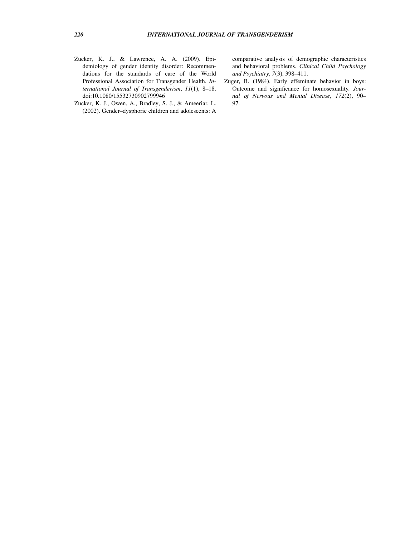- Zucker, K. J., & Lawrence, A. A. (2009). Epidemiology of gender identity disorder: Recommendations for the standards of care of the World Professional Association for Transgender Health. *International Journal of Transgenderism*, *11*(1), 8–18. doi:10.1080/15532730902799946
- Zucker, K. J., Owen, A., Bradley, S. J., & Ameeriar, L. (2002). Gender–dysphoric children and adolescents: A

comparative analysis of demographic characteristics and behavioral problems. *Clinical Child Psychology and Psychiatry*, *7*(3), 398–411.

Zuger, B. (1984). Early effeminate behavior in boys: Outcome and significance for homosexuality. *Journal of Nervous and Mental Disease*, *172*(2), 90– 97.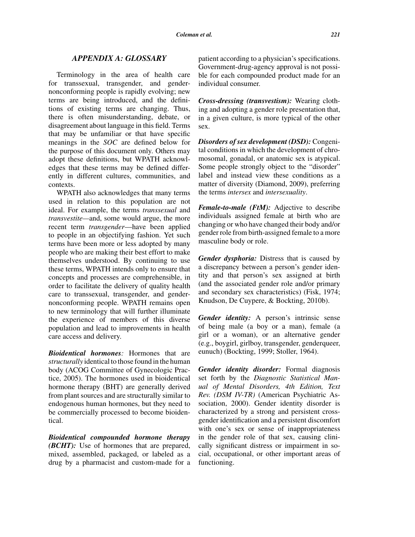#### *APPENDIX A: GLOSSARY*

Terminology in the area of health care for transsexual, transgender, and gendernonconforming people is rapidly evolving; new terms are being introduced, and the definitions of existing terms are changing. Thus, there is often misunderstanding, debate, or disagreement about language in this field. Terms that may be unfamiliar or that have specific meanings in the *SOC* are defined below for the purpose of this document only. Others may adopt these definitions, but WPATH acknowledges that these terms may be defined differently in different cultures, communities, and contexts.

WPATH also acknowledges that many terms used in relation to this population are not ideal. For example, the terms *transsexual* and *transvestite—*and, some would argue, the more recent term *transgender*—have been applied to people in an objectifying fashion. Yet such terms have been more or less adopted by many people who are making their best effort to make themselves understood. By continuing to use these terms, WPATH intends only to ensure that concepts and processes are comprehensible, in order to facilitate the delivery of quality health care to transsexual, transgender, and gendernonconforming people. WPATH remains open to new terminology that will further illuminate the experience of members of this diverse population and lead to improvements in health care access and delivery.

*Bioidentical hormones:* Hormones that are *structurally* identical to those found in the human body (ACOG Committee of Gynecologic Practice, 2005). The hormones used in bioidentical hormone therapy (BHT) are generally derived from plant sources and are structurally similar to endogenous human hormones, but they need to be commercially processed to become bioidentical.

*Bioidentical compounded hormone therapy (BCHT):* Use of hormones that are prepared, mixed, assembled, packaged, or labeled as a drug by a pharmacist and custom-made for a patient according to a physician's specifications. Government-drug-agency approval is not possible for each compounded product made for an individual consumer.

*Cross-dressing (transvestism):* Wearing clothing and adopting a gender role presentation that, in a given culture, is more typical of the other sex.

*Disorders of sex development (DSD):* Congenital conditions in which the development of chromosomal, gonadal, or anatomic sex is atypical. Some people strongly object to the "disorder" label and instead view these conditions as a matter of diversity (Diamond, 2009), preferring the terms *intersex* and *intersexuality*.

*Female-to-male (FtM):* Adjective to describe individuals assigned female at birth who are changing or who have changed their body and/or gender role from birth-assigned female to a more masculine body or role.

*Gender dysphoria:* Distress that is caused by a discrepancy between a person's gender identity and that person's sex assigned at birth (and the associated gender role and/or primary and secondary sex characteristics) (Fisk, 1974; Knudson, De Cuypere, & Bockting, 2010b).

*Gender identity:* A person's intrinsic sense of being male (a boy or a man), female (a girl or a woman), or an alternative gender (e.g., boygirl, girlboy, transgender, genderqueer, eunuch) (Bockting, 1999; Stoller, 1964).

*Gender identity disorder:* Formal diagnosis set forth by the *Diagnostic Statistical Manual of Mental Disorders, 4th Edition, Text Rev. (DSM IV-TR)* (American Psychiatric Association, 2000). Gender identity disorder is characterized by a strong and persistent crossgender identification and a persistent discomfort with one's sex or sense of inappropriateness in the gender role of that sex, causing clinically significant distress or impairment in social, occupational, or other important areas of functioning.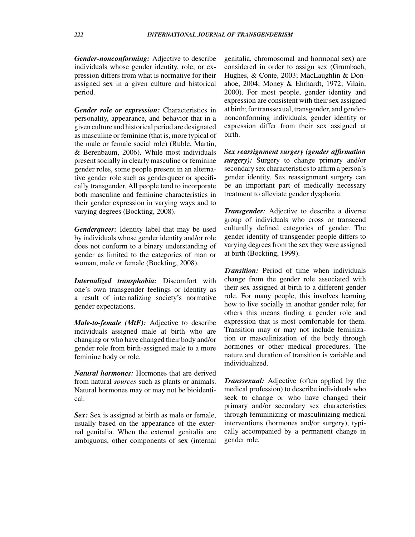*Gender-nonconforming:* Adjective to describe individuals whose gender identity, role, or expression differs from what is normative for their assigned sex in a given culture and historical period.

*Gender role or expression:* Characteristics in personality, appearance, and behavior that in a given culture and historical period are designated as masculine or feminine (that is, more typical of the male or female social role) (Ruble, Martin, & Berenbaum, 2006). While most individuals present socially in clearly masculine or feminine gender roles, some people present in an alternative gender role such as genderqueer or specifically transgender. All people tend to incorporate both masculine and feminine characteristics in their gender expression in varying ways and to varying degrees (Bockting, 2008).

*Genderqueer:* Identity label that may be used by individuals whose gender identity and/or role does not conform to a binary understanding of gender as limited to the categories of man or woman, male or female (Bockting, 2008).

*Internalized transphobia:* Discomfort with one's own transgender feelings or identity as a result of internalizing society's normative gender expectations.

*Male-to-female (MtF):* Adjective to describe individuals assigned male at birth who are changing or who have changed their body and/or gender role from birth-assigned male to a more feminine body or role.

*Natural hormones:* Hormones that are derived from natural *sources* such as plants or animals. Natural hormones may or may not be bioidentical.

*Sex:* Sex is assigned at birth as male or female, usually based on the appearance of the external genitalia. When the external genitalia are ambiguous, other components of sex (internal genitalia, chromosomal and hormonal sex) are considered in order to assign sex (Grumbach, Hughes, & Conte, 2003; MacLaughlin & Donahoe, 2004; Money & Ehrhardt, 1972; Vilain, 2000). For most people, gender identity and expression are consistent with their sex assigned at birth; for transsexual, transgender, and gendernonconforming individuals, gender identity or expression differ from their sex assigned at birth.

*Sex reassignment surgery (gender affirmation surgery):* Surgery to change primary and/or secondary sex characteristics to affirm a person's gender identity. Sex reassignment surgery can be an important part of medically necessary treatment to alleviate gender dysphoria.

*Transgender:* Adjective to describe a diverse group of individuals who cross or transcend culturally defined categories of gender. The gender identity of transgender people differs to varying degrees from the sex they were assigned at birth (Bockting, 1999).

*Transition:* Period of time when individuals change from the gender role associated with their sex assigned at birth to a different gender role. For many people, this involves learning how to live socially in another gender role; for others this means finding a gender role and expression that is most comfortable for them. Transition may or may not include feminization or masculinization of the body through hormones or other medical procedures. The nature and duration of transition is variable and individualized.

*Transsexual:* Adjective (often applied by the medical profession) to describe individuals who seek to change or who have changed their primary and/or secondary sex characteristics through femininizing or masculinizing medical interventions (hormones and/or surgery), typically accompanied by a permanent change in gender role.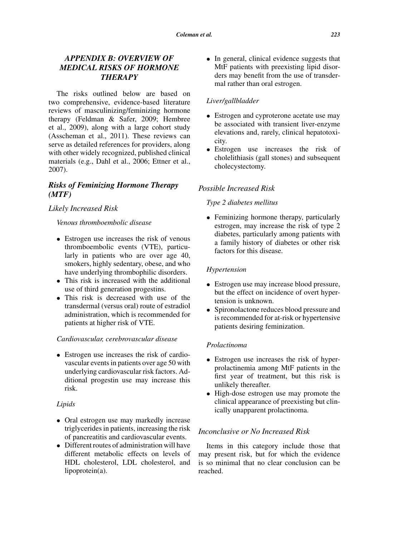## *APPENDIX B: OVERVIEW OF MEDICAL RISKS OF HORMONE THERAPY*

The risks outlined below are based on two comprehensive, evidence-based literature reviews of masculinizing/feminizing hormone therapy (Feldman & Safer, 2009; Hembree et al., 2009), along with a large cohort study (Asscheman et al., 2011). These reviews can serve as detailed references for providers, along with other widely recognized, published clinical materials (e.g., Dahl et al., 2006; Ettner et al., 2007).

### *Risks of Feminizing Hormone Therapy (MTF)*

### *Likely Increased Risk*

*Venous thromboembolic disease*

- Estrogen use increases the risk of venous thromboembolic events (VTE), particularly in patients who are over age 40, smokers, highly sedentary, obese, and who have underlying thrombophilic disorders.
- This risk is increased with the additional use of third generation progestins.
- This risk is decreased with use of the transdermal (versus oral) route of estradiol administration, which is recommended for patients at higher risk of VTE.

### *Cardiovascular, cerebrovascular disease*

• Estrogen use increases the risk of cardiovascular events in patients over age 50 with underlying cardiovascular risk factors. Additional progestin use may increase this risk.

#### *Lipids*

- Oral estrogen use may markedly increase triglycerides in patients, increasing the risk of pancreatitis and cardiovascular events.
- Different routes of administration will have different metabolic effects on levels of HDL cholesterol, LDL cholesterol, and lipoprotein(a).

• In general, clinical evidence suggests that MtF patients with preexisting lipid disorders may benefit from the use of transdermal rather than oral estrogen.

#### *Liver/gallbladder*

- Estrogen and cyproterone acetate use may be associated with transient liver-enzyme elevations and, rarely, clinical hepatotoxicity.
- Estrogen use increases the risk of cholelithiasis (gall stones) and subsequent cholecystectomy.

### *Possible Increased Risk*

#### *Type 2 diabetes mellitus*

• Feminizing hormone therapy, particularly estrogen, may increase the risk of type 2 diabetes, particularly among patients with a family history of diabetes or other risk factors for this disease.

#### *Hypertension*

- Estrogen use may increase blood pressure, but the effect on incidence of overt hypertension is unknown.
- Spironolactone reduces blood pressure and is recommended for at-risk or hypertensive patients desiring feminization.

#### *Prolactinoma*

- Estrogen use increases the risk of hyperprolactinemia among MtF patients in the first year of treatment, but this risk is unlikely thereafter.
- High-dose estrogen use may promote the clinical appearance of preexisting but clinically unapparent prolactinoma.

#### *Inconclusive or No Increased Risk*

Items in this category include those that may present risk, but for which the evidence is so minimal that no clear conclusion can be reached.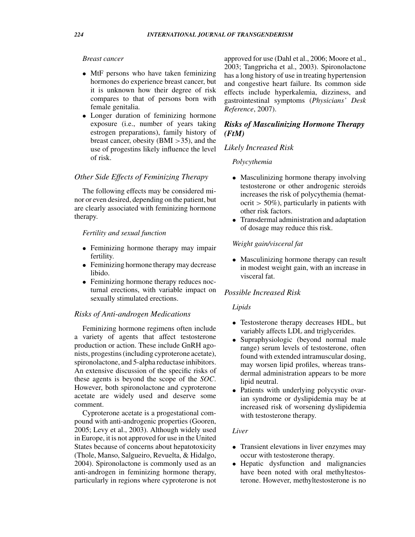#### *Breast cancer*

- MtF persons who have taken feminizing hormones do experience breast cancer, but it is unknown how their degree of risk compares to that of persons born with female genitalia.
- Longer duration of feminizing hormone exposure (i.e., number of years taking estrogen preparations), family history of breast cancer, obesity (BMI >35), and the use of progestins likely influence the level of risk.

#### *Other Side Effects of Feminizing Therapy*

The following effects may be considered minor or even desired, depending on the patient, but are clearly associated with feminizing hormone therapy.

#### *Fertility and sexual function*

- Feminizing hormone therapy may impair fertility.
- Feminizing hormone therapy may decrease libido.
- Feminizing hormone therapy reduces nocturnal erections, with variable impact on sexually stimulated erections.

#### *Risks of Anti-androgen Medications*

Feminizing hormone regimens often include a variety of agents that affect testosterone production or action. These include GnRH agonists, progestins (including cyproterone acetate), spironolactone, and 5-alpha reductase inhibitors. An extensive discussion of the specific risks of these agents is beyond the scope of the *SOC*. However, both spironolactone and cyproterone acetate are widely used and deserve some comment.

Cyproterone acetate is a progestational compound with anti-androgenic properties (Gooren, 2005; Levy et al., 2003). Although widely used in Europe, it is not approved for use in the United States because of concerns about hepatotoxicity (Thole, Manso, Salgueiro, Revuelta, & Hidalgo, 2004). Spironolactone is commonly used as an anti-androgen in feminizing hormone therapy, particularly in regions where cyproterone is not approved for use (Dahl et al., 2006; Moore et al., 2003; Tangpricha et al., 2003). Spironolactone has a long history of use in treating hypertension and congestive heart failure. Its common side effects include hyperkalemia, dizziness, and gastrointestinal symptoms (*Physicians' Desk Reference*, 2007).

### *Risks of Masculinizing Hormone Therapy (FtM)*

#### *Likely Increased Risk*

#### *Polycythemia*

- Masculinizing hormone therapy involving testosterone or other androgenic steroids increases the risk of polycythemia (hematocrit  $> 50\%$ ), particularly in patients with other risk factors.
- Transdermal administration and adaptation of dosage may reduce this risk.

#### *Weight gain/visceral fat*

• Masculinizing hormone therapy can result in modest weight gain, with an increase in visceral fat.

#### *Possible Increased Risk*

#### *Lipids*

- Testosterone therapy decreases HDL, but variably affects LDL and triglycerides.
- Supraphysiologic (beyond normal male range) serum levels of testosterone, often found with extended intramuscular dosing, may worsen lipid profiles, whereas transdermal administration appears to be more lipid neutral.
- Patients with underlying polycystic ovarian syndrome or dyslipidemia may be at increased risk of worsening dyslipidemia with testosterone therapy.

#### *Liver*

- Transient elevations in liver enzymes may occur with testosterone therapy.
- Hepatic dysfunction and malignancies have been noted with oral methyltestosterone. However, methyltestosterone is no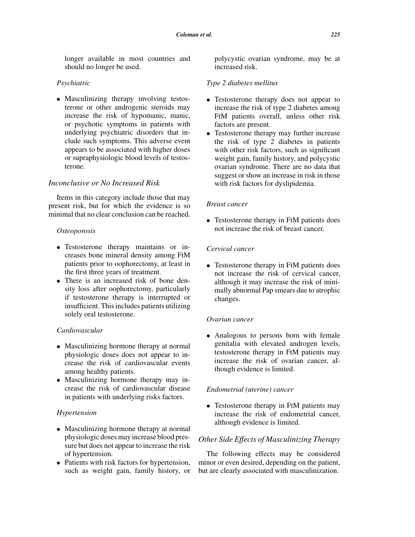longer available in most countries and should no longer be used.

#### *Psychiatric*

• Masculinizing therapy involving testosterone or other androgenic steroids may increase the risk of hypomanic, manic, or psychotic symptoms in patients with underlying psychiatric disorders that include such symptoms. This adverse event appears to be associated with higher doses or supraphysiologic blood levels of testosterone.

#### *Inconclusive or No Increased Risk*

Items in this category include those that may present risk, but for which the evidence is so minimal that no clear conclusion can be reached.

#### *Osteoporosis*

- Testosterone therapy maintains or increases bone mineral density among FtM patients prior to oophorectomy, at least in the first three years of treatment.
- There is an increased risk of bone density loss after oophorectomy, particularly if testosterone therapy is interrupted or insufficient. This includes patients utilizing solely oral testosterone.

#### *Cardiovascular*

- Masculinizing hormone therapy at normal physiologic doses does not appear to increase the risk of cardiovascular events among healthy patients.
- Masculinizing hormone therapy may increase the risk of cardiovascular disease in patients with underlying risks factors.

#### *Hypertension*

- Masculinizing hormone therapy at normal physiologic doses may increase blood pressure but does not appear to increase the risk of hypertension.
- Patients with risk factors for hypertension, such as weight gain, family history, or

polycystic ovarian syndrome, may be at increased risk.

#### *Type 2 diabetes mellitus*

- Testosterone therapy does not appear to increase the risk of type 2 diabetes among FtM patients overall, unless other risk factors are present.
- Testosterone therapy may further increase the risk of type 2 diabetes in patients with other risk factors, such as significant weight gain, family history, and polycystic ovarian syndrome. There are no data that suggest or show an increase in risk in those with risk factors for dyslipidemia.

#### *Breast cancer*

• Testosterone therapy in FtM patients does not increase the risk of breast cancer.

#### *Cervical cancer*

• Testosterone therapy in FtM patients does not increase the risk of cervical cancer, although it may increase the risk of minimally abnormal Pap smears due to atrophic changes.

#### *Ovarian cancer*

• Analogous to persons born with female genitalia with elevated androgen levels, testosterone therapy in FtM patients may increase the risk of ovarian cancer, although evidence is limited.

#### *Endometrial (uterine) cancer*

• Testosterone therapy in FtM patients may increase the risk of endometrial cancer, although evidence is limited.

#### *Other Side Effects of Masculinizing Therapy*

The following effects may be considered minor or even desired, depending on the patient, but are clearly associated with masculinization.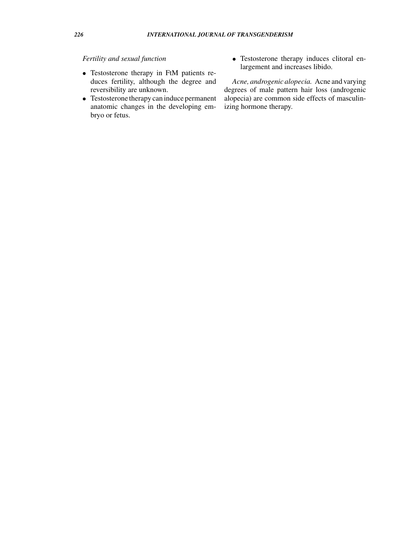*Fertility and sexual function*

- Testosterone therapy in FtM patients reduces fertility, although the degree and reversibility are unknown.
- Testosterone therapy can induce permanent anatomic changes in the developing embryo or fetus.
- Testosterone therapy induces clitoral enlargement and increases libido.

*Acne, androgenic alopecia.* Acne and varying degrees of male pattern hair loss (androgenic alopecia) are common side effects of masculinizing hormone therapy.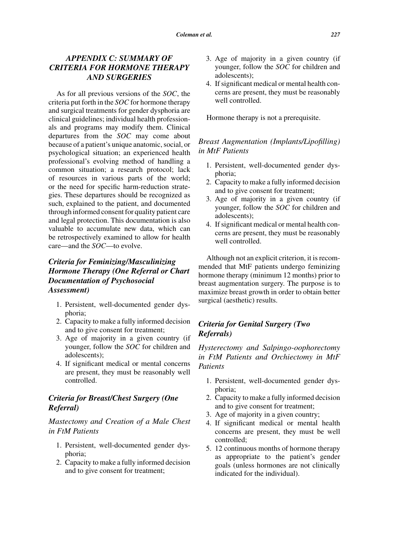# *APPENDIX C: SUMMARY OF CRITERIA FOR HORMONE THERAPY AND SURGERIES*

As for all previous versions of the *SOC*, the criteria put forth in the *SOC* for hormone therapy and surgical treatments for gender dysphoria are clinical guidelines; individual health professionals and programs may modify them. Clinical departures from the *SOC* may come about because of a patient's unique anatomic, social, or psychological situation; an experienced health professional's evolving method of handling a common situation; a research protocol; lack of resources in various parts of the world; or the need for specific harm-reduction strategies. These departures should be recognized as such, explained to the patient, and documented through informed consent for quality patient care and legal protection. This documentation is also valuable to accumulate new data, which can be retrospectively examined to allow for health care—and the *SOC*—to evolve.

# *Criteria for Feminizing/Masculinizing Hormone Therapy (One Referral or Chart Documentation of Psychosocial Assessment)*

- 1. Persistent, well-documented gender dysphoria;
- 2. Capacity to make a fully informed decision and to give consent for treatment;
- 3. Age of majority in a given country (if younger, follow the *SOC* for children and adolescents);
- 4. If significant medical or mental concerns are present, they must be reasonably well controlled.

# *Criteria for Breast/Chest Surgery (One Referral)*

*Mastectomy and Creation of a Male Chest in FtM Patients*

- 1. Persistent, well-documented gender dysphoria;
- 2. Capacity to make a fully informed decision and to give consent for treatment;
- 3. Age of majority in a given country (if younger, follow the *SOC* for children and adolescents);
- 4. If significant medical or mental health concerns are present, they must be reasonably well controlled.

Hormone therapy is not a prerequisite.

# *Breast Augmentation (Implants/Lipofilling) in MtF Patients*

- 1. Persistent, well-documented gender dysphoria;
- 2. Capacity to make a fully informed decision and to give consent for treatment;
- 3. Age of majority in a given country (if younger, follow the *SOC* for children and adolescents);
- 4. If significant medical or mental health concerns are present, they must be reasonably well controlled.

Although not an explicit criterion, it is recommended that MtF patients undergo feminizing hormone therapy (minimum 12 months) prior to breast augmentation surgery. The purpose is to maximize breast growth in order to obtain better surgical (aesthetic) results.

### *Criteria for Genital Surgery (Two Referrals)*

*Hysterectomy and Salpingo-oophorectomy in FtM Patients and Orchiectomy in MtF Patients*

- 1. Persistent, well-documented gender dysphoria;
- 2. Capacity to make a fully informed decision and to give consent for treatment;
- 3. Age of majority in a given country;
- 4. If significant medical or mental health concerns are present, they must be well controlled;
- 5. 12 continuous months of hormone therapy as appropriate to the patient's gender goals (unless hormones are not clinically indicated for the individual).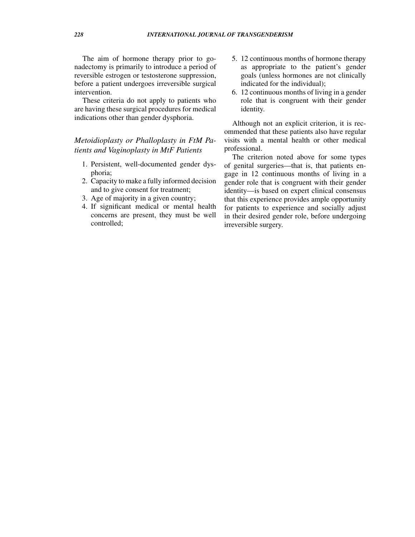The aim of hormone therapy prior to gonadectomy is primarily to introduce a period of reversible estrogen or testosterone suppression, before a patient undergoes irreversible surgical intervention.

These criteria do not apply to patients who are having these surgical procedures for medical indications other than gender dysphoria.

### *Metoidioplasty or Phalloplasty in FtM Patients and Vaginoplasty in MtF Patients*

- 1. Persistent, well-documented gender dysphoria;
- 2. Capacity to make a fully informed decision and to give consent for treatment;
- 3. Age of majority in a given country;
- 4. If significant medical or mental health concerns are present, they must be well controlled;
- 5. 12 continuous months of hormone therapy as appropriate to the patient's gender goals (unless hormones are not clinically indicated for the individual);
- 6. 12 continuous months of living in a gender role that is congruent with their gender identity.

Although not an explicit criterion, it is recommended that these patients also have regular visits with a mental health or other medical professional.

The criterion noted above for some types of genital surgeries—that is, that patients engage in 12 continuous months of living in a gender role that is congruent with their gender identity—is based on expert clinical consensus that this experience provides ample opportunity for patients to experience and socially adjust in their desired gender role, before undergoing irreversible surgery.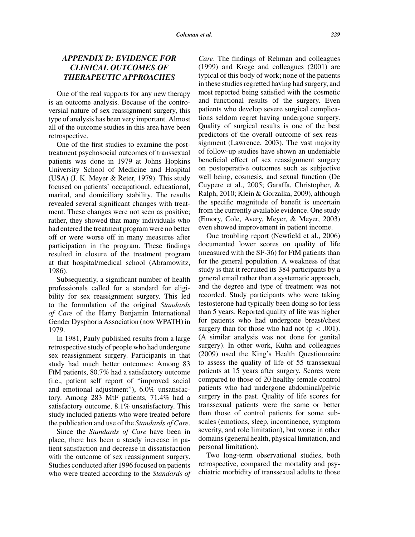# *APPENDIX D: EVIDENCE FOR CLINICAL OUTCOMES OF THERAPEUTIC APPROACHES*

One of the real supports for any new therapy is an outcome analysis. Because of the controversial nature of sex reassignment surgery, this type of analysis has been very important. Almost all of the outcome studies in this area have been retrospective.

One of the first studies to examine the posttreatment psychosocial outcomes of transsexual patients was done in 1979 at Johns Hopkins University School of Medicine and Hospital (USA) (J. K. Meyer & Reter, 1979). This study focused on patients' occupational, educational, marital, and domiciliary stability. The results revealed several significant changes with treatment. These changes were not seen as positive; rather, they showed that many individuals who had entered the treatment program were no better off or were worse off in many measures after participation in the program. These findings resulted in closure of the treatment program at that hospital/medical school (Abramowitz, 1986).

Subsequently, a significant number of health professionals called for a standard for eligibility for sex reassignment surgery. This led to the formulation of the original *Standards of Care* of the Harry Benjamin International Gender Dysphoria Association (now WPATH) in 1979.

In 1981, Pauly published results from a large retrospective study of people who had undergone sex reassignment surgery. Participants in that study had much better outcomes: Among 83 FtM patients, 80.7% had a satisfactory outcome (i.e., patient self report of "improved social and emotional adjustment"), 6.0% unsatisfactory. Among 283 MtF patients, 71.4% had a satisfactory outcome, 8.1% unsatisfactory. This study included patients who were treated before the publication and use of the *Standards of Care*.

Since the *Standards of Care* have been in place, there has been a steady increase in patient satisfaction and decrease in dissatisfaction with the outcome of sex reassignment surgery. Studies conducted after 1996 focused on patients who were treated according to the *Standards of*

*Care*. The findings of Rehman and colleagues (1999) and Krege and colleagues (2001) are typical of this body of work; none of the patients in these studies regretted having had surgery, and most reported being satisfied with the cosmetic and functional results of the surgery. Even patients who develop severe surgical complications seldom regret having undergone surgery. Quality of surgical results is one of the best predictors of the overall outcome of sex reassignment (Lawrence, 2003). The vast majority of follow-up studies have shown an undeniable beneficial effect of sex reassignment surgery on postoperative outcomes such as subjective well being, cosmesis, and sexual function (De Cuypere et al., 2005; Garaffa, Christopher, & Ralph, 2010; Klein & Gorzalka, 2009), although the specific magnitude of benefit is uncertain from the currently available evidence. One study (Emory, Cole, Avery, Meyer, & Meyer, 2003) even showed improvement in patient income.

One troubling report (Newfield et al., 2006) documented lower scores on quality of life (measured with the SF-36) for FtM patients than for the general population. A weakness of that study is that it recruited its 384 participants by a general email rather than a systematic approach, and the degree and type of treatment was not recorded. Study participants who were taking testosterone had typically been doing so for less than 5 years. Reported quality of life was higher for patients who had undergone breast/chest surgery than for those who had not ( $p < .001$ ). (A similar analysis was not done for genital surgery). In other work, Kuhn and colleagues (2009) used the King's Health Questionnaire to assess the quality of life of 55 transsexual patients at 15 years after surgery. Scores were compared to those of 20 healthy female control patients who had undergone abdominal/pelvic surgery in the past. Quality of life scores for transsexual patients were the same or better than those of control patients for some subscales (emotions, sleep, incontinence, symptom severity, and role limitation), but worse in other domains (general health, physical limitation, and personal limitation).

Two long-term observational studies, both retrospective, compared the mortality and psychiatric morbidity of transsexual adults to those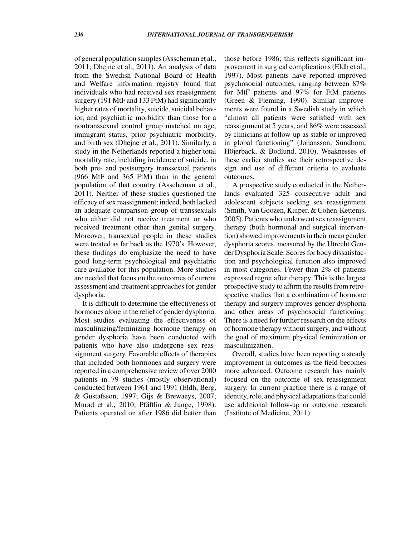of general population samples (Asscheman et al., 2011; Dhejne et al., 2011). An analysis of data from the Swedish National Board of Health and Welfare information registry found that individuals who had received sex reassignment surgery (191 MtF and 133 FtM) had significantly higher rates of mortality, suicide, suicidal behavior, and psychiatric morbidity than those for a nontranssexual control group matched on age, immigrant status, prior psychiatric morbidity, and birth sex (Dhejne et al., 2011). Similarly, a study in the Netherlands reported a higher total mortality rate, including incidence of suicide, in both pre- and postsurgery transsexual patients (966 MtF and 365 FtM) than in the general population of that country (Asscheman et al., 2011). Neither of these studies questioned the efficacy of sex reassignment; indeed, both lacked an adequate comparison group of transsexuals who either did not receive treatment or who received treatment other than genital surgery. Moreover, transexual people in these studies were treated as far back as the 1970's. However, these findings do emphasize the need to have good long-term psychological and psychiatric care available for this population. More studies are needed that focus on the outcomes of current assessment and treatment approaches for gender dysphoria.

It is difficult to determine the effectiveness of hormones alone in the relief of gender dysphoria. Most studies evaluating the effectiveness of masculinizing/feminizing hormone therapy on gender dysphoria have been conducted with patients who have also undergone sex reassignment surgery. Favorable effects of therapies that included both hormones and surgery were reported in a comprehensive review of over 2000 patients in 79 studies (mostly observational) conducted between 1961 and 1991 (Eldh, Berg, & Gustafsson, 1997; Gijs & Brewaeys, 2007; Murad et al., 2010; Pfäfflin & Junge, 1998). Patients operated on after 1986 did better than those before 1986; this reflects significant improvement in surgical complications (Eldh et al., 1997). Most patients have reported improved psychosocial outcomes, ranging between 87% for MtF patients and 97% for FtM patients (Green & Fleming, 1990). Similar improvements were found in a Swedish study in which "almost all patients were satisfied with sex reassignment at 5 years, and 86% were assessed by clinicians at follow-up as stable or improved in global functioning" (Johansson, Sundbom, Höjerback, & Bodlund, 2010). Weaknesses of these earlier studies are their retrospective design and use of different criteria to evaluate outcomes.

A prospective study conducted in the Netherlands evaluated 325 consecutive adult and adolescent subjects seeking sex reassignment (Smith, Van Goozen, Kuiper, & Cohen-Kettenis, 2005). Patients who underwent sex reassignment therapy (both hormonal and surgical intervention) showed improvements in their mean gender dysphoria scores, measured by the Utrecht Gender Dysphoria Scale. Scores for body dissatisfaction and psychological function also improved in most categories. Fewer than 2% of patients expressed regret after therapy. This is the largest prospective study to affirm the results from retrospective studies that a combination of hormone therapy and surgery improves gender dysphoria and other areas of psychosocial functioning. There is a need for further research on the effects of hormone therapy without surgery, and without the goal of maximum physical feminization or masculinization.

Overall, studies have been reporting a steady improvement in outcomes as the field becomes more advanced. Outcome research has mainly focused on the outcome of sex reassignment surgery. In current practice there is a range of identity, role, and physical adaptations that could use additional follow-up or outcome research (Institute of Medicine, 2011).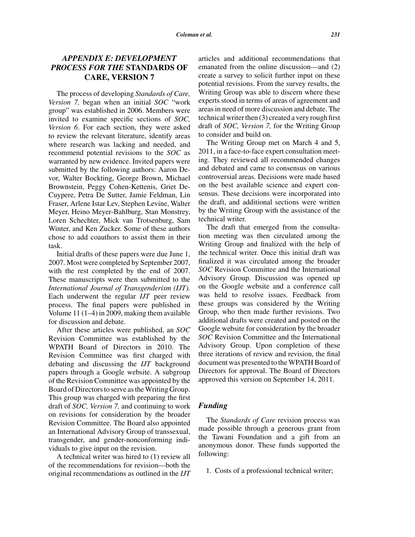### *APPENDIX E: DEVELOPMENT PROCESS FOR THE* **STANDARDS OF CARE, VERSION 7**

The process of developing *Standards of Care, Version 7,* began when an initial *SOC* "work group" was established in 2006. Members were invited to examine specific sections of *SOC, Version 6*. For each section, they were asked to review the relevant literature, identify areas where research was lacking and needed, and recommend potential revisions to the *SOC* as warranted by new evidence. Invited papers were submitted by the following authors: Aaron Devor, Walter Bockting, George Brown, Michael Brownstein, Peggy Cohen-Kettenis, Griet De-Cuypere, Petra De Sutter, Jamie Feldman, Lin Fraser, Arlene Istar Lev, Stephen Levine, Walter Meyer, Heino Meyer-Bahlburg, Stan Monstrey, Loren Schechter, Mick van Trotsenburg, Sam Winter, and Ken Zucker. Some of these authors chose to add coauthors to assist them in their task.

Initial drafts of these papers were due June 1, 2007. Most were completed by September 2007, with the rest completed by the end of 2007. These manuscripts were then submitted to the *International Journal of Transgenderism (IJT).* Each underwent the regular *IJT* peer review process. The final papers were published in Volume 11 (1–4) in 2009, making them available for discussion and debate.

After these articles were published, an *SOC* Revision Committee was established by the WPATH Board of Directors in 2010. The Revision Committee was first charged with debating and discussing the *IJT* background papers through a Google website. A subgroup of the Revision Committee was appointed by the Board of Directors to serve as the Writing Group. This group was charged with preparing the first draft of *SOC, Version 7,* and continuing to work on revisions for consideration by the broader Revision Committee. The Board also appointed an International Advisory Group of transsexual, transgender, and gender-nonconforming individuals to give input on the revision.

A technical writer was hired to (1) review all of the recommendations for revision—both the original recommendations as outlined in the *IJT* articles and additional recommendations that emanated from the online discussion—and (2) create a survey to solicit further input on these potential revisions. From the survey results, the Writing Group was able to discern where these experts stood in terms of areas of agreement and areas in need of more discussion and debate. The technical writer then (3) created a very rough first draft of *SOC, Version 7,* for the Writing Group to consider and build on.

The Writing Group met on March 4 and 5, 2011, in a face-to-face expert consultation meeting. They reviewed all recommended changes and debated and came to consensus on various controversial areas. Decisions were made based on the best available science and expert consensus. These decisions were incorporated into the draft, and additional sections were written by the Writing Group with the assistance of the technical writer.

The draft that emerged from the consultation meeting was then circulated among the Writing Group and finalized with the help of the technical writer. Once this initial draft was finalized it was circulated among the broader *SOC* Revision Committee and the International Advisory Group. Discussion was opened up on the Google website and a conference call was held to resolve issues. Feedback from these groups was considered by the Writing Group, who then made further revisions. Two additional drafts were created and posted on the Google website for consideration by the broader *SOC* Revision Committee and the International Advisory Group. Upon completion of these three iterations of review and revision, the final document was presented to the WPATH Board of Directors for approval. The Board of Directors approved this version on September 14, 2011.

#### *Funding*

The *Standards of Care* revision process was made possible through a generous grant from the Tawani Foundation and a gift from an anonymous donor. These funds supported the following:

1. Costs of a professional technical writer;